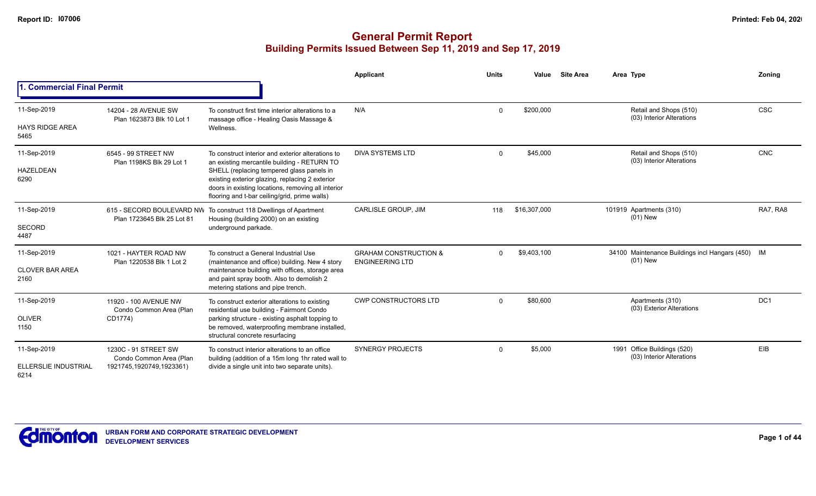|                                       |                                                   |                                                                                                                                                                                                     | Applicant                                                  | <b>Units</b> | Value        | <b>Site Area</b> | Area Type                                                     | Zoning          |
|---------------------------------------|---------------------------------------------------|-----------------------------------------------------------------------------------------------------------------------------------------------------------------------------------------------------|------------------------------------------------------------|--------------|--------------|------------------|---------------------------------------------------------------|-----------------|
| . Commercial Final Permit             |                                                   |                                                                                                                                                                                                     |                                                            |              |              |                  |                                                               |                 |
| 11-Sep-2019<br><b>HAYS RIDGE AREA</b> | 14204 - 28 AVENUE SW<br>Plan 1623873 Blk 10 Lot 1 | To construct first time interior alterations to a<br>massage office - Healing Oasis Massage &<br>Wellness.                                                                                          | N/A                                                        | $\Omega$     | \$200,000    |                  | Retail and Shops (510)<br>(03) Interior Alterations           | <b>CSC</b>      |
| 5465                                  |                                                   |                                                                                                                                                                                                     |                                                            |              |              |                  |                                                               |                 |
| 11-Sep-2019                           | 6545 - 99 STREET NW<br>Plan 1198KS Blk 29 Lot 1   | To construct interior and exterior alterations to<br>an existing mercantile building - RETURN TO                                                                                                    | <b>DIVA SYSTEMS LTD</b>                                    | $\Omega$     | \$45,000     |                  | Retail and Shops (510)<br>(03) Interior Alterations           | <b>CNC</b>      |
| HAZELDEAN<br>6290                     |                                                   | SHELL (replacing tempered glass panels in<br>existing exterior glazing, replacing 2 exterior<br>doors in existing locations, removing all interior<br>flooring and t-bar ceiling/grid, prime walls) |                                                            |              |              |                  |                                                               |                 |
| 11-Sep-2019                           | Plan 1723645 Blk 25 Lot 81                        | 615 - SECORD BOULEVARD NW To construct 118 Dwellings of Apartment<br>Housing (building 2000) on an existing                                                                                         | CARLISLE GROUP, JIM                                        | 118          | \$16,307,000 |                  | 101919 Apartments (310)<br>$(01)$ New                         | RA7, RA8        |
| <b>SECORD</b><br>4487                 |                                                   | underground parkade.                                                                                                                                                                                |                                                            |              |              |                  |                                                               |                 |
| 11-Sep-2019                           | 1021 - HAYTER ROAD NW<br>Plan 1220538 Blk 1 Lot 2 | To construct a General Industrial Use<br>(maintenance and office) building. New 4 story                                                                                                             | <b>GRAHAM CONSTRUCTION &amp;</b><br><b>ENGINEERING LTD</b> | $\Omega$     | \$9,403,100  |                  | 34100 Maintenance Buildings incl Hangars (450) IM<br>(01) New |                 |
| <b>CLOVER BAR AREA</b><br>2160        |                                                   | maintenance building with offices, storage area<br>and paint spray booth. Also to demolish 2<br>metering stations and pipe trench.                                                                  |                                                            |              |              |                  |                                                               |                 |
| 11-Sep-2019                           | 11920 - 100 AVENUE NW<br>Condo Common Area (Plan  | To construct exterior alterations to existing<br>residential use building - Fairmont Condo                                                                                                          | <b>CWP CONSTRUCTORS LTD</b>                                | $\Omega$     | \$80,600     |                  | Apartments (310)<br>(03) Exterior Alterations                 | DC <sub>1</sub> |
| <b>OLIVER</b><br>1150                 | CD1774)                                           | parking structure - existing asphalt topping to<br>be removed, waterproofing membrane installed,<br>structural concrete resurfacing                                                                 |                                                            |              |              |                  |                                                               |                 |
| 11-Sep-2019                           | 1230C - 91 STREET SW<br>Condo Common Area (Plan   | To construct interior alterations to an office<br>building (addition of a 15m long 1hr rated wall to                                                                                                | <b>SYNERGY PROJECTS</b>                                    | $\Omega$     | \$5,000      |                  | 1991 Office Buildings (520)<br>(03) Interior Alterations      | EIB             |
| ELLERSLIE INDUSTRIAL<br>6214          | 1921745,1920749,1923361)                          | divide a single unit into two separate units).                                                                                                                                                      |                                                            |              |              |                  |                                                               |                 |

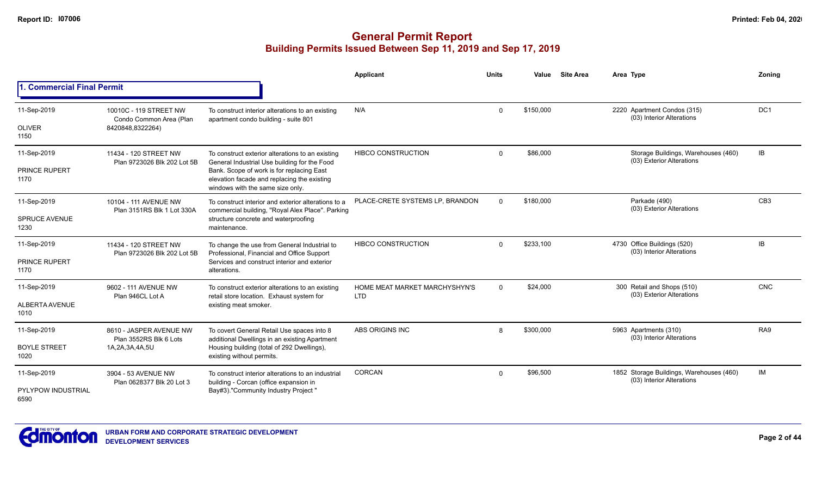|                               |                                                      |                                                                                                                              | <b>Applicant</b>                            | <b>Units</b> | Value     | <b>Site Area</b> | Area Type                                                             | Zoning          |
|-------------------------------|------------------------------------------------------|------------------------------------------------------------------------------------------------------------------------------|---------------------------------------------|--------------|-----------|------------------|-----------------------------------------------------------------------|-----------------|
| 1. Commercial Final Permit    |                                                      |                                                                                                                              |                                             |              |           |                  |                                                                       |                 |
| 11-Sep-2019                   | 10010C - 119 STREET NW<br>Condo Common Area (Plan    | To construct interior alterations to an existing<br>apartment condo building - suite 801                                     | N/A                                         | $\Omega$     | \$150,000 |                  | 2220 Apartment Condos (315)<br>(03) Interior Alterations              | DC <sub>1</sub> |
| <b>OLIVER</b><br>1150         | 8420848,8322264)                                     |                                                                                                                              |                                             |              |           |                  |                                                                       |                 |
| 11-Sep-2019                   | 11434 - 120 STREET NW<br>Plan 9723026 Blk 202 Lot 5B | To construct exterior alterations to an existing<br>General Industrial Use building for the Food                             | <b>HIBCO CONSTRUCTION</b>                   | $\mathbf 0$  | \$86,000  |                  | Storage Buildings, Warehouses (460)<br>(03) Exterior Alterations      | IB              |
| <b>PRINCE RUPERT</b><br>1170  |                                                      | Bank. Scope of work is for replacing East<br>elevation facade and replacing the existing<br>windows with the same size only. |                                             |              |           |                  |                                                                       |                 |
| 11-Sep-2019                   | 10104 - 111 AVENUE NW<br>Plan 3151RS Blk 1 Lot 330A  | To construct interior and exterior alterations to a<br>commercial building, "Royal Alex Place". Parking                      | PLACE-CRETE SYSTEMS LP, BRANDON             | $\Omega$     | \$180,000 |                  | Parkade (490)<br>(03) Exterior Alterations                            | CB <sub>3</sub> |
| <b>SPRUCE AVENUE</b><br>1230  |                                                      | structure concrete and waterproofing<br>maintenance.                                                                         |                                             |              |           |                  |                                                                       |                 |
| 11-Sep-2019                   | 11434 - 120 STREET NW                                | To change the use from General Industrial to<br>Professional, Financial and Office Support                                   | <b>HIBCO CONSTRUCTION</b>                   | $\Omega$     | \$233,100 |                  | 4730 Office Buildings (520)<br>(03) Interior Alterations              | IB              |
| <b>PRINCE RUPERT</b><br>1170  | Plan 9723026 Blk 202 Lot 5B                          | Services and construct interior and exterior<br>alterations.                                                                 |                                             |              |           |                  |                                                                       |                 |
| 11-Sep-2019                   | 9602 - 111 AVENUE NW<br>Plan 946CL Lot A             | To construct exterior alterations to an existing<br>retail store location. Exhaust system for                                | HOME MEAT MARKET MARCHYSHYN'S<br><b>LTD</b> | $\Omega$     | \$24,000  |                  | 300 Retail and Shops (510)<br>(03) Exterior Alterations               | <b>CNC</b>      |
| <b>ALBERTA AVENUE</b><br>1010 |                                                      | existing meat smoker.                                                                                                        |                                             |              |           |                  |                                                                       |                 |
| 11-Sep-2019                   | 8610 - JASPER AVENUE NW<br>Plan 3552RS Blk 6 Lots    | To covert General Retail Use spaces into 8                                                                                   | ABS ORIGINS INC                             | 8            | \$300,000 |                  | 5963 Apartments (310)<br>(03) Interior Alterations                    | RA <sub>9</sub> |
| <b>BOYLE STREET</b><br>1020   | 1A, 2A, 3A, 4A, 5U                                   | additional Dwellings in an existing Apartment<br>Housing building (total of 292 Dwellings),<br>existing without permits.     |                                             |              |           |                  |                                                                       |                 |
| 11-Sep-2019                   | 3904 - 53 AVENUE NW<br>Plan 0628377 Blk 20 Lot 3     | To construct interior alterations to an industrial                                                                           | <b>CORCAN</b>                               | $\Omega$     | \$96,500  |                  | 1852 Storage Buildings, Warehouses (460)<br>(03) Interior Alterations | IM              |
| PYLYPOW INDUSTRIAL<br>6590    |                                                      | building - Corcan (office expansion in<br>Bay#3)."Community Industry Project '                                               |                                             |              |           |                  |                                                                       |                 |

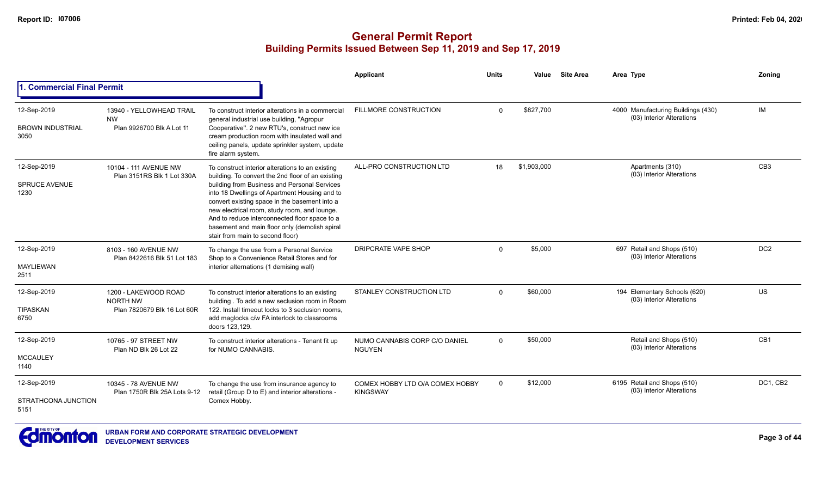|                                                |                                                                    |                                                                                                                                                                                                                                                                                                                                                                                                                                               | Applicant                                          | <b>Units</b> | Value       | <b>Site Area</b> | Area Type                                                       | Zoning          |
|------------------------------------------------|--------------------------------------------------------------------|-----------------------------------------------------------------------------------------------------------------------------------------------------------------------------------------------------------------------------------------------------------------------------------------------------------------------------------------------------------------------------------------------------------------------------------------------|----------------------------------------------------|--------------|-------------|------------------|-----------------------------------------------------------------|-----------------|
| <b>Commercial Final Permit</b>                 |                                                                    |                                                                                                                                                                                                                                                                                                                                                                                                                                               |                                                    |              |             |                  |                                                                 |                 |
| 12-Sep-2019<br><b>BROWN INDUSTRIAL</b><br>3050 | 13940 - YELLOWHEAD TRAIL<br><b>NW</b><br>Plan 9926700 Blk A Lot 11 | To construct interior alterations in a commercial<br>general industrial use building, "Agropur<br>Cooperative". 2 new RTU's, construct new ice<br>cream production room with insulated wall and<br>ceiling panels, update sprinkler system, update<br>fire alarm system.                                                                                                                                                                      | <b>FILLMORE CONSTRUCTION</b>                       | $\Omega$     | \$827,700   |                  | 4000 Manufacturing Buildings (430)<br>(03) Interior Alterations | <b>IM</b>       |
| 12-Sep-2019<br><b>SPRUCE AVENUE</b><br>1230    | 10104 - 111 AVENUE NW<br>Plan 3151RS Blk 1 Lot 330A                | To construct interior alterations to an existing<br>building. To convert the 2nd floor of an existing<br>building from Business and Personal Services<br>into 18 Dwellings of Apartment Housing and to<br>convert existing space in the basement into a<br>new electrical room, study room, and lounge.<br>And to reduce interconnected floor space to a<br>basement and main floor only (demolish spiral<br>stair from main to second floor) | ALL-PRO CONSTRUCTION LTD                           | 18           | \$1,903,000 |                  | Apartments (310)<br>(03) Interior Alterations                   | CB <sub>3</sub> |
| 12-Sep-2019<br><b>MAYLIEWAN</b><br>2511        | 8103 - 160 AVENUE NW<br>Plan 8422616 Blk 51 Lot 183                | To change the use from a Personal Service<br>Shop to a Convenience Retail Stores and for<br>interior alternations (1 demising wall)                                                                                                                                                                                                                                                                                                           | DRIPCRATE VAPE SHOP                                | $\Omega$     | \$5,000     |                  | 697 Retail and Shops (510)<br>(03) Interior Alterations         | DC <sub>2</sub> |
| 12-Sep-2019<br><b>TIPASKAN</b><br>6750         | 1200 - LAKEWOOD ROAD<br>NORTH NW<br>Plan 7820679 Blk 16 Lot 60R    | To construct interior alterations to an existing<br>building. To add a new seclusion room in Room<br>122. Install timeout locks to 3 seclusion rooms.<br>add maglocks c/w FA interlock to classrooms<br>doors 123,129.                                                                                                                                                                                                                        | <b>STANLEY CONSTRUCTION LTD</b>                    | $\Omega$     | \$60,000    |                  | 194 Elementary Schools (620)<br>(03) Interior Alterations       | <b>US</b>       |
| 12-Sep-2019<br><b>MCCAULEY</b><br>1140         | 10765 - 97 STREET NW<br>Plan ND Blk 26 Lot 22                      | To construct interior alterations - Tenant fit up<br>for NUMO CANNABIS.                                                                                                                                                                                                                                                                                                                                                                       | NUMO CANNABIS CORP C/O DANIEL<br><b>NGUYEN</b>     | $\mathbf 0$  | \$50,000    |                  | Retail and Shops (510)<br>(03) Interior Alterations             | CB1             |
| 12-Sep-2019<br>STRATHCONA JUNCTION<br>5151     | 10345 - 78 AVENUE NW<br>Plan 1750R Blk 25A Lots 9-12               | To change the use from insurance agency to<br>retail (Group D to E) and interior alterations -<br>Comex Hobby.                                                                                                                                                                                                                                                                                                                                | COMEX HOBBY LTD O/A COMEX HOBBY<br><b>KINGSWAY</b> | $\Omega$     | \$12,000    |                  | 6195 Retail and Shops (510)<br>(03) Interior Alterations        | DC1, CB2        |

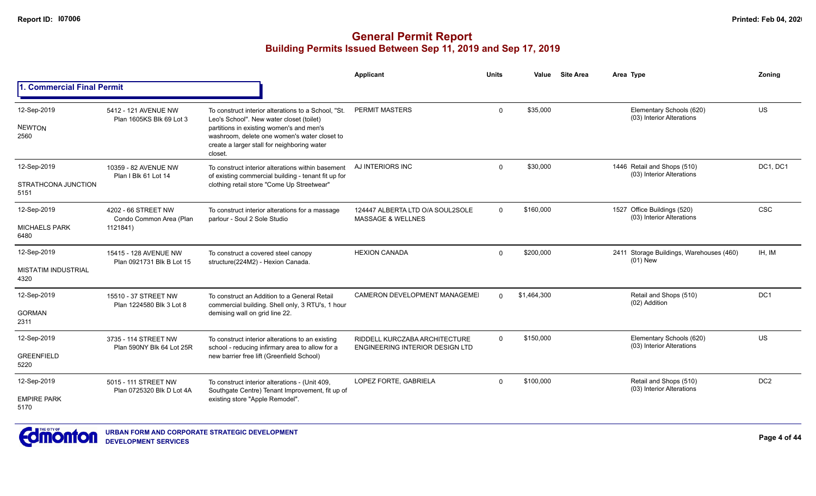|                                                   |                                                            |                                                                                                                                                                                                                                                       | Applicant                                                               | <b>Units</b> | Value       | <b>Site Area</b> | Area Type                                                | Zoning                                                                             |
|---------------------------------------------------|------------------------------------------------------------|-------------------------------------------------------------------------------------------------------------------------------------------------------------------------------------------------------------------------------------------------------|-------------------------------------------------------------------------|--------------|-------------|------------------|----------------------------------------------------------|------------------------------------------------------------------------------------|
| 1. Commercial Final Permit                        |                                                            |                                                                                                                                                                                                                                                       |                                                                         |              |             |                  |                                                          | US<br>DC1, DC1<br><b>CSC</b><br>IH, IM<br>DC <sub>1</sub><br>US<br>DC <sub>2</sub> |
| 12-Sep-2019<br><b>NEWTON</b><br>2560              | 5412 - 121 AVENUE NW<br>Plan 1605KS Blk 69 Lot 3           | To construct interior alterations to a School. "St.<br>Leo's School". New water closet (toilet)<br>partitions in existing women's and men's<br>washroom, delete one women's water closet to<br>create a larger stall for neighboring water<br>closet. | <b>PERMIT MASTERS</b>                                                   | $\mathbf 0$  | \$35,000    |                  | Elementary Schools (620)<br>(03) Interior Alterations    |                                                                                    |
| 12-Sep-2019<br>STRATHCONA JUNCTION<br>5151        | 10359 - 82 AVENUE NW<br>Plan I Blk 61 Lot 14               | To construct interior alterations within basement<br>of existing commercial building - tenant fit up for<br>clothing retail store "Come Up Streetwear"                                                                                                | AJ INTERIORS INC                                                        | $\Omega$     | \$30,000    |                  | 1446 Retail and Shops (510)<br>(03) Interior Alterations |                                                                                    |
| 12-Sep-2019<br><b>MICHAELS PARK</b><br>6480       | 4202 - 66 STREET NW<br>Condo Common Area (Plan<br>1121841) | To construct interior alterations for a massage<br>parlour - Soul 2 Sole Studio                                                                                                                                                                       | 124447 ALBERTA LTD O/A SOUL2SOLE<br><b>MASSAGE &amp; WELLNES</b>        | $\Omega$     | \$160,000   |                  | 1527 Office Buildings (520)<br>(03) Interior Alterations |                                                                                    |
| 12-Sep-2019<br><b>MISTATIM INDUSTRIAL</b><br>4320 | 15415 - 128 AVENUE NW<br>Plan 0921731 Blk B Lot 15         | To construct a covered steel canopy<br>structure(224M2) - Hexion Canada.                                                                                                                                                                              | <b>HEXION CANADA</b>                                                    | $\Omega$     | \$200,000   |                  | 2411 Storage Buildings, Warehouses (460)<br>$(01)$ New   |                                                                                    |
| 12-Sep-2019<br><b>GORMAN</b><br>2311              | 15510 - 37 STREET NW<br>Plan 1224580 Blk 3 Lot 8           | To construct an Addition to a General Retail<br>commercial building. Shell only, 3 RTU's, 1 hour<br>demising wall on grid line 22.                                                                                                                    | CAMERON DEVELOPMENT MANAGEMEI                                           | $\Omega$     | \$1,464,300 |                  | Retail and Shops (510)<br>(02) Addition                  |                                                                                    |
| 12-Sep-2019<br><b>GREENFIELD</b><br>5220          | 3735 - 114 STREET NW<br>Plan 590NY Blk 64 Lot 25R          | To construct interior alterations to an existing<br>school - reducing infirmary area to allow for a<br>new barrier free lift (Greenfield School)                                                                                                      | RIDDELL KURCZABA ARCHITECTURE<br><b>ENGINEERING INTERIOR DESIGN LTD</b> | $\Omega$     | \$150,000   |                  | Elementary Schools (620)<br>(03) Interior Alterations    |                                                                                    |
| 12-Sep-2019<br><b>EMPIRE PARK</b><br>5170         | 5015 - 111 STREET NW<br>Plan 0725320 Blk D Lot 4A          | To construct interior alterations - (Unit 409,<br>Southgate Centre) Tenant Improvement, fit up of<br>existing store "Apple Remodel".                                                                                                                  | LOPEZ FORTE, GABRIELA                                                   | $\Omega$     | \$100,000   |                  | Retail and Shops (510)<br>(03) Interior Alterations      |                                                                                    |

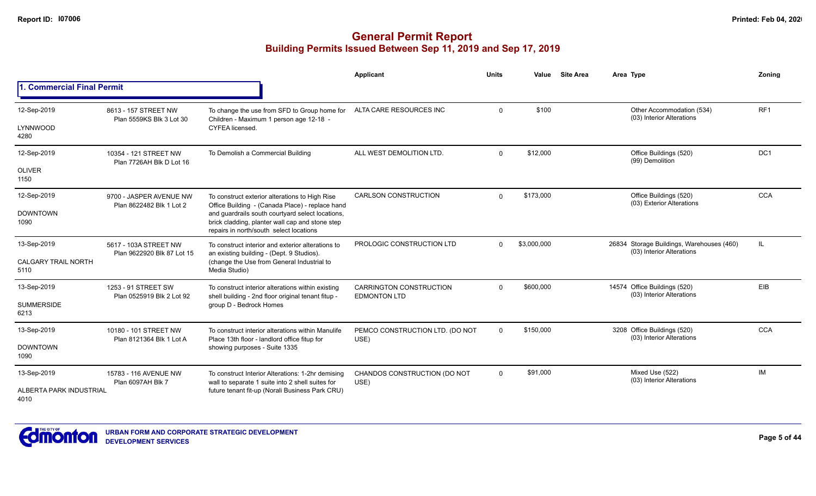|                                    |                                                     |                                                                                                                                                | Applicant                                             | <b>Units</b> | Value       | <b>Site Area</b>                                                       | Area Type                                                 | Zonina          |
|------------------------------------|-----------------------------------------------------|------------------------------------------------------------------------------------------------------------------------------------------------|-------------------------------------------------------|--------------|-------------|------------------------------------------------------------------------|-----------------------------------------------------------|-----------------|
| 1. Commercial Final Permit         |                                                     |                                                                                                                                                |                                                       |              |             |                                                                        |                                                           |                 |
| 12-Sep-2019                        | 8613 - 157 STREET NW<br>Plan 5559KS Blk 3 Lot 30    | To change the use from SFD to Group home for<br>Children - Maximum 1 person age 12-18 -                                                        | ALTA CARE RESOURCES INC                               | $\mathbf{0}$ | \$100       |                                                                        | Other Accommodation (534)<br>(03) Interior Alterations    | RF <sub>1</sub> |
| LYNNWOOD<br>4280                   |                                                     | CYFEA licensed.                                                                                                                                |                                                       |              |             |                                                                        |                                                           |                 |
| 12-Sep-2019                        | 10354 - 121 STREET NW<br>Plan 7726AH Blk D Lot 16   | To Demolish a Commercial Building                                                                                                              | ALL WEST DEMOLITION LTD.                              | $\Omega$     | \$12,000    |                                                                        | Office Buildings (520)<br>(99) Demolition                 | DC <sub>1</sub> |
| <b>OLIVER</b><br>1150              |                                                     |                                                                                                                                                |                                                       |              |             |                                                                        |                                                           |                 |
| 12-Sep-2019                        | 9700 - JASPER AVENUE NW<br>Plan 8622482 Blk 1 Lot 2 | To construct exterior alterations to High Rise<br>Office Building - (Canada Place) - replace hand                                              | <b>CARLSON CONSTRUCTION</b>                           | $\Omega$     | \$173,000   |                                                                        | Office Buildings (520)<br>(03) Exterior Alterations       | <b>CCA</b>      |
| <b>DOWNTOWN</b><br>1090            |                                                     | and guardrails south courtyard select locations,<br>brick cladding, planter wall cap and stone step<br>repairs in north/south select locations |                                                       |              |             |                                                                        |                                                           |                 |
| 13-Sep-2019                        | 5617 - 103A STREET NW<br>Plan 9622920 Blk 87 Lot 15 | To construct interior and exterior alterations to<br>an existing building - (Dept. 9 Studios).                                                 | PROLOGIC CONSTRUCTION LTD                             | $\Omega$     | \$3,000,000 | 26834 Storage Buildings, Warehouses (460)<br>(03) Interior Alterations | IL                                                        |                 |
| <b>CALGARY TRAIL NORTH</b><br>5110 |                                                     | (change the Use from General Industrial to<br>Media Studio)                                                                                    |                                                       |              |             |                                                                        |                                                           |                 |
| 13-Sep-2019                        | 1253 - 91 STREET SW<br>Plan 0525919 Blk 2 Lot 92    | To construct interior alterations within existing<br>shell building - 2nd floor original tenant fitup -                                        | <b>CARRINGTON CONSTRUCTION</b><br><b>EDMONTON LTD</b> | $\Omega$     | \$600.000   |                                                                        | 14574 Office Buildings (520)<br>(03) Interior Alterations | EIB             |
| <b>SUMMERSIDE</b><br>6213          |                                                     | group D - Bedrock Homes                                                                                                                        |                                                       |              |             |                                                                        |                                                           |                 |
| 13-Sep-2019                        | 10180 - 101 STREET NW                               | To construct interior alterations within Manulife<br>Place 13th floor - landlord office fitup for                                              | PEMCO CONSTRUCTION LTD. (DO NOT<br>USE)               | $\Omega$     | \$150,000   |                                                                        | 3208 Office Buildings (520)<br>(03) Interior Alterations  | <b>CCA</b>      |
| <b>DOWNTOWN</b><br>1090            | Plan 8121364 Blk 1 Lot A                            | showing purposes - Suite 1335                                                                                                                  |                                                       |              |             |                                                                        |                                                           |                 |
| 13-Sep-2019                        | 15783 - 116 AVENUE NW<br>Plan 6097AH Blk 7          | To construct Interior Alterations: 1-2hr demising<br>wall to separate 1 suite into 2 shell suites for                                          | CHANDOS CONSTRUCTION (DO NOT<br>USE)                  | $\Omega$     | \$91,000    |                                                                        | Mixed Use (522)<br>(03) Interior Alterations              | IM              |
| ALBERTA PARK INDUSTRIAL<br>4010    |                                                     | future tenant fit-up (Norali Business Park CRU)                                                                                                |                                                       |              |             |                                                                        |                                                           |                 |

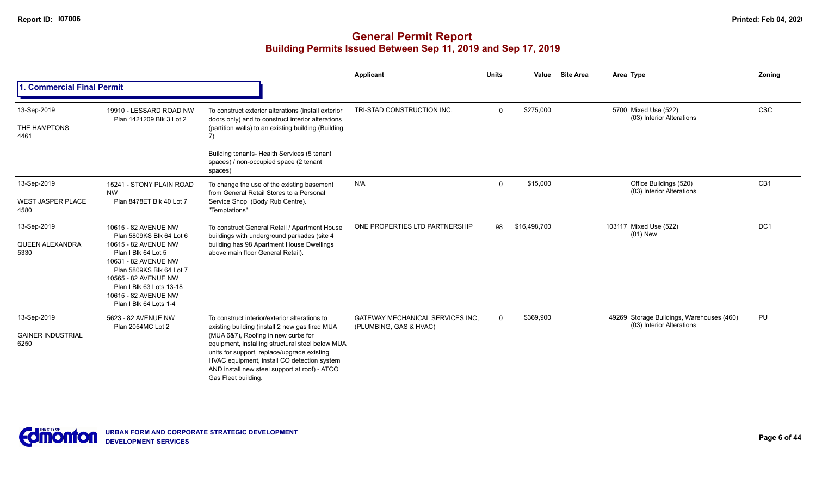|                                                 |                                                                                                                                                                                                                                                           |                                                                                                                                                                                                                                                                                                                                                                  | Applicant                                                         | <b>Units</b> | Value        | <b>Site Area</b> | Area Type                                                              | Zoning     |
|-------------------------------------------------|-----------------------------------------------------------------------------------------------------------------------------------------------------------------------------------------------------------------------------------------------------------|------------------------------------------------------------------------------------------------------------------------------------------------------------------------------------------------------------------------------------------------------------------------------------------------------------------------------------------------------------------|-------------------------------------------------------------------|--------------|--------------|------------------|------------------------------------------------------------------------|------------|
| 1. Commercial Final Permit                      |                                                                                                                                                                                                                                                           |                                                                                                                                                                                                                                                                                                                                                                  |                                                                   |              |              |                  |                                                                        |            |
| 13-Sep-2019<br>THE HAMPTONS<br>4461             | 19910 - LESSARD ROAD NW<br>Plan 1421209 Blk 3 Lot 2                                                                                                                                                                                                       | To construct exterior alterations (install exterior<br>doors only) and to construct interior alterations<br>(partition walls) to an existing building (Building<br>7)                                                                                                                                                                                            | TRI-STAD CONSTRUCTION INC.                                        | $\Omega$     | \$275,000    |                  | 5700 Mixed Use (522)<br>(03) Interior Alterations                      | <b>CSC</b> |
|                                                 |                                                                                                                                                                                                                                                           | Building tenants- Health Services (5 tenant<br>spaces) / non-occupied space (2 tenant<br>spaces)                                                                                                                                                                                                                                                                 |                                                                   |              |              |                  |                                                                        |            |
| 13-Sep-2019<br><b>WEST JASPER PLACE</b><br>4580 | 15241 - STONY PLAIN ROAD<br><b>NW</b><br>Plan 8478ET Blk 40 Lot 7                                                                                                                                                                                         | To change the use of the existing basement<br>from General Retail Stores to a Personal<br>Service Shop (Body Rub Centre).<br>"Temptations"                                                                                                                                                                                                                       | N/A                                                               | $\Omega$     | \$15,000     |                  | Office Buildings (520)<br>(03) Interior Alterations                    | CB1        |
| 13-Sep-2019<br><b>QUEEN ALEXANDRA</b><br>5330   | 10615 - 82 AVENUE NW<br>Plan 5809KS Blk 64 Lot 6<br>10615 - 82 AVENUE NW<br>Plan I Blk 64 Lot 5<br>10631 - 82 AVENUE NW<br>Plan 5809KS Blk 64 Lot 7<br>10565 - 82 AVENUE NW<br>Plan I Blk 63 Lots 13-18<br>10615 - 82 AVENUE NW<br>Plan I Blk 64 Lots 1-4 | To construct General Retail / Apartment House<br>buildings with underground parkades (site 4<br>building has 98 Apartment House Dwellings<br>above main floor General Retail).                                                                                                                                                                                   | ONE PROPERTIES LTD PARTNERSHIP                                    | 98           | \$16,498,700 |                  | 103117 Mixed Use (522)<br>$(01)$ New                                   | DC1        |
| 13-Sep-2019<br><b>GAINER INDUSTRIAL</b><br>6250 | 5623 - 82 AVENUE NW<br>Plan 2054MC Lot 2                                                                                                                                                                                                                  | To construct interior/exterior alterations to<br>existing building (install 2 new gas fired MUA<br>(MUA 6&7), Roofing in new curbs for<br>equipment, installing structural steel below MUA<br>units for support, replace/upgrade existing<br>HVAC equipment, install CO detection system<br>AND install new steel support at roof) - ATCO<br>Gas Fleet building. | <b>GATEWAY MECHANICAL SERVICES INC.</b><br>(PLUMBING, GAS & HVAC) | $\mathbf 0$  | \$369,900    |                  | 49269 Storage Buildings, Warehouses (460)<br>(03) Interior Alterations | PU         |

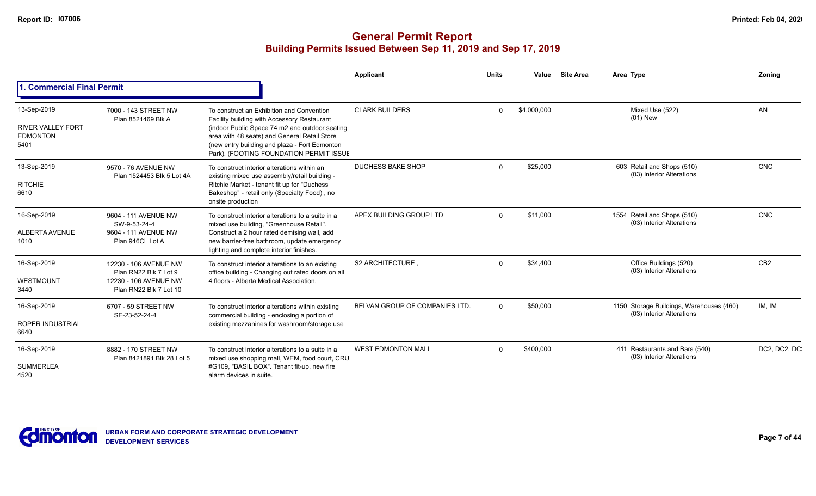|                                                                    |                                                                                                   |                                                                                                                                                                                                                                                                                        | Applicant                      | <b>Units</b> | Value       | <b>Site Area</b> | Area Type                                                             | Zonina          |
|--------------------------------------------------------------------|---------------------------------------------------------------------------------------------------|----------------------------------------------------------------------------------------------------------------------------------------------------------------------------------------------------------------------------------------------------------------------------------------|--------------------------------|--------------|-------------|------------------|-----------------------------------------------------------------------|-----------------|
| <b>I. Commercial Final Permit</b>                                  |                                                                                                   |                                                                                                                                                                                                                                                                                        |                                |              |             |                  |                                                                       |                 |
| 13-Sep-2019<br><b>RIVER VALLEY FORT</b><br><b>EDMONTON</b><br>5401 | 7000 - 143 STREET NW<br>Plan 8521469 Blk A                                                        | To construct an Exhibition and Convention<br>Facility building with Accessory Restaurant<br>(indoor Public Space 74 m2 and outdoor seating<br>area with 48 seats) and General Retail Store<br>(new entry building and plaza - Fort Edmonton<br>Park). (FOOTING FOUNDATION PERMIT ISSUE | <b>CLARK BUILDERS</b>          | $\Omega$     | \$4,000,000 |                  | Mixed Use (522)<br>$(01)$ New                                         | AN              |
| 13-Sep-2019<br><b>RITCHIE</b><br>6610                              | 9570 - 76 AVENUE NW<br>Plan 1524453 Blk 5 Lot 4A                                                  | To construct interior alterations within an<br>existing mixed use assembly/retail building -<br>Ritchie Market - tenant fit up for "Duchess<br>Bakeshop" - retail only (Specialty Food), no<br>onsite production                                                                       | <b>DUCHESS BAKE SHOP</b>       | $\Omega$     | \$25,000    |                  | 603 Retail and Shops (510)<br>(03) Interior Alterations               | <b>CNC</b>      |
| 16-Sep-2019<br><b>ALBERTA AVENUE</b><br>1010                       | 9604 - 111 AVENUE NW<br>SW-9-53-24-4<br>9604 - 111 AVENUE NW<br>Plan 946CL Lot A                  | To construct interior alterations to a suite in a<br>mixed use building. "Greenhouse Retail".<br>Construct a 2 hour rated demising wall, add<br>new barrier-free bathroom, update emergency<br>lighting and complete interior finishes.                                                | APEX BUILDING GROUP LTD        | $\Omega$     | \$11.000    |                  | 1554 Retail and Shops (510)<br>(03) Interior Alterations              | <b>CNC</b>      |
| 16-Sep-2019<br>WESTMOUNT<br>3440                                   | 12230 - 106 AVENUE NW<br>Plan RN22 Blk 7 Lot 9<br>12230 - 106 AVENUE NW<br>Plan RN22 Blk 7 Lot 10 | To construct interior alterations to an existing<br>office building - Changing out rated doors on all<br>4 floors - Alberta Medical Association.                                                                                                                                       | S2 ARCHITECTURE                | $\Omega$     | \$34,400    |                  | Office Buildings (520)<br>(03) Interior Alterations                   | CB <sub>2</sub> |
| 16-Sep-2019<br><b>ROPER INDUSTRIAL</b><br>6640                     | 6707 - 59 STREET NW<br>SE-23-52-24-4                                                              | To construct interior alterations within existing<br>commercial building - enclosing a portion of<br>existing mezzanines for washroom/storage use                                                                                                                                      | BELVAN GROUP OF COMPANIES LTD. | $\Omega$     | \$50,000    |                  | 1150 Storage Buildings, Warehouses (460)<br>(03) Interior Alterations | IM. IM          |
| 16-Sep-2019<br><b>SUMMERLEA</b><br>4520                            | 8882 - 170 STREET NW<br>Plan 8421891 Blk 28 Lot 5                                                 | To construct interior alterations to a suite in a<br>mixed use shopping mall, WEM, food court, CRU<br>#G109, "BASIL BOX". Tenant fit-up, new fire<br>alarm devices in suite.                                                                                                           | <b>WEST EDMONTON MALL</b>      | $\Omega$     | \$400.000   |                  | 411 Restaurants and Bars (540)<br>(03) Interior Alterations           | DC2, DC2, DC    |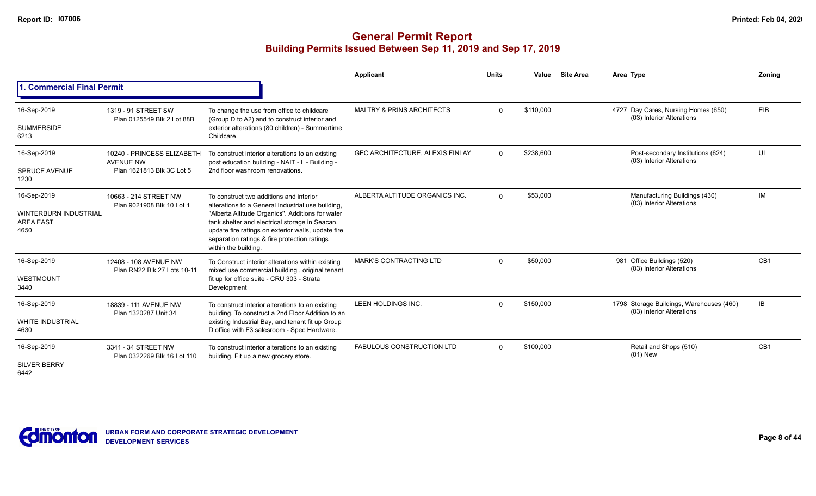|                                                                         |                                                                             |                                                                                                                                                                                                                                                                                                                                  | Applicant                            | <b>Units</b> | Value     | <b>Site Area</b> | Area Type                                                             | Zoning          |
|-------------------------------------------------------------------------|-----------------------------------------------------------------------------|----------------------------------------------------------------------------------------------------------------------------------------------------------------------------------------------------------------------------------------------------------------------------------------------------------------------------------|--------------------------------------|--------------|-----------|------------------|-----------------------------------------------------------------------|-----------------|
| . Commercial Final Permit                                               |                                                                             |                                                                                                                                                                                                                                                                                                                                  |                                      |              |           |                  |                                                                       |                 |
| 16-Sep-2019<br><b>SUMMERSIDE</b><br>6213                                | 1319 - 91 STREET SW<br>Plan 0125549 Blk 2 Lot 88B                           | To change the use from office to childcare<br>(Group D to A2) and to construct interior and<br>exterior alterations (80 children) - Summertime<br>Childcare.                                                                                                                                                                     | <b>MALTBY &amp; PRINS ARCHITECTS</b> | $\Omega$     | \$110,000 |                  | 4727 Day Cares, Nursing Homes (650)<br>(03) Interior Alterations      | <b>EIB</b>      |
| 16-Sep-2019<br><b>SPRUCE AVENUE</b><br>1230                             | 10240 - PRINCESS ELIZABETH<br><b>AVENUE NW</b><br>Plan 1621813 Blk 3C Lot 5 | To construct interior alterations to an existing<br>post education building - NAIT - L - Building -<br>2nd floor washroom renovations.                                                                                                                                                                                           | GEC ARCHITECTURE, ALEXIS FINLAY      | $\Omega$     | \$238,600 |                  | Post-secondary Institutions (624)<br>(03) Interior Alterations        | UI              |
| 16-Sep-2019<br><b>WINTERBURN INDUSTRIAL</b><br><b>AREA EAST</b><br>4650 | 10663 - 214 STREET NW<br>Plan 9021908 Blk 10 Lot 1                          | To construct two additions and interior<br>alterations to a General Industrial use building,<br>"Alberta Altitude Organics". Additions for water<br>tank shelter and electrical storage in Seacan,<br>update fire ratings on exterior walls, update fire<br>separation ratings & fire protection ratings<br>within the building. | ALBERTA ALTITUDE ORGANICS INC.       | $\Omega$     | \$53,000  |                  | Manufacturing Buildings (430)<br>(03) Interior Alterations            | <b>IM</b>       |
| 16-Sep-2019<br>WESTMOUNT<br>3440                                        | 12408 - 108 AVENUE NW<br>Plan RN22 Blk 27 Lots 10-11                        | To Construct interior alterations within existing<br>mixed use commercial building, original tenant<br>fit up for office suite - CRU 303 - Strata<br>Development                                                                                                                                                                 | <b>MARK'S CONTRACTING LTD</b>        | $\Omega$     | \$50,000  |                  | 981 Office Buildings (520)<br>(03) Interior Alterations               | CB <sub>1</sub> |
| 16-Sep-2019<br><b>WHITE INDUSTRIAL</b><br>4630                          | 18839 - 111 AVENUE NW<br>Plan 1320287 Unit 34                               | To construct interior alterations to an existing<br>building. To construct a 2nd Floor Addition to an<br>existing Industrial Bay, and tenant fit up Group<br>D office with F3 salesroom - Spec Hardware.                                                                                                                         | LEEN HOLDINGS INC.                   | $\Omega$     | \$150,000 |                  | 1798 Storage Buildings, Warehouses (460)<br>(03) Interior Alterations | IB.             |
| 16-Sep-2019<br><b>SILVER BERRY</b><br>6442                              | 3341 - 34 STREET NW<br>Plan 0322269 Blk 16 Lot 110                          | To construct interior alterations to an existing<br>building. Fit up a new grocery store.                                                                                                                                                                                                                                        | <b>FABULOUS CONSTRUCTION LTD</b>     | $\Omega$     | \$100,000 |                  | Retail and Shops (510)<br>$(01)$ New                                  | CB <sub>1</sub> |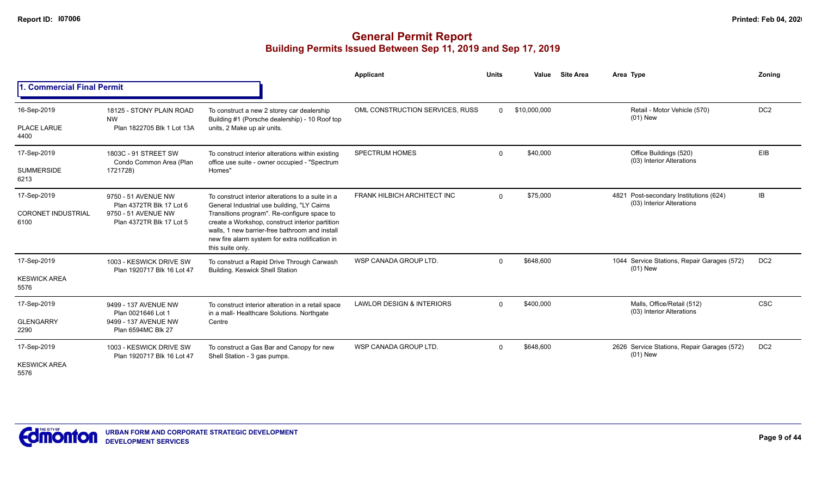|                                                  |                                                                                                    |                                                                                                                                                                                                                                                                                                                             | Applicant                            | <b>Units</b>            | Value                                               | <b>Site Area</b> | Area Type                                                           | Zonina          |
|--------------------------------------------------|----------------------------------------------------------------------------------------------------|-----------------------------------------------------------------------------------------------------------------------------------------------------------------------------------------------------------------------------------------------------------------------------------------------------------------------------|--------------------------------------|-------------------------|-----------------------------------------------------|------------------|---------------------------------------------------------------------|-----------------|
| 1. Commercial Final Permit                       |                                                                                                    |                                                                                                                                                                                                                                                                                                                             |                                      |                         |                                                     |                  |                                                                     |                 |
| 16-Sep-2019                                      | 18125 - STONY PLAIN ROAD<br><b>NW</b>                                                              | To construct a new 2 storey car dealership<br>Building #1 (Porsche dealership) - 10 Roof top                                                                                                                                                                                                                                | OML CONSTRUCTION SERVICES, RUSS      | $\Omega$                | \$10,000,000                                        |                  | Retail - Motor Vehicle (570)<br>$(01)$ New                          | DC <sub>2</sub> |
| PLACE LARUE<br>4400                              | Plan 1822705 Blk 1 Lot 13A                                                                         | units, 2 Make up air units.                                                                                                                                                                                                                                                                                                 |                                      |                         |                                                     |                  |                                                                     |                 |
| 17-Sep-2019                                      | 1803C - 91 STREET SW<br>Condo Common Area (Plan<br>1721728)                                        | To construct interior alterations within existing<br>office use suite - owner occupied - "Spectrum                                                                                                                                                                                                                          | <b>SPECTRUM HOMES</b>                | \$40,000<br>$\mathbf 0$ | Office Buildings (520)<br>(03) Interior Alterations | <b>EIB</b>       |                                                                     |                 |
| <b>SUMMERSIDE</b><br>6213                        |                                                                                                    | Homes'                                                                                                                                                                                                                                                                                                                      |                                      |                         |                                                     |                  |                                                                     |                 |
| 17-Sep-2019<br><b>CORONET INDUSTRIAL</b><br>6100 | 9750 - 51 AVENUE NW<br>Plan 4372TR Blk 17 Lot 6<br>9750 - 51 AVENUE NW<br>Plan 4372TR Blk 17 Lot 5 | To construct interior alterations to a suite in a<br>General Industrial use building, "LY Cairns<br>Transitions program". Re-configure space to<br>create a Workshop, construct interior partition<br>walls. 1 new barrier-free bathroom and install<br>new fire alarm system for extra notification in<br>this suite only. | <b>FRANK HILBICH ARCHITECT INC</b>   | $\Omega$                | \$75,000                                            |                  | 4821 Post-secondary Institutions (624)<br>(03) Interior Alterations | IB              |
| 17-Sep-2019<br><b>KESWICK AREA</b><br>5576       | 1003 - KESWICK DRIVE SW<br>Plan 1920717 Blk 16 Lot 47                                              | To construct a Rapid Drive Through Carwash<br><b>Building. Keswick Shell Station</b>                                                                                                                                                                                                                                        | WSP CANADA GROUP LTD.                | $\Omega$                | \$648,600                                           |                  | 1044 Service Stations, Repair Garages (572)<br>$(01)$ New           | DC <sub>2</sub> |
| 17-Sep-2019<br><b>GLENGARRY</b><br>2290          | 9499 - 137 AVENUE NW<br>Plan 0021646 Lot 1<br>9499 - 137 AVENUE NW<br>Plan 6594MC Blk 27           | To construct interior alteration in a retail space<br>in a mall- Healthcare Solutions. Northgate<br>Centre                                                                                                                                                                                                                  | <b>LAWLOR DESIGN &amp; INTERIORS</b> | $\Omega$                | \$400,000                                           |                  | Malls, Office/Retail (512)<br>(03) Interior Alterations             | <b>CSC</b>      |
| 17-Sep-2019<br><b>KESWICK AREA</b><br>5576       | 1003 - KESWICK DRIVE SW<br>Plan 1920717 Blk 16 Lot 47                                              | To construct a Gas Bar and Canopy for new<br>Shell Station - 3 gas pumps.                                                                                                                                                                                                                                                   | WSP CANADA GROUP LTD.                | $\Omega$                | \$648,600                                           |                  | 2626 Service Stations, Repair Garages (572)<br>$(01)$ New           | DC <sub>2</sub> |

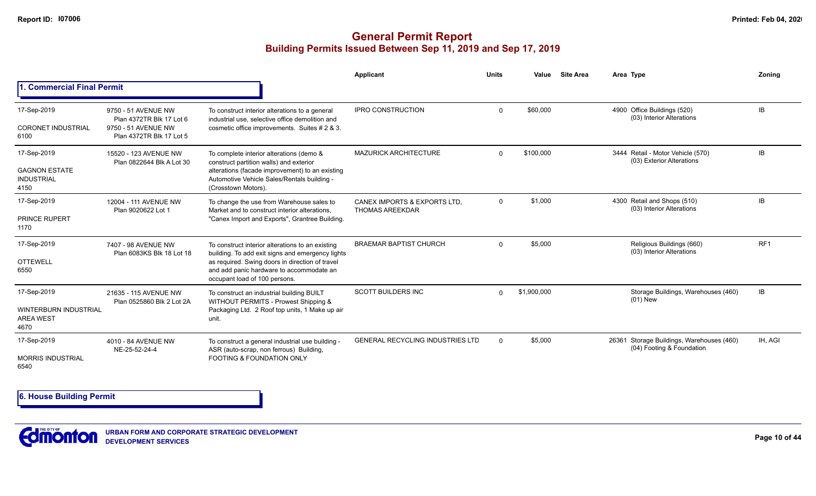### **General Permit Report Building Permits Issued Between Sep 11, 2019 and Sep 17, 2019**

|                                                                         |                                                                                                    |                                                                                                                                                                                                                                      | Applicant                                              | <b>Units</b> | Value       | <b>Site Area</b> | Area Type                                                                 | Zonina          |
|-------------------------------------------------------------------------|----------------------------------------------------------------------------------------------------|--------------------------------------------------------------------------------------------------------------------------------------------------------------------------------------------------------------------------------------|--------------------------------------------------------|--------------|-------------|------------------|---------------------------------------------------------------------------|-----------------|
| <b>. Commercial Final Permit</b>                                        |                                                                                                    |                                                                                                                                                                                                                                      |                                                        |              |             |                  |                                                                           |                 |
| 17-Sep-2019<br><b>CORONET INDUSTRIAL</b><br>6100                        | 9750 - 51 AVENUE NW<br>Plan 4372TR Blk 17 Lot 6<br>9750 - 51 AVENUE NW<br>Plan 4372TR Blk 17 Lot 5 | To construct interior alterations to a general<br>industrial use, selective office demolition and<br>cosmetic office improvements. Suites # 2 & 3.                                                                                   | <b>IPRO CONSTRUCTION</b>                               | $\mathbf 0$  | \$60,000    |                  | 4900 Office Buildings (520)<br>(03) Interior Alterations                  | IB              |
| 17-Sep-2019<br><b>GAGNON ESTATE</b><br><b>INDUSTRIAL</b><br>4150        | 15520 - 123 AVENUE NW<br>Plan 0822644 Blk A Lot 30                                                 | To complete interior alterations (demo &<br>construct partition walls) and exterior<br>alterations (facade improvement) to an existing<br>Automotive Vehicle Sales/Rentals building -<br>(Crosstown Motors).                         | <b>MAZURICK ARCHITECTURE</b>                           | $\Omega$     | \$100,000   |                  | 3444 Retail - Motor Vehicle (570)<br>(03) Exterior Alterations            | <b>IB</b>       |
| 17-Sep-2019<br><b>PRINCE RUPERT</b><br>1170                             | 12004 - 111 AVENUE NW<br>Plan 9020622 Lot 1                                                        | To change the use from Warehouse sales to<br>Market and to construct interior alterations.<br>"Canex Import and Exports", Grantree Building.                                                                                         | CANEX IMPORTS & EXPORTS LTD.<br><b>THOMAS AREEKDAR</b> | $\Omega$     | \$1,000     |                  | 4300 Retail and Shops (510)<br>(03) Interior Alterations                  | IB              |
| 17-Sep-2019<br><b>OTTEWELL</b><br>6550                                  | 7407 - 98 AVENUE NW<br>Plan 6083KS Blk 18 Lot 18                                                   | To construct interior alterations to an existing<br>building. To add exit signs and emergency lights<br>as required. Swing doors in direction of travel<br>and add panic hardware to accommodate an<br>occupant load of 100 persons. | <b>BRAEMAR BAPTIST CHURCH</b>                          | $\Omega$     | \$5,000     |                  | Religious Buildings (660)<br>(03) Interior Alterations                    | RF <sub>1</sub> |
| 17-Sep-2019<br><b>WINTERBURN INDUSTRIAL</b><br><b>AREA WEST</b><br>4670 | 21635 - 115 AVENUE NW<br>Plan 0525860 Blk 2 Lot 2A                                                 | To construct an industrial building BUILT<br>WITHOUT PERMITS - Prowest Shipping &<br>Packaging Ltd. 2 Roof top units, 1 Make up air<br>unit.                                                                                         | <b>SCOTT BUILDERS INC</b>                              | 0            | \$1,900,000 |                  | Storage Buildings, Warehouses (460)<br>$(01)$ New                         | IB              |
| 17-Sep-2019<br><b>MORRIS INDUSTRIAL</b><br>6540                         | 4010 - 84 AVENUE NW<br>NE-25-52-24-4                                                               | To construct a general industrial use building -<br>ASR (auto-scrap, non ferrous) Building,<br><b>FOOTING &amp; FOUNDATION ONLY</b>                                                                                                  | <b>GENERAL RECYCLING INDUSTRIES LTD</b>                | $\Omega$     | \$5,000     |                  | Storage Buildings, Warehouses (460)<br>26361<br>(04) Footing & Foundation | IH. AGI         |

**6. House Building Permit**

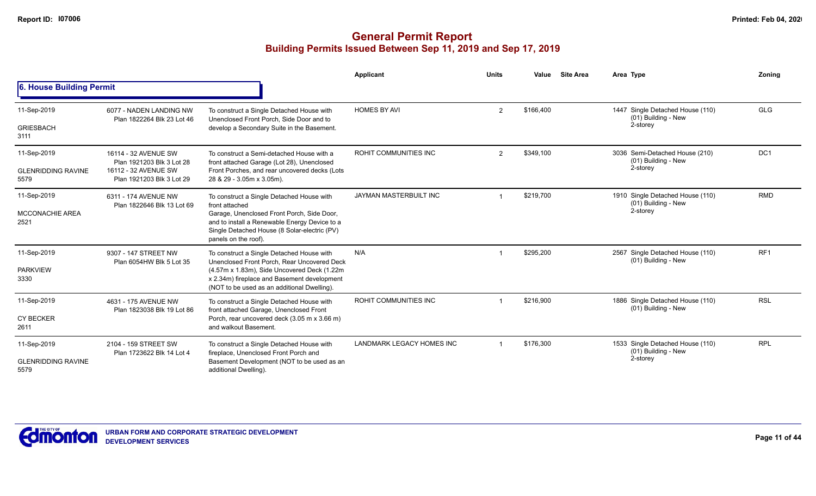|                                               |                                                                                                        |                                                                                                                                                                                                                                    | <b>Applicant</b>                 | <b>Units</b>   | Value     | <b>Site Area</b> | Area Type                                                           | Zoning          |
|-----------------------------------------------|--------------------------------------------------------------------------------------------------------|------------------------------------------------------------------------------------------------------------------------------------------------------------------------------------------------------------------------------------|----------------------------------|----------------|-----------|------------------|---------------------------------------------------------------------|-----------------|
| 6. House Building Permit                      |                                                                                                        |                                                                                                                                                                                                                                    |                                  |                |           |                  |                                                                     |                 |
| 11-Sep-2019                                   | 6077 - NADEN LANDING NW<br>Plan 1822264 Blk 23 Lot 46                                                  | To construct a Single Detached House with<br>Unenclosed Front Porch. Side Door and to                                                                                                                                              | <b>HOMES BY AVI</b>              | $\overline{2}$ | \$166,400 |                  | 1447 Single Detached House (110)<br>(01) Building - New             | <b>GLG</b>      |
| <b>GRIESBACH</b><br>3111                      |                                                                                                        | develop a Secondary Suite in the Basement.                                                                                                                                                                                         |                                  |                |           |                  | 2-storey                                                            |                 |
| 11-Sep-2019                                   | 16114 - 32 AVENUE SW<br>Plan 1921203 Blk 3 Lot 28<br>16112 - 32 AVENUE SW<br>Plan 1921203 Blk 3 Lot 29 | To construct a Semi-detached House with a<br>front attached Garage (Lot 28), Unenclosed                                                                                                                                            | <b>ROHIT COMMUNITIES INC</b>     | 2              | \$349,100 |                  | 3036 Semi-Detached House (210)<br>(01) Building - New               | DC <sub>1</sub> |
| <b>GLENRIDDING RAVINE</b><br>5579             |                                                                                                        | Front Porches, and rear uncovered decks (Lots<br>28 & 29 - 3.05m x 3.05m).                                                                                                                                                         |                                  |                |           |                  | 2-storey                                                            |                 |
| 11-Sep-2019<br><b>MCCONACHIE AREA</b><br>2521 | 6311 - 174 AVENUE NW<br>Plan 1822646 Blk 13 Lot 69                                                     | To construct a Single Detached House with<br>front attached<br>Garage, Unenclosed Front Porch, Side Door,<br>and to install a Renewable Energy Device to a<br>Single Detached House (8 Solar-electric (PV)<br>panels on the roof). | JAYMAN MASTERBUILT INC           |                | \$219,700 |                  | 1910 Single Detached House (110)<br>(01) Building - New<br>2-storey | <b>RMD</b>      |
| 11-Sep-2019<br><b>PARKVIEW</b><br>3330        | 9307 - 147 STREET NW<br>Plan 6054HW Blk 5 Lot 35                                                       | To construct a Single Detached House with<br>Unenclosed Front Porch, Rear Uncovered Deck<br>(4.57m x 1.83m), Side Uncovered Deck (1.22m)<br>x 2.34m) fireplace and Basement development                                            | N/A                              |                | \$295,200 |                  | 2567 Single Detached House (110)<br>(01) Building - New             | RF <sub>1</sub> |
|                                               |                                                                                                        | (NOT to be used as an additional Dwelling).                                                                                                                                                                                        |                                  |                |           |                  |                                                                     |                 |
| 11-Sep-2019                                   | 4631 - 175 AVENUE NW<br>Plan 1823038 Blk 19 Lot 86                                                     | To construct a Single Detached House with<br>front attached Garage, Unenclosed Front                                                                                                                                               | <b>ROHIT COMMUNITIES INC</b>     |                | \$216,900 |                  | 1886 Single Detached House (110)<br>(01) Building - New             | <b>RSL</b>      |
| <b>CY BECKER</b><br>2611                      |                                                                                                        | Porch, rear uncovered deck (3.05 m x 3.66 m)<br>and walkout Basement.                                                                                                                                                              |                                  |                |           |                  |                                                                     |                 |
| 11-Sep-2019                                   | 2104 - 159 STREET SW<br>Plan 1723622 Blk 14 Lot 4                                                      | To construct a Single Detached House with<br>fireplace, Unenclosed Front Porch and                                                                                                                                                 | <b>LANDMARK LEGACY HOMES INC</b> |                | \$176,300 |                  | 1533 Single Detached House (110)<br>(01) Building - New             | <b>RPL</b>      |
| <b>GLENRIDDING RAVINE</b><br>5579             |                                                                                                        | Basement Development (NOT to be used as an<br>additional Dwelling).                                                                                                                                                                |                                  |                |           |                  | 2-storey                                                            |                 |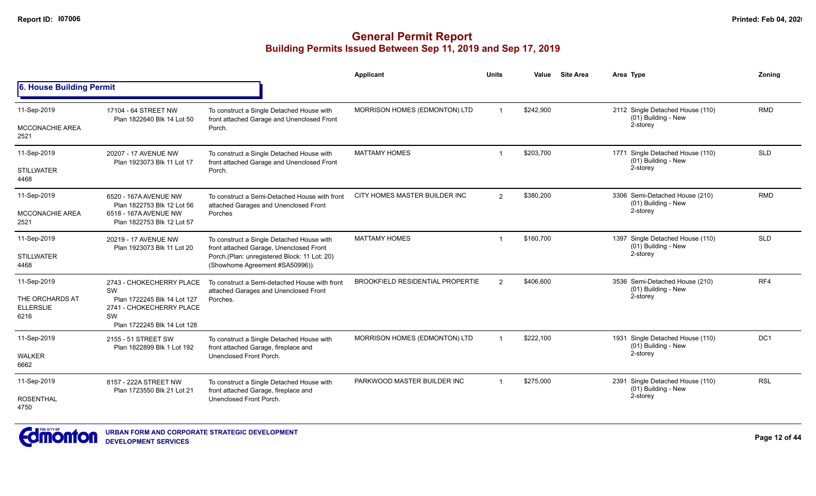|                                     |                                                         |                                                                                                                            | <b>Applicant</b>                        | <b>Units</b>   | Value     | <b>Site Area</b>                                        | Area Type                                               | Zoning          |
|-------------------------------------|---------------------------------------------------------|----------------------------------------------------------------------------------------------------------------------------|-----------------------------------------|----------------|-----------|---------------------------------------------------------|---------------------------------------------------------|-----------------|
| 6. House Building Permit            |                                                         |                                                                                                                            |                                         |                |           |                                                         |                                                         |                 |
| 11-Sep-2019                         | 17104 - 64 STREET NW                                    | To construct a Single Detached House with                                                                                  | MORRISON HOMES (EDMONTON) LTD           | $\overline{1}$ | \$242,900 |                                                         | 2112 Single Detached House (110)<br>(01) Building - New | <b>RMD</b>      |
| <b>MCCONACHIE AREA</b><br>2521      | Plan 1822640 Blk 14 Lot 50                              | front attached Garage and Unenclosed Front<br>Porch.                                                                       |                                         |                |           |                                                         | 2-storey                                                |                 |
| 11-Sep-2019                         | 20207 - 17 AVENUE NW<br>Plan 1923073 Blk 11 Lot 17      | To construct a Single Detached House with<br>front attached Garage and Unenclosed Front                                    | <b>MATTAMY HOMES</b>                    | \$203,700      |           | 1771 Single Detached House (110)<br>(01) Building - New | <b>SLD</b>                                              |                 |
| <b>STILLWATER</b><br>4468           |                                                         | Porch.                                                                                                                     |                                         |                |           |                                                         | 2-storey                                                |                 |
| 11-Sep-2019                         | 6520 - 167A AVENUE NW<br>Plan 1822753 Blk 12 Lot 56     | To construct a Semi-Detached House with front<br>attached Garages and Unenclosed Front                                     | CITY HOMES MASTER BUILDER INC           | $\overline{2}$ | \$380,200 |                                                         | 3306 Semi-Detached House (210)<br>(01) Building - New   | <b>RMD</b>      |
| <b>MCCONACHIE AREA</b><br>2521      | 6518 - 167A AVENUE NW<br>Plan 1822753 Blk 12 Lot 57     | Porches                                                                                                                    |                                         |                |           |                                                         | 2-storey                                                |                 |
| 11-Sep-2019                         | 20219 - 17 AVENUE NW<br>Plan 1923073 Blk 11 Lot 20      | To construct a Single Detached House with                                                                                  | <b>MATTAMY HOMES</b>                    | -1             | \$160,700 |                                                         | 1397 Single Detached House (110)<br>(01) Building - New | <b>SLD</b>      |
| <b>STILLWATER</b><br>4468           |                                                         | front attached Garage, Unenclosed Front<br>Porch.(Plan: unregistered Block: 11 Lot: 20)<br>(Showhome Agreement #SA50996)). |                                         |                |           |                                                         | 2-storey                                                |                 |
| 11-Sep-2019                         | 2743 - CHOKECHERRY PLACE<br><b>SW</b>                   | To construct a Semi-detached House with front<br>attached Garages and Unenclosed Front                                     | <b>BROOKFIELD RESIDENTIAL PROPERTIE</b> | $\overline{2}$ | \$406,600 |                                                         | 3536 Semi-Detached House (210)<br>(01) Building - New   | RF4             |
| THE ORCHARDS AT<br><b>ELLERSLIE</b> | Plan 1722245 Blk 14 Lot 127<br>2741 - CHOKECHERRY PLACE | Porches.                                                                                                                   |                                         |                |           |                                                         | 2-storey                                                |                 |
| 6216                                | SW<br>Plan 1722245 Blk 14 Lot 128                       |                                                                                                                            |                                         |                |           |                                                         |                                                         |                 |
| 11-Sep-2019                         | 2155 - 51 STREET SW<br>Plan 1822899 Blk 1 Lot 192       | To construct a Single Detached House with<br>front attached Garage, fireplace and                                          | MORRISON HOMES (EDMONTON) LTD           |                | \$222,100 |                                                         | 1931 Single Detached House (110)<br>(01) Building - New | DC <sub>1</sub> |
| <b>WALKER</b><br>6662               |                                                         | Unenclosed Front Porch.                                                                                                    |                                         |                |           |                                                         | 2-storey                                                |                 |
| 11-Sep-2019                         | 8157 - 222A STREET NW<br>Plan 1723550 Blk 21 Lot 21     | To construct a Single Detached House with<br>front attached Garage, fireplace and                                          | PARKWOOD MASTER BUILDER INC             |                | \$275,000 |                                                         | 2391 Single Detached House (110)<br>(01) Building - New | <b>RSL</b>      |
| <b>ROSENTHAL</b><br>4750            |                                                         | Unenclosed Front Porch.                                                                                                    |                                         |                |           |                                                         | 2-storey                                                |                 |

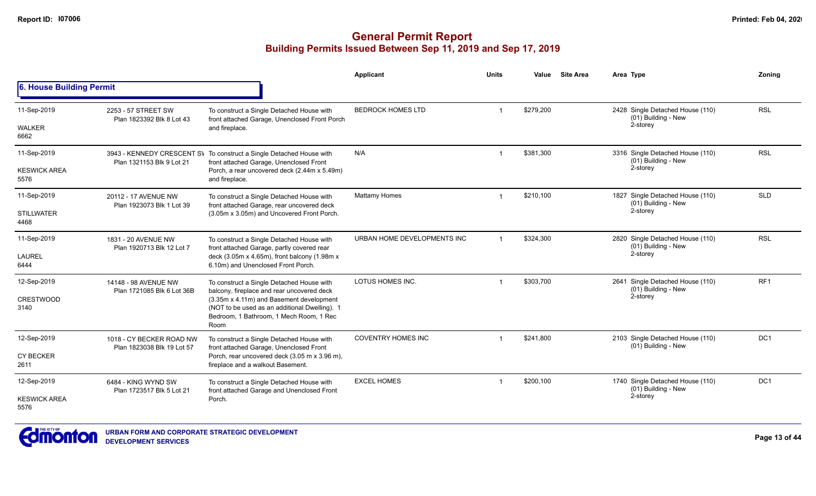|                             |                                                    |                                                                                                                                              | Applicant                   | Units          | Value     | <b>Site Area</b>                                        | Area Type                                                           | Zoning          |
|-----------------------------|----------------------------------------------------|----------------------------------------------------------------------------------------------------------------------------------------------|-----------------------------|----------------|-----------|---------------------------------------------------------|---------------------------------------------------------------------|-----------------|
| 6. House Building Permit    |                                                    |                                                                                                                                              |                             |                |           |                                                         |                                                                     |                 |
| 11-Sep-2019                 | 2253 - 57 STREET SW<br>Plan 1823392 Blk 8 Lot 43   | To construct a Single Detached House with<br>front attached Garage, Unenclosed Front Porch                                                   | <b>BEDROCK HOMES LTD</b>    | -1             | \$279,200 |                                                         | 2428 Single Detached House (110)<br>(01) Building - New<br>2-storey | <b>RSL</b>      |
| <b>WALKER</b><br>6662       |                                                    | and fireplace.                                                                                                                               |                             |                |           |                                                         |                                                                     |                 |
| 11-Sep-2019                 | Plan 1321153 Blk 9 Lot 21                          | 3943 - KENNEDY CRESCENT SV To construct a Single Detached House with<br>front attached Garage, Unenclosed Front                              | N/A                         | -1             | \$381,300 |                                                         | 3316 Single Detached House (110)<br>(01) Building - New             | <b>RSL</b>      |
| <b>KESWICK AREA</b><br>5576 |                                                    | Porch, a rear uncovered deck (2.44m x 5.49m)<br>and fireplace.                                                                               |                             |                |           |                                                         | 2-storey                                                            |                 |
| 11-Sep-2019                 | 20112 - 17 AVENUE NW<br>Plan 1923073 Blk 1 Lot 39  | To construct a Single Detached House with<br>front attached Garage, rear uncovered deck                                                      | <b>Mattamy Homes</b>        | $\mathbf 1$    | \$210,100 |                                                         | 1827 Single Detached House (110)<br>(01) Building - New             | <b>SLD</b>      |
| <b>STILLWATER</b><br>4468   |                                                    | (3.05m x 3.05m) and Uncovered Front Porch.                                                                                                   |                             |                |           |                                                         | 2-storey                                                            |                 |
| 11-Sep-2019                 | 1831 - 20 AVENUE NW<br>Plan 1920713 Blk 12 Lot 7   | To construct a Single Detached House with<br>front attached Garage, partly covered rear                                                      | URBAN HOME DEVELOPMENTS INC | $\overline{1}$ | \$324.300 |                                                         | 2820 Single Detached House (110)<br>(01) Building - New             | <b>RSL</b>      |
| <b>LAUREL</b><br>6444       |                                                    | deck $(3.05m \times 4.65m)$ , front balcony $(1.98m \times$<br>6.10m) and Unenclosed Front Porch.                                            |                             |                |           |                                                         | 2-storey                                                            |                 |
| 12-Sep-2019                 | 14148 - 98 AVENUE NW<br>Plan 1721085 Blk 6 Lot 36B | To construct a Single Detached House with<br>balcony, fireplace and rear uncovered deck                                                      | LOTUS HOMES INC.            | \$303,700      |           | 2641 Single Detached House (110)<br>(01) Building - New | RF <sub>1</sub>                                                     |                 |
| CRESTWOOD<br>3140           |                                                    | (3.35m x 4.11m) and Basement development<br>(NOT to be used as an additional Dwelling). 1<br>Bedroom, 1 Bathroom, 1 Mech Room, 1 Rec<br>Room |                             |                |           |                                                         | 2-storey                                                            |                 |
| 12-Sep-2019                 | 1018 - CY BECKER ROAD NW                           | To construct a Single Detached House with<br>front attached Garage, Unenclosed Front                                                         | <b>COVENTRY HOMES INC</b>   | $\overline{1}$ | \$241,800 |                                                         | 2103 Single Detached House (110)<br>(01) Building - New             | DC <sub>1</sub> |
| <b>CY BECKER</b><br>2611    | Plan 1823038 Blk 19 Lot 57                         | Porch, rear uncovered deck (3.05 m x 3.96 m),<br>fireplace and a walkout Basement.                                                           |                             |                |           |                                                         |                                                                     |                 |
| 12-Sep-2019                 | 6484 - KING WYND SW<br>Plan 1723517 Blk 5 Lot 21   | To construct a Single Detached House with<br>front attached Garage and Unenclosed Front                                                      | <b>EXCEL HOMES</b>          |                | \$200,100 |                                                         | 1740 Single Detached House (110)<br>(01) Building - New             | DC <sub>1</sub> |
| <b>KESWICK AREA</b><br>5576 |                                                    | Porch.                                                                                                                                       |                             |                |           |                                                         | 2-storey                                                            |                 |

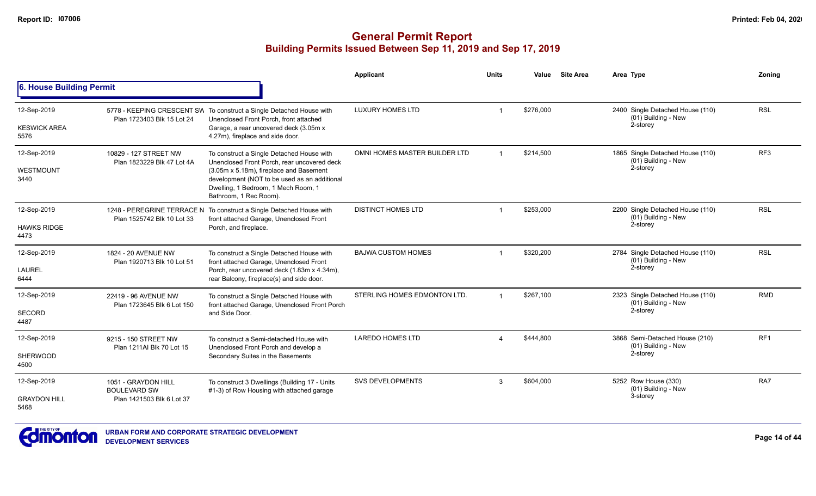|                                    |                                                     |                                                                                                                                                          | <b>Applicant</b>              | <b>Units</b>   | Value     | <b>Site Area</b> | Area Type                                                           | Zoning          |
|------------------------------------|-----------------------------------------------------|----------------------------------------------------------------------------------------------------------------------------------------------------------|-------------------------------|----------------|-----------|------------------|---------------------------------------------------------------------|-----------------|
| 6. House Building Permit           |                                                     |                                                                                                                                                          |                               |                |           |                  |                                                                     |                 |
| 12-Sep-2019<br><b>KESWICK AREA</b> | Plan 1723403 Blk 15 Lot 24                          | 5778 - KEEPING CRESCENT SW To construct a Single Detached House with<br>Unenclosed Front Porch, front attached<br>Garage, a rear uncovered deck (3.05m x | <b>LUXURY HOMES LTD</b>       | -1             | \$276,000 |                  | 2400 Single Detached House (110)<br>(01) Building - New<br>2-storey | <b>RSL</b>      |
| 5576                               |                                                     | 4.27m), fireplace and side door.                                                                                                                         |                               |                |           |                  |                                                                     |                 |
| 12-Sep-2019                        | 10829 - 127 STREET NW<br>Plan 1823229 Blk 47 Lot 4A | To construct a Single Detached House with<br>Unenclosed Front Porch, rear uncovered deck                                                                 | OMNI HOMES MASTER BUILDER LTD |                | \$214.500 |                  | 1865 Single Detached House (110)<br>(01) Building - New             | RF <sub>3</sub> |
| WESTMOUNT<br>3440                  |                                                     | (3.05m x 5.18m), fireplace and Basement<br>development (NOT to be used as an additional<br>Dwelling, 1 Bedroom, 1 Mech Room, 1<br>Bathroom, 1 Rec Room). |                               |                |           |                  | 2-storey                                                            |                 |
| 12-Sep-2019                        | Plan 1525742 Blk 10 Lot 33                          | 1248 - PEREGRINE TERRACE N To construct a Single Detached House with<br>front attached Garage, Unenclosed Front                                          | <b>DISTINCT HOMES LTD</b>     | $\mathbf 1$    | \$253,000 |                  | 2200 Single Detached House (110)<br>(01) Building - New             | <b>RSL</b>      |
| <b>HAWKS RIDGE</b><br>4473         |                                                     | Porch, and fireplace.                                                                                                                                    |                               |                |           |                  | 2-storey                                                            |                 |
| 12-Sep-2019<br><b>LAUREL</b>       | 1824 - 20 AVENUE NW<br>Plan 1920713 Blk 10 Lot 51   | To construct a Single Detached House with<br>front attached Garage, Unenclosed Front<br>Porch, rear uncovered deck (1.83m x 4.34m),                      | <b>BAJWA CUSTOM HOMES</b>     | -1             | \$320,200 |                  | 2784 Single Detached House (110)<br>(01) Building - New<br>2-storey | <b>RSL</b>      |
| 6444                               |                                                     | rear Balcony, fireplace(s) and side door.                                                                                                                |                               |                |           |                  |                                                                     |                 |
| 12-Sep-2019                        | 22419 - 96 AVENUE NW<br>Plan 1723645 Blk 6 Lot 150  | To construct a Single Detached House with<br>front attached Garage, Unenclosed Front Porch                                                               | STERLING HOMES EDMONTON LTD.  | $\overline{1}$ | \$267,100 |                  | 2323 Single Detached House (110)<br>(01) Building - New             | <b>RMD</b>      |
| <b>SECORD</b><br>4487              |                                                     | and Side Door.                                                                                                                                           |                               |                |           |                  | 2-storey                                                            |                 |
| 12-Sep-2019                        | 9215 - 150 STREET NW<br>Plan 1211Al Blk 70 Lot 15   | To construct a Semi-detached House with<br>Unenclosed Front Porch and develop a                                                                          | <b>LAREDO HOMES LTD</b>       | $\Delta$       | \$444,800 |                  | 3868 Semi-Detached House (210)<br>(01) Building - New               | RF <sub>1</sub> |
| <b>SHERWOOD</b><br>4500            |                                                     | Secondary Suites in the Basements                                                                                                                        |                               |                |           |                  | 2-storey                                                            |                 |
| 12-Sep-2019                        | 1051 - GRAYDON HILL<br><b>BOULEVARD SW</b>          | To construct 3 Dwellings (Building 17 - Units<br>#1-3) of Row Housing with attached garage                                                               | <b>SVS DEVELOPMENTS</b>       | 3              | \$604,000 |                  | 5252 Row House (330)<br>(01) Building - New                         | RA7             |
| <b>GRAYDON HILL</b><br>5468        | Plan 1421503 Blk 6 Lot 37                           |                                                                                                                                                          |                               |                |           |                  | 3-storey                                                            |                 |

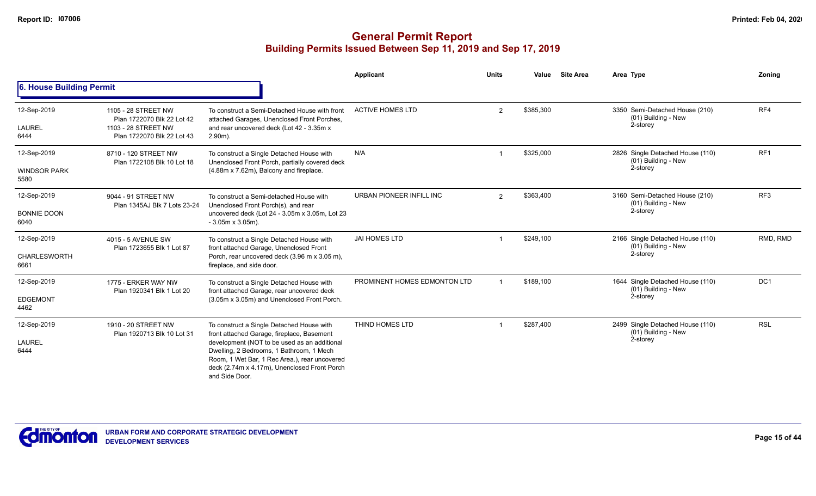|                                            |                                                                                                        |                                                                                                                                                                                                                                                                                                        | Applicant                    | <b>Units</b>   | Value     | <b>Site Area</b> | Area Type                                                           | Zoning          |
|--------------------------------------------|--------------------------------------------------------------------------------------------------------|--------------------------------------------------------------------------------------------------------------------------------------------------------------------------------------------------------------------------------------------------------------------------------------------------------|------------------------------|----------------|-----------|------------------|---------------------------------------------------------------------|-----------------|
| 6. House Building Permit                   |                                                                                                        |                                                                                                                                                                                                                                                                                                        |                              |                |           |                  |                                                                     |                 |
| 12-Sep-2019<br><b>LAUREL</b><br>6444       | 1105 - 28 STREET NW<br>Plan 1722070 Blk 22 Lot 42<br>1103 - 28 STREET NW<br>Plan 1722070 Blk 22 Lot 43 | To construct a Semi-Detached House with front<br>attached Garages, Unenclosed Front Porches,<br>and rear uncovered deck (Lot 42 - 3.35m x<br>$2.90m$ ).                                                                                                                                                | <b>ACTIVE HOMES LTD</b>      | $\overline{2}$ | \$385,300 |                  | 3350 Semi-Detached House (210)<br>(01) Building - New<br>2-storey   | RF4             |
| 12-Sep-2019<br><b>WINDSOR PARK</b><br>5580 | 8710 - 120 STREET NW<br>Plan 1722108 Blk 10 Lot 18                                                     | To construct a Single Detached House with<br>Unenclosed Front Porch, partially covered deck<br>(4.88m x 7.62m), Balcony and fireplace.                                                                                                                                                                 | N/A                          |                | \$325,000 |                  | 2826 Single Detached House (110)<br>(01) Building - New<br>2-storey | RF <sub>1</sub> |
| 12-Sep-2019<br><b>BONNIE DOON</b><br>6040  | 9044 - 91 STREET NW<br>Plan 1345AJ Blk 7 Lots 23-24                                                    | To construct a Semi-detached House with<br>Unenclosed Front Porch(s), and rear<br>uncovered deck (Lot 24 - 3.05m x 3.05m, Lot 23<br>$-3.05m \times 3.05m$ ).                                                                                                                                           | URBAN PIONEER INFILL INC     | $\overline{2}$ | \$363,400 |                  | 3160 Semi-Detached House (210)<br>(01) Building - New<br>2-storey   | RF <sub>3</sub> |
| 12-Sep-2019<br>CHARLESWORTH<br>6661        | 4015 - 5 AVENUE SW<br>Plan 1723655 Blk 1 Lot 87                                                        | To construct a Single Detached House with<br>front attached Garage, Unenclosed Front<br>Porch, rear uncovered deck (3.96 m x 3.05 m),<br>fireplace, and side door.                                                                                                                                     | <b>JAI HOMES LTD</b>         |                | \$249,100 |                  | 2166 Single Detached House (110)<br>(01) Building - New<br>2-storey | RMD, RMD        |
| 12-Sep-2019<br><b>EDGEMONT</b><br>4462     | 1775 - ERKER WAY NW<br>Plan 1920341 Blk 1 Lot 20                                                       | To construct a Single Detached House with<br>front attached Garage, rear uncovered deck<br>(3.05m x 3.05m) and Unenclosed Front Porch.                                                                                                                                                                 | PROMINENT HOMES EDMONTON LTD |                | \$189,100 |                  | 1644 Single Detached House (110)<br>(01) Building - New<br>2-storey | DC <sub>1</sub> |
| 12-Sep-2019<br><b>LAUREL</b><br>6444       | 1910 - 20 STREET NW<br>Plan 1920713 Blk 10 Lot 31                                                      | To construct a Single Detached House with<br>front attached Garage, fireplace, Basement<br>development (NOT to be used as an additional<br>Dwelling, 2 Bedrooms, 1 Bathroom, 1 Mech<br>Room, 1 Wet Bar, 1 Rec Area.), rear uncovered<br>deck (2.74m x 4.17m), Unenclosed Front Porch<br>and Side Door. | THIND HOMES LTD              |                | \$287.400 |                  | 2499 Single Detached House (110)<br>(01) Building - New<br>2-storey | <b>RSL</b>      |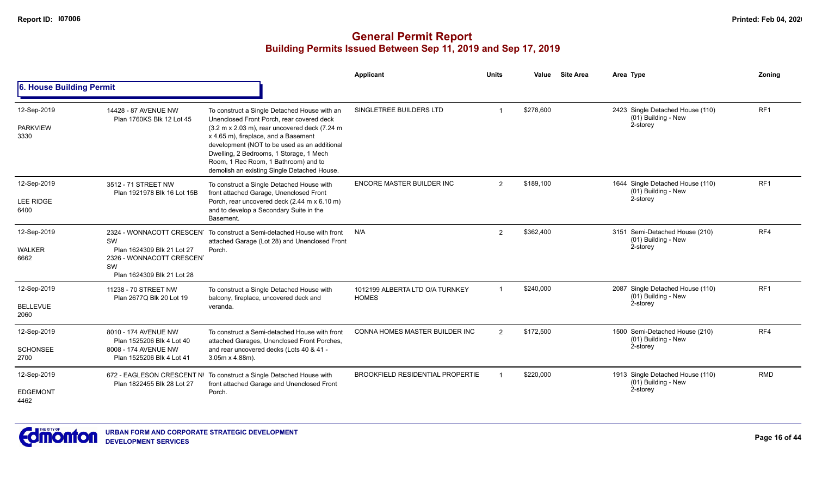|                                         |                                                                                                        |                                                                                                                                                                                                                                                                                                                                                                       | Applicant                                       | <b>Units</b>   | Value     | <b>Site Area</b> | Area Type                                                             | Zoning          |
|-----------------------------------------|--------------------------------------------------------------------------------------------------------|-----------------------------------------------------------------------------------------------------------------------------------------------------------------------------------------------------------------------------------------------------------------------------------------------------------------------------------------------------------------------|-------------------------------------------------|----------------|-----------|------------------|-----------------------------------------------------------------------|-----------------|
| 6. House Building Permit                |                                                                                                        |                                                                                                                                                                                                                                                                                                                                                                       |                                                 |                |           |                  |                                                                       |                 |
| 12-Sep-2019<br><b>PARKVIEW</b><br>3330  | 14428 - 87 AVENUE NW<br>Plan 1760KS Blk 12 Lot 45                                                      | To construct a Single Detached House with an<br>Unenclosed Front Porch, rear covered deck<br>(3.2 m x 2.03 m), rear uncovered deck (7.24 m)<br>x 4.65 m), fireplace, and a Basement<br>development (NOT to be used as an additional<br>Dwelling, 2 Bedrooms, 1 Storage, 1 Mech<br>Room, 1 Rec Room, 1 Bathroom) and to<br>demolish an existing Single Detached House. | SINGLETREE BUILDERS LTD                         |                | \$278,600 |                  | 2423 Single Detached House (110)<br>(01) Building - New<br>2-storey   | RF1             |
| 12-Sep-2019<br><b>LEE RIDGE</b><br>6400 | 3512 - 71 STREET NW<br>Plan 1921978 Blk 16 Lot 15B                                                     | To construct a Single Detached House with<br>front attached Garage, Unenclosed Front<br>Porch, rear uncovered deck (2.44 m x 6.10 m)<br>and to develop a Secondary Suite in the<br>Basement.                                                                                                                                                                          | ENCORE MASTER BUILDER INC                       | $\overline{2}$ | \$189,100 |                  | 1644 Single Detached House (110)<br>$(01)$ Building - New<br>2-storey | RF <sub>1</sub> |
| 12-Sep-2019<br><b>WALKER</b><br>6662    | SW<br>Plan 1624309 Blk 21 Lot 27<br>2326 - WONNACOTT CRESCENT<br>SW<br>Plan 1624309 Blk 21 Lot 28      | 2324 - WONNACOTT CRESCEN To construct a Semi-detached House with front<br>attached Garage (Lot 28) and Unenclosed Front<br>Porch.                                                                                                                                                                                                                                     | N/A                                             | 2              | \$362,400 |                  | 3151 Semi-Detached House (210)<br>(01) Building - New<br>2-storey     | RF4             |
| 12-Sep-2019<br><b>BELLEVUE</b><br>2060  | 11238 - 70 STREET NW<br>Plan 2677Q Blk 20 Lot 19                                                       | To construct a Single Detached House with<br>balcony, fireplace, uncovered deck and<br>veranda.                                                                                                                                                                                                                                                                       | 1012199 ALBERTA LTD O/A TURNKEY<br><b>HOMES</b> |                | \$240,000 |                  | 2087 Single Detached House (110)<br>$(01)$ Building - New<br>2-storey | RF <sub>1</sub> |
| 12-Sep-2019<br><b>SCHONSEE</b><br>2700  | 8010 - 174 AVENUE NW<br>Plan 1525206 Blk 4 Lot 40<br>8008 - 174 AVENUE NW<br>Plan 1525206 Blk 4 Lot 41 | To construct a Semi-detached House with front<br>attached Garages, Unenclosed Front Porches,<br>and rear uncovered decks (Lots 40 & 41 -<br>$3.05m \times 4.88m$ ).                                                                                                                                                                                                   | <b>CONNA HOMES MASTER BUILDER INC</b>           | $\overline{2}$ | \$172,500 |                  | 1500 Semi-Detached House (210)<br>(01) Building - New<br>2-storey     | RF4             |
| 12-Sep-2019<br><b>EDGEMONT</b><br>4462  | Plan 1822455 Blk 28 Lot 27                                                                             | 672 - EAGLESON CRESCENT N\ To construct a Single Detached House with<br>front attached Garage and Unenclosed Front<br>Porch.                                                                                                                                                                                                                                          | <b>BROOKFIELD RESIDENTIAL PROPERTIE</b>         |                | \$220,000 |                  | 1913 Single Detached House (110)<br>(01) Building - New<br>2-storey   | <b>RMD</b>      |

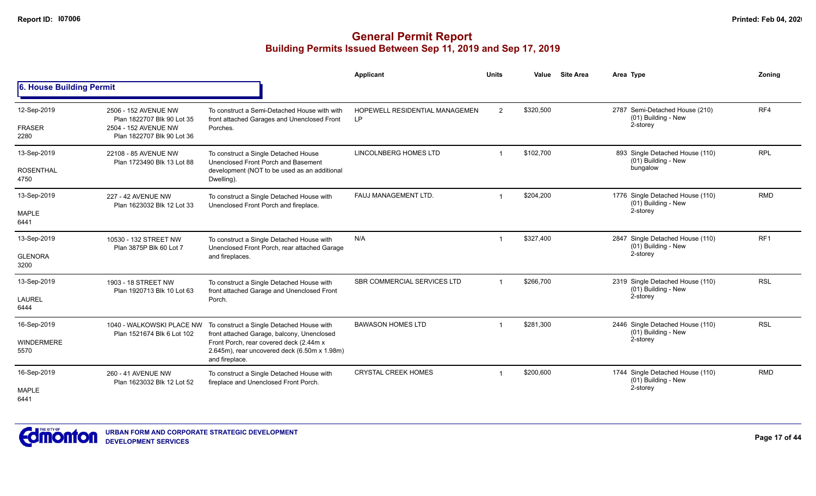|                                          |                                                                                                          |                                                                                                                                                                                                      | Applicant                                          | <b>Units</b>   | Value     | <b>Site Area</b> | Area Type                                                           | Zoning          |
|------------------------------------------|----------------------------------------------------------------------------------------------------------|------------------------------------------------------------------------------------------------------------------------------------------------------------------------------------------------------|----------------------------------------------------|----------------|-----------|------------------|---------------------------------------------------------------------|-----------------|
| 6. House Building Permit                 |                                                                                                          |                                                                                                                                                                                                      |                                                    |                |           |                  |                                                                     |                 |
| 12-Sep-2019<br><b>FRASER</b><br>2280     | 2506 - 152 AVENUE NW<br>Plan 1822707 Blk 90 Lot 35<br>2504 - 152 AVENUE NW<br>Plan 1822707 Blk 90 Lot 36 | To construct a Semi-Detached House with with<br>front attached Garages and Unenclosed Front<br>Porches.                                                                                              | <b>HOPEWELL RESIDENTIAL MANAGEMEN</b><br><b>LP</b> | $\overline{2}$ | \$320,500 |                  | 2787 Semi-Detached House (210)<br>(01) Building - New<br>2-storey   | RF4             |
| 13-Sep-2019<br><b>ROSENTHAL</b><br>4750  | 22108 - 85 AVENUE NW<br>Plan 1723490 Blk 13 Lot 88                                                       | To construct a Single Detached House<br>Unenclosed Front Porch and Basement<br>development (NOT to be used as an additional<br>Dwelling).                                                            | LINCOLNBERG HOMES LTD                              | -1             | \$102.700 |                  | 893 Single Detached House (110)<br>(01) Building - New<br>bungalow  | <b>RPL</b>      |
| 13-Sep-2019<br><b>MAPLE</b><br>6441      | 227 - 42 AVENUE NW<br>Plan 1623032 Blk 12 Lot 33                                                         | To construct a Single Detached House with<br>Unenclosed Front Porch and fireplace.                                                                                                                   | FAUJ MANAGEMENT LTD.                               | -1             | \$204,200 |                  | 1776 Single Detached House (110)<br>(01) Building - New<br>2-storey | <b>RMD</b>      |
| 13-Sep-2019<br><b>GLENORA</b><br>3200    | 10530 - 132 STREET NW<br>Plan 3875P Blk 60 Lot 7                                                         | To construct a Single Detached House with<br>Unenclosed Front Porch, rear attached Garage<br>and fireplaces.                                                                                         | N/A                                                | -1             | \$327,400 |                  | 2847 Single Detached House (110)<br>(01) Building - New<br>2-storey | RF <sub>1</sub> |
| 13-Sep-2019<br><b>LAUREL</b><br>6444     | 1903 - 18 STREET NW<br>Plan 1920713 Blk 10 Lot 63                                                        | To construct a Single Detached House with<br>front attached Garage and Unenclosed Front<br>Porch.                                                                                                    | SBR COMMERCIAL SERVICES LTD                        | $\mathbf 1$    | \$266,700 |                  | 2319 Single Detached House (110)<br>(01) Building - New<br>2-storey | <b>RSL</b>      |
| 16-Sep-2019<br><b>WINDERMERE</b><br>5570 | 1040 - WALKOWSKI PLACE NW<br>Plan 1521674 Blk 6 Lot 102                                                  | To construct a Single Detached House with<br>front attached Garage, balcony, Unenclosed<br>Front Porch, rear covered deck (2.44m x<br>2.645m), rear uncovered deck (6.50m x 1.98m)<br>and fireplace. | <b>BAWASON HOMES LTD</b>                           |                | \$281,300 |                  | 2446 Single Detached House (110)<br>(01) Building - New<br>2-storey | <b>RSL</b>      |
| 16-Sep-2019<br><b>MAPLE</b><br>6441      | 260 - 41 AVENUE NW<br>Plan 1623032 Blk 12 Lot 52                                                         | To construct a Single Detached House with<br>fireplace and Unenclosed Front Porch.                                                                                                                   | <b>CRYSTAL CREEK HOMES</b>                         |                | \$200,600 |                  | 1744 Single Detached House (110)<br>(01) Building - New<br>2-storey | <b>RMD</b>      |

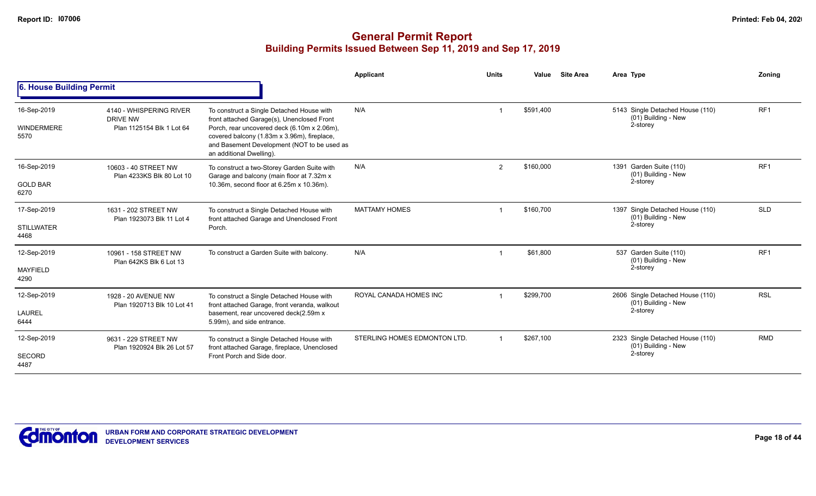|                                          |                                                                         |                                                                                                                                                                                                                                                                  | Applicant                    | <b>Units</b> | Value     | <b>Site Area</b> | Area Type                                                           | Zoning          |
|------------------------------------------|-------------------------------------------------------------------------|------------------------------------------------------------------------------------------------------------------------------------------------------------------------------------------------------------------------------------------------------------------|------------------------------|--------------|-----------|------------------|---------------------------------------------------------------------|-----------------|
| 6. House Building Permit                 |                                                                         |                                                                                                                                                                                                                                                                  |                              |              |           |                  |                                                                     |                 |
| 16-Sep-2019<br><b>WINDERMERE</b><br>5570 | 4140 - WHISPERING RIVER<br><b>DRIVE NW</b><br>Plan 1125154 Blk 1 Lot 64 | To construct a Single Detached House with<br>front attached Garage(s), Unenclosed Front<br>Porch, rear uncovered deck (6.10m x 2.06m),<br>covered balcony (1.83m x 3.96m), fireplace,<br>and Basement Development (NOT to be used as<br>an additional Dwelling). | N/A                          |              | \$591,400 |                  | 5143 Single Detached House (110)<br>(01) Building - New<br>2-storey | RF <sub>1</sub> |
| 16-Sep-2019<br><b>GOLD BAR</b><br>6270   | 10603 - 40 STREET NW<br>Plan 4233KS Blk 80 Lot 10                       | To construct a two-Storey Garden Suite with<br>Garage and balcony (main floor at 7.32m x<br>10.36m, second floor at 6.25m x 10.36m).                                                                                                                             | N/A                          | 2            | \$160,000 |                  | 1391 Garden Suite (110)<br>(01) Building - New<br>2-storey          | RF <sub>1</sub> |
| 17-Sep-2019<br><b>STILLWATER</b><br>4468 | 1631 - 202 STREET NW<br>Plan 1923073 Blk 11 Lot 4                       | To construct a Single Detached House with<br>front attached Garage and Unenclosed Front<br>Porch.                                                                                                                                                                | <b>MATTAMY HOMES</b>         |              | \$160,700 |                  | 1397 Single Detached House (110)<br>(01) Building - New<br>2-storey | <b>SLD</b>      |
| 12-Sep-2019<br><b>MAYFIELD</b><br>4290   | 10961 - 158 STREET NW<br>Plan 642KS Blk 6 Lot 13                        | To construct a Garden Suite with balcony.                                                                                                                                                                                                                        | N/A                          |              | \$61,800  |                  | 537 Garden Suite (110)<br>(01) Building - New<br>2-storey           | RF <sub>1</sub> |
| 12-Sep-2019<br><b>LAUREL</b><br>6444     | 1928 - 20 AVENUE NW<br>Plan 1920713 Blk 10 Lot 41                       | To construct a Single Detached House with<br>front attached Garage, front veranda, walkout<br>basement, rear uncovered deck(2.59m x<br>5.99m), and side entrance.                                                                                                | ROYAL CANADA HOMES INC       |              | \$299,700 |                  | 2606 Single Detached House (110)<br>(01) Building - New<br>2-storey | <b>RSL</b>      |
| 12-Sep-2019<br><b>SECORD</b><br>4487     | 9631 - 229 STREET NW<br>Plan 1920924 Blk 26 Lot 57                      | To construct a Single Detached House with<br>front attached Garage, fireplace, Unenclosed<br>Front Porch and Side door.                                                                                                                                          | STERLING HOMES EDMONTON LTD. |              | \$267,100 |                  | 2323 Single Detached House (110)<br>(01) Building - New<br>2-storey | <b>RMD</b>      |

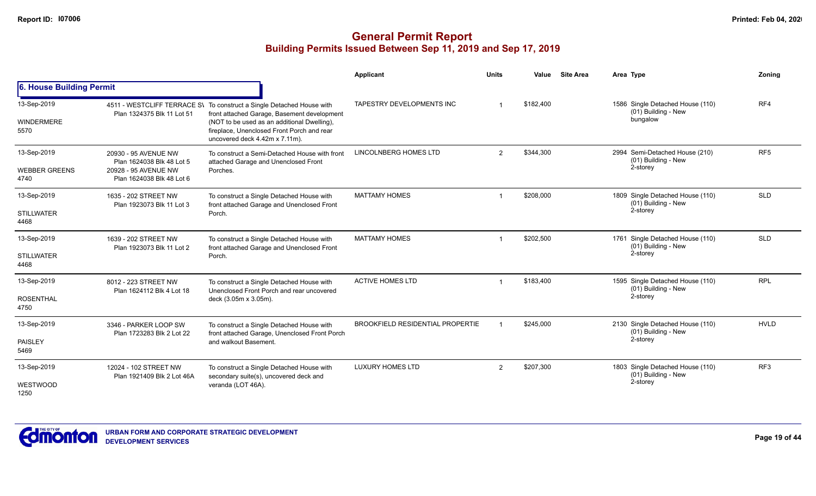|                                             |                                                                                                        |                                                                                                                                                                                                                                                     | Applicant                               | <b>Units</b>   | Value     | <b>Site Area</b> | Area Type                                                           | <b>Zoning</b>   |
|---------------------------------------------|--------------------------------------------------------------------------------------------------------|-----------------------------------------------------------------------------------------------------------------------------------------------------------------------------------------------------------------------------------------------------|-----------------------------------------|----------------|-----------|------------------|---------------------------------------------------------------------|-----------------|
| 6. House Building Permit                    |                                                                                                        |                                                                                                                                                                                                                                                     |                                         |                |           |                  |                                                                     |                 |
| 13-Sep-2019<br>WINDERMERE<br>5570           | Plan 1324375 Blk 11 Lot 51                                                                             | 4511 - WESTCLIFF TERRACE S\ To construct a Single Detached House with<br>front attached Garage, Basement development<br>(NOT to be used as an additional Dwelling),<br>fireplace, Unenclosed Front Porch and rear<br>uncovered deck 4.42m x 7.11m). | TAPESTRY DEVELOPMENTS INC               |                | \$182,400 |                  | 1586 Single Detached House (110)<br>(01) Building - New<br>bungalow | RF4             |
| 13-Sep-2019<br><b>WEBBER GREENS</b><br>4740 | 20930 - 95 AVENUE NW<br>Plan 1624038 Blk 48 Lot 5<br>20928 - 95 AVENUE NW<br>Plan 1624038 Blk 48 Lot 6 | To construct a Semi-Detached House with front<br>attached Garage and Unenclosed Front<br>Porches.                                                                                                                                                   | <b>LINCOLNBERG HOMES LTD</b>            | $\overline{2}$ | \$344,300 |                  | 2994 Semi-Detached House (210)<br>(01) Building - New<br>2-storey   | RF <sub>5</sub> |
| 13-Sep-2019<br><b>STILLWATER</b><br>4468    | 1635 - 202 STREET NW<br>Plan 1923073 Blk 11 Lot 3                                                      | To construct a Single Detached House with<br>front attached Garage and Unenclosed Front<br>Porch.                                                                                                                                                   | <b>MATTAMY HOMES</b>                    |                | \$208,000 |                  | 1809 Single Detached House (110)<br>(01) Building - New<br>2-storey | <b>SLD</b>      |
| 13-Sep-2019<br><b>STILLWATER</b><br>4468    | 1639 - 202 STREET NW<br>Plan 1923073 Blk 11 Lot 2                                                      | To construct a Single Detached House with<br>front attached Garage and Unenclosed Front<br>Porch.                                                                                                                                                   | <b>MATTAMY HOMES</b>                    |                | \$202,500 |                  | 1761 Single Detached House (110)<br>(01) Building - New<br>2-storey | <b>SLD</b>      |
| 13-Sep-2019<br><b>ROSENTHAL</b><br>4750     | 8012 - 223 STREET NW<br>Plan 1624112 Blk 4 Lot 18                                                      | To construct a Single Detached House with<br>Unenclosed Front Porch and rear uncovered<br>deck (3.05m x 3.05m).                                                                                                                                     | <b>ACTIVE HOMES LTD</b>                 |                | \$183,400 |                  | 1595 Single Detached House (110)<br>(01) Building - New<br>2-storey | <b>RPL</b>      |
| 13-Sep-2019<br><b>PAISLEY</b><br>5469       | 3346 - PARKER LOOP SW<br>Plan 1723283 Blk 2 Lot 22                                                     | To construct a Single Detached House with<br>front attached Garage, Unenclosed Front Porch<br>and walkout Basement.                                                                                                                                 | <b>BROOKFIELD RESIDENTIAL PROPERTIE</b> |                | \$245,000 |                  | 2130 Single Detached House (110)<br>(01) Building - New<br>2-storey | <b>HVLD</b>     |
| 13-Sep-2019<br>WESTWOOD<br>1250             | 12024 - 102 STREET NW<br>Plan 1921409 Blk 2 Lot 46A                                                    | To construct a Single Detached House with<br>secondary suite(s), uncovered deck and<br>veranda (LOT 46A).                                                                                                                                           | <b>LUXURY HOMES LTD</b>                 | 2              | \$207,300 |                  | 1803 Single Detached House (110)<br>(01) Building - New<br>2-storey | RF3             |

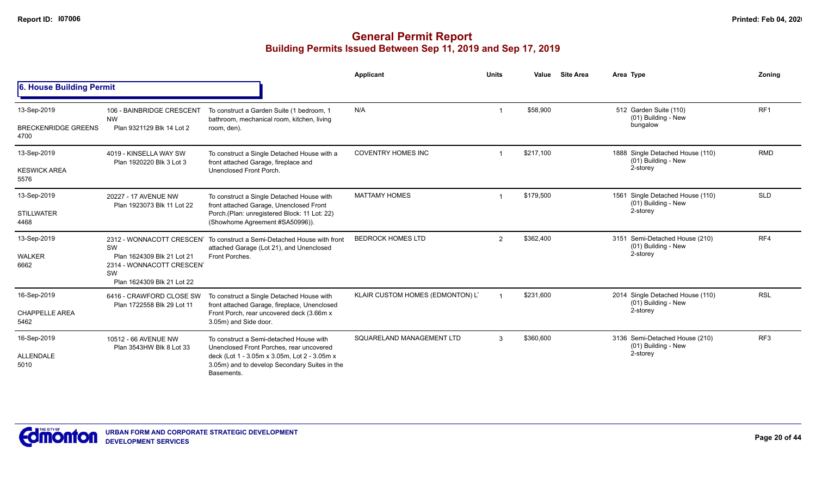|                                                   |                                                                                                   |                                                                                                                                                                                                    | Applicant                        | <b>Units</b>  | Value     | <b>Site Area</b> | Area Type                                                              | Zoning          |
|---------------------------------------------------|---------------------------------------------------------------------------------------------------|----------------------------------------------------------------------------------------------------------------------------------------------------------------------------------------------------|----------------------------------|---------------|-----------|------------------|------------------------------------------------------------------------|-----------------|
| 6. House Building Permit                          |                                                                                                   |                                                                                                                                                                                                    |                                  |               |           |                  |                                                                        |                 |
| 13-Sep-2019<br><b>BRECKENRIDGE GREENS</b><br>4700 | 106 - BAINBRIDGE CRESCENT<br><b>NW</b><br>Plan 9321129 Blk 14 Lot 2                               | To construct a Garden Suite (1 bedroom, 1<br>bathroom, mechanical room, kitchen, living<br>room, den).                                                                                             | N/A                              |               | \$58,900  |                  | 512 Garden Suite (110)<br>(01) Building - New<br>bungalow              | RF <sub>1</sub> |
| 13-Sep-2019<br><b>KESWICK AREA</b><br>5576        | 4019 - KINSELLA WAY SW<br>Plan 1920220 Blk 3 Lot 3                                                | To construct a Single Detached House with a<br>front attached Garage, fireplace and<br>Unenclosed Front Porch.                                                                                     | <b>COVENTRY HOMES INC</b>        |               | \$217,100 |                  | 1888 Single Detached House (110)<br>(01) Building - New<br>2-storey    | <b>RMD</b>      |
| 13-Sep-2019<br><b>STILLWATER</b><br>4468          | 20227 - 17 AVENUE NW<br>Plan 1923073 Blk 11 Lot 22                                                | To construct a Single Detached House with<br>front attached Garage, Unenclosed Front<br>Porch (Plan: unregistered Block: 11 Lot: 22)<br>(Showhome Agreement #SA50996)).                            | <b>MATTAMY HOMES</b>             |               | \$179,500 |                  | Single Detached House (110)<br>1561<br>(01) Building - New<br>2-storey | <b>SLD</b>      |
| 13-Sep-2019<br>WALKER<br>6662                     | SW<br>Plan 1624309 Blk 21 Lot 21<br>2314 - WONNACOTT CRESCENT<br>SW<br>Plan 1624309 Blk 21 Lot 22 | 2312 - WONNACOTT CRESCEN To construct a Semi-Detached House with front<br>attached Garage (Lot 21), and Unenclosed<br>Front Porches.                                                               | <b>BEDROCK HOMES LTD</b>         | 2             | \$362,400 |                  | 3151 Semi-Detached House (210)<br>(01) Building - New<br>2-storey      | RF4             |
| 16-Sep-2019<br><b>CHAPPELLE AREA</b><br>5462      | 6416 - CRAWFORD CLOSE SW<br>Plan 1722558 Blk 29 Lot 11                                            | To construct a Single Detached House with<br>front attached Garage, fireplace, Unenclosed<br>Front Porch, rear uncovered deck (3.66m x<br>3.05m) and Side door.                                    | KLAIR CUSTOM HOMES (EDMONTON) LT |               | \$231,600 |                  | 2014 Single Detached House (110)<br>(01) Building - New<br>2-storey    | <b>RSL</b>      |
| 16-Sep-2019<br>ALLENDALE<br>5010                  | 10512 - 66 AVENUE NW<br>Plan 3543HW Blk 8 Lot 33                                                  | To construct a Semi-detached House with<br>Unenclosed Front Porches, rear uncovered<br>deck (Lot 1 - 3.05m x 3.05m, Lot 2 - 3.05m x<br>3.05m) and to develop Secondary Suites in the<br>Basements. | SQUARELAND MANAGEMENT LTD        | $\mathcal{S}$ | \$360,600 |                  | 3136 Semi-Detached House (210)<br>(01) Building - New<br>2-storey      | RF <sub>3</sub> |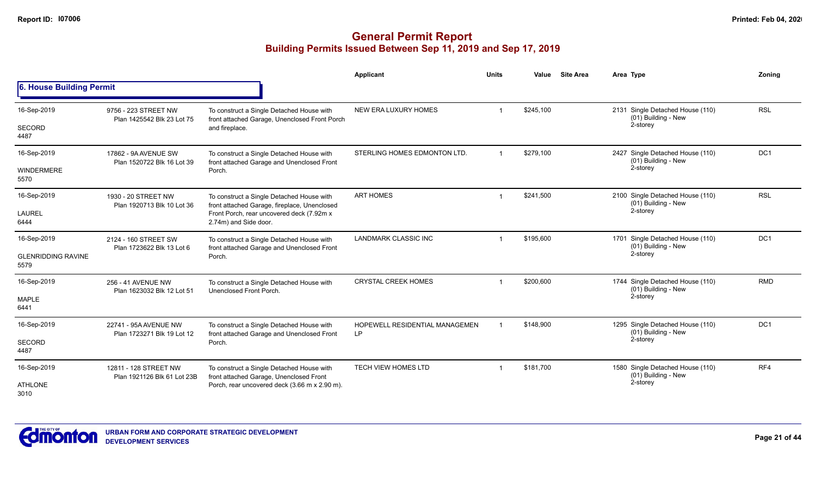|                                   |                                                    |                                                                                            | <b>Applicant</b>                     | <b>Units</b> | Value     | <b>Site Area</b>                                        | Area Type                                               | Zonina          |
|-----------------------------------|----------------------------------------------------|--------------------------------------------------------------------------------------------|--------------------------------------|--------------|-----------|---------------------------------------------------------|---------------------------------------------------------|-----------------|
| 6. House Building Permit          |                                                    |                                                                                            |                                      |              |           |                                                         |                                                         |                 |
| 16-Sep-2019                       | 9756 - 223 STREET NW<br>Plan 1425542 Blk 23 Lot 75 | To construct a Single Detached House with<br>front attached Garage, Unenclosed Front Porch | NEW ERA LUXURY HOMES                 |              | \$245,100 |                                                         | 2131 Single Detached House (110)<br>(01) Building - New | <b>RSL</b>      |
| <b>SECORD</b><br>4487             |                                                    | and fireplace.                                                                             |                                      |              |           |                                                         | 2-storey                                                |                 |
| 16-Sep-2019                       | 17862 - 9A AVENUE SW<br>Plan 1520722 Blk 16 Lot 39 | To construct a Single Detached House with<br>front attached Garage and Unenclosed Front    | STERLING HOMES EDMONTON LTD.         | $\mathbf 1$  | \$279,100 |                                                         | 2427 Single Detached House (110)<br>(01) Building - New | DC <sub>1</sub> |
| <b>WINDERMERE</b><br>5570         |                                                    | Porch.                                                                                     |                                      |              |           |                                                         | 2-storey                                                |                 |
| 16-Sep-2019                       | 1930 - 20 STREET NW<br>Plan 1920713 Blk 10 Lot 36  | To construct a Single Detached House with<br>front attached Garage, fireplace, Unenclosed  | <b>ART HOMES</b>                     |              | \$241,500 |                                                         | 2100 Single Detached House (110)<br>(01) Building - New | <b>RSL</b>      |
| <b>LAUREL</b><br>6444             |                                                    | Front Porch, rear uncovered deck (7.92m x<br>2.74m) and Side door.                         |                                      |              |           |                                                         | 2-storey                                                |                 |
| 16-Sep-2019                       | 2124 - 160 STREET SW<br>Plan 1723622 Blk 13 Lot 6  | To construct a Single Detached House with<br>front attached Garage and Unenclosed Front    | <b>LANDMARK CLASSIC INC</b>          | \$195,600    |           | 1701 Single Detached House (110)<br>(01) Building - New | DC <sub>1</sub>                                         |                 |
| <b>GLENRIDDING RAVINE</b><br>5579 |                                                    | Porch.                                                                                     |                                      |              |           |                                                         | 2-storey                                                |                 |
| 16-Sep-2019                       | 256 - 41 AVENUE NW<br>Plan 1623032 Blk 12 Lot 51   | To construct a Single Detached House with<br>Unenclosed Front Porch.                       | <b>CRYSTAL CREEK HOMES</b>           | $\mathbf 1$  | \$200,600 |                                                         | 1744 Single Detached House (110)<br>(01) Building - New | <b>RMD</b>      |
| <b>MAPLE</b><br>6441              |                                                    |                                                                                            |                                      |              |           |                                                         | 2-storey                                                |                 |
| 16-Sep-2019                       | 22741 - 95A AVENUE NW                              | To construct a Single Detached House with<br>front attached Garage and Unenclosed Front    | HOPEWELL RESIDENTIAL MANAGEMEN<br>LP |              | \$148,900 |                                                         | 1295 Single Detached House (110)<br>(01) Building - New | DC <sub>1</sub> |
| <b>SECORD</b><br>4487             | Plan 1723271 Blk 19 Lot 12                         | Porch.                                                                                     |                                      |              |           |                                                         | 2-storey                                                |                 |
| 16-Sep-2019                       | 12811 - 128 STREET NW                              | To construct a Single Detached House with                                                  | <b>TECH VIEW HOMES LTD</b>           | -1           | \$181,700 |                                                         | 1580 Single Detached House (110)<br>(01) Building - New | RF4             |
| <b>ATHLONE</b><br>3010            | Plan 1921126 Blk 61 Lot 23B                        | front attached Garage, Unenclosed Front<br>Porch, rear uncovered deck (3.66 m x 2.90 m).   |                                      |              |           | 2-storey                                                |                                                         |                 |

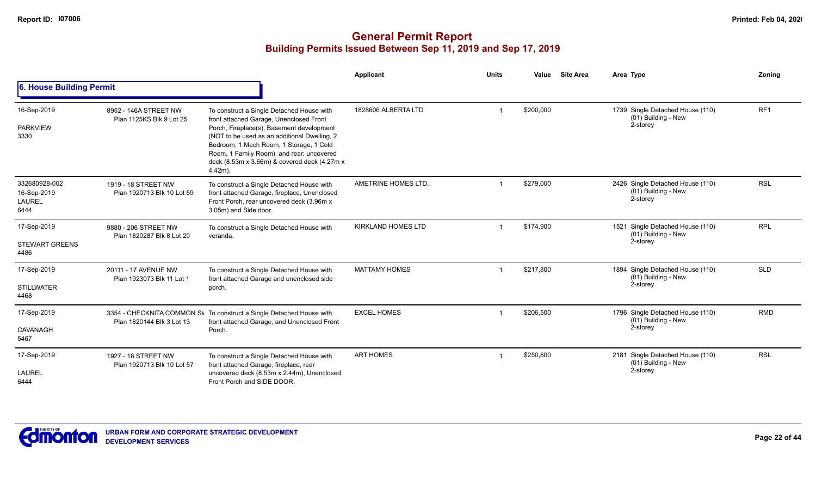|                                                       |                                                   |                                                                                                                                                                                                                                                                                                                                         | Applicant                 | <b>Units</b> | Value     | <b>Site Area</b> | Area Type                                                           | Zoning          |
|-------------------------------------------------------|---------------------------------------------------|-----------------------------------------------------------------------------------------------------------------------------------------------------------------------------------------------------------------------------------------------------------------------------------------------------------------------------------------|---------------------------|--------------|-----------|------------------|---------------------------------------------------------------------|-----------------|
| 6. House Building Permit                              |                                                   |                                                                                                                                                                                                                                                                                                                                         |                           |              |           |                  |                                                                     |                 |
| 16-Sep-2019<br><b>PARKVIEW</b><br>3330                | 8952 - 146A STREET NW<br>Plan 1125KS Blk 9 Lot 25 | To construct a Single Detached House with<br>front attached Garage, Unenclosed Front<br>Porch, Fireplace(s), Basement development<br>(NOT to be used as an additional Dwelling, 2<br>Bedroom, 1 Mech Room, 1 Storage, 1 Cold<br>Room, 1 Family Room), and rear: uncovered<br>deck (8.53m x 3.66m) & covered deck (4.27m x<br>$4.42m$ ). | 1828606 ALBERTA LTD       |              | \$200,000 |                  | 1739 Single Detached House (110)<br>(01) Building - New<br>2-storey | RF <sub>1</sub> |
| 332680928-002<br>16-Sep-2019<br><b>LAUREL</b><br>6444 | 1919 - 18 STREET NW<br>Plan 1920713 Blk 10 Lot 59 | To construct a Single Detached House with<br>front attached Garage, fireplace, Unenclosed<br>Front Porch, rear uncovered deck (3.96m x<br>3.05m) and Side door.                                                                                                                                                                         | AMETRINE HOMES LTD.       |              | \$279,000 |                  | 2426 Single Detached House (110)<br>(01) Building - New<br>2-storey | <b>RSL</b>      |
| 17-Sep-2019<br><b>STEWART GREENS</b><br>4486          | 9880 - 206 STREET NW<br>Plan 1820287 Blk 8 Lot 20 | To construct a Single Detached House with<br>veranda.                                                                                                                                                                                                                                                                                   | <b>KIRKLAND HOMES LTD</b> |              | \$174,900 |                  | 1521 Single Detached House (110)<br>(01) Building - New<br>2-storey | <b>RPL</b>      |
| 17-Sep-2019<br><b>STILLWATER</b><br>4468              | 20111 - 17 AVENUE NW<br>Plan 1923073 Blk 11 Lot 1 | To construct a Single Detached House with<br>front attached Garage and unenclosed side<br>porch.                                                                                                                                                                                                                                        | <b>MATTAMY HOMES</b>      |              | \$217,800 |                  | 1894 Single Detached House (110)<br>(01) Building - New<br>2-storey | <b>SLD</b>      |
| 17-Sep-2019<br>CAVANAGH<br>5467                       | Plan 1820144 Blk 3 Lot 13                         | 3354 - CHECKNITA COMMON SV To construct a Single Detached House with<br>front attached Garage, and Unenclosed Front<br>Porch.                                                                                                                                                                                                           | <b>EXCEL HOMES</b>        |              | \$206,500 |                  | 1796 Single Detached House (110)<br>(01) Building - New<br>2-storey | <b>RMD</b>      |
| 17-Sep-2019<br><b>LAUREL</b><br>6444                  | 1927 - 18 STREET NW<br>Plan 1920713 Blk 10 Lot 57 | To construct a Single Detached House with<br>front attached Garage, fireplace, rear<br>uncovered deck (8.53m x 2.44m), Unenclosed<br>Front Porch and SIDE DOOR.                                                                                                                                                                         | <b>ART HOMES</b>          |              | \$250,800 |                  | 2181 Single Detached House (110)<br>(01) Building - New<br>2-storey | <b>RSL</b>      |

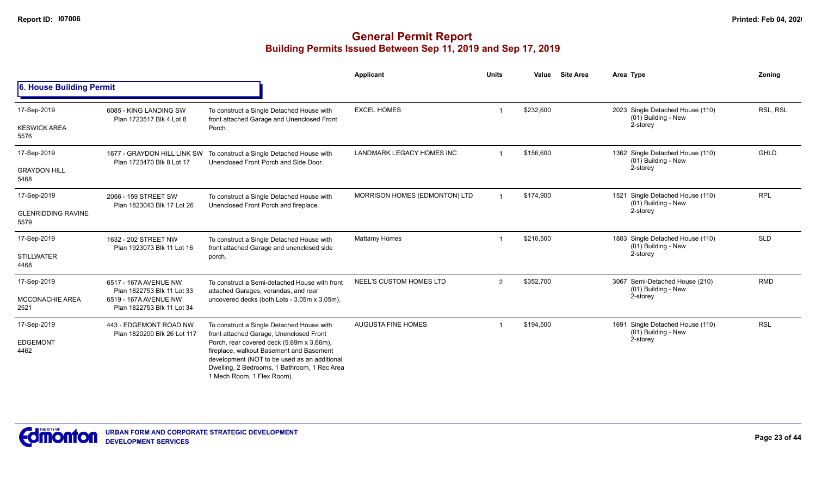|                                   |                                                          |                                                                                                                                                                                                                                                                | Applicant                     | <b>Units</b>   | Value     | <b>Site Area</b> | Area Type                                               | <b>Zoning</b> |
|-----------------------------------|----------------------------------------------------------|----------------------------------------------------------------------------------------------------------------------------------------------------------------------------------------------------------------------------------------------------------------|-------------------------------|----------------|-----------|------------------|---------------------------------------------------------|---------------|
| 6. House Building Permit          |                                                          |                                                                                                                                                                                                                                                                |                               |                |           |                  |                                                         |               |
| 17-Sep-2019                       | 6085 - KING LANDING SW<br>Plan 1723517 Blk 4 Lot 8       | To construct a Single Detached House with<br>front attached Garage and Unenclosed Front                                                                                                                                                                        | <b>EXCEL HOMES</b>            |                | \$232,600 |                  | 2023 Single Detached House (110)<br>(01) Building - New | RSL, RSL      |
| <b>KESWICK AREA</b><br>5576       |                                                          | Porch.                                                                                                                                                                                                                                                         |                               |                |           |                  | 2-storey                                                |               |
| 17-Sep-2019                       | 1677 - GRAYDON HILL LINK SW<br>Plan 1723470 Blk 8 Lot 17 | To construct a Single Detached House with<br>Unenclosed Front Porch and Side Door.                                                                                                                                                                             | LANDMARK LEGACY HOMES INC     |                | \$156,600 |                  | 1362 Single Detached House (110)<br>(01) Building - New | GHLD          |
| <b>GRAYDON HILL</b><br>5468       |                                                          |                                                                                                                                                                                                                                                                |                               |                |           |                  | 2-storey                                                |               |
| 17-Sep-2019                       | 2056 - 159 STREET SW                                     | To construct a Single Detached House with<br>Unenclosed Front Porch and fireplace.                                                                                                                                                                             | MORRISON HOMES (EDMONTON) LTD |                | \$174,900 |                  | 1521 Single Detached House (110)<br>(01) Building - New | <b>RPL</b>    |
| <b>GLENRIDDING RAVINE</b><br>5579 | Plan 1823043 Blk 17 Lot 26                               |                                                                                                                                                                                                                                                                |                               |                |           |                  | 2-storey                                                |               |
| 17-Sep-2019                       | 1632 - 202 STREET NW<br>Plan 1923073 Blk 11 Lot 16       | To construct a Single Detached House with                                                                                                                                                                                                                      | Mattamy Homes                 |                | \$216,500 |                  | 1883 Single Detached House (110)<br>(01) Building - New | <b>SLD</b>    |
| <b>STILLWATER</b><br>4468         |                                                          | front attached Garage and unenclosed side<br>porch.                                                                                                                                                                                                            |                               |                |           | 2-storey         |                                                         |               |
| 17-Sep-2019                       | 6517 - 167A AVENUE NW<br>Plan 1822753 Blk 11 Lot 33      | To construct a Semi-detached House with front<br>attached Garages, verandas, and rear                                                                                                                                                                          | NEEL'S CUSTOM HOMES LTD       | $\overline{2}$ | \$352,700 |                  | 3067 Semi-Detached House (210)<br>(01) Building - New   | <b>RMD</b>    |
| <b>MCCONACHIE AREA</b><br>2521    | 6519 - 167A AVENUE NW<br>Plan 1822753 Blk 11 Lot 34      | uncovered decks (both Lots - 3.05m x 3.05m).                                                                                                                                                                                                                   |                               |                |           |                  | 2-storey                                                |               |
| 17-Sep-2019                       | 443 - EDGEMONT ROAD NW<br>Plan 1820200 Blk 26 Lot 117    | To construct a Single Detached House with                                                                                                                                                                                                                      | <b>AUGUSTA FINE HOMES</b>     |                | \$194,500 |                  | 1691 Single Detached House (110)<br>(01) Building - New | <b>RSL</b>    |
| <b>EDGEMONT</b><br>4462           |                                                          | front attached Garage, Unenclosed Front<br>Porch, rear covered deck (5.69m x 3.66m),<br>fireplace, walkout Basement and Basement<br>development (NOT to be used as an additional<br>Dwelling, 2 Bedrooms, 1 Bathroom, 1 Rec Area<br>1 Mech Room, 1 Flex Room). |                               |                |           |                  | 2-storey                                                |               |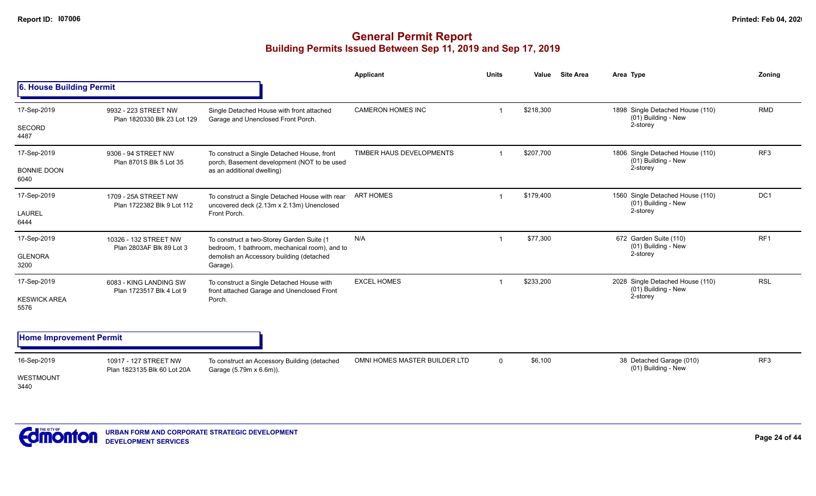|                                            |                                                      |                                                                                                                                                    | Applicant                     | <b>Units</b>   | Value<br><b>Site Area</b> | Area Type                                                           | Zoning          |
|--------------------------------------------|------------------------------------------------------|----------------------------------------------------------------------------------------------------------------------------------------------------|-------------------------------|----------------|---------------------------|---------------------------------------------------------------------|-----------------|
| 6. House Building Permit                   |                                                      |                                                                                                                                                    |                               |                |                           |                                                                     |                 |
| 17-Sep-2019<br>SECORD<br>4487              | 9932 - 223 STREET NW<br>Plan 1820330 Blk 23 Lot 129  | Single Detached House with front attached<br>Garage and Unenclosed Front Porch.                                                                    | <b>CAMERON HOMES INC</b>      |                | \$218,300                 | 1898 Single Detached House (110)<br>(01) Building - New<br>2-storey | <b>RMD</b>      |
| 17-Sep-2019<br><b>BONNIE DOON</b><br>6040  | 9306 - 94 STREET NW<br>Plan 8701S Blk 5 Lot 35       | To construct a Single Detached House, front<br>porch, Basement development (NOT to be used<br>as an additional dwelling)                           | TIMBER HAUS DEVELOPMENTS      | $\overline{1}$ | \$207,700                 | 1806 Single Detached House (110)<br>(01) Building - New<br>2-storey | RF3             |
| 17-Sep-2019<br>LAUREL<br>6444              | 1709 - 25A STREET NW<br>Plan 1722382 Blk 9 Lot 112   | To construct a Single Detached House with rear<br>uncovered deck (2.13m x 2.13m) Unenclosed<br>Front Porch.                                        | <b>ART HOMES</b>              |                | \$179,400                 | 1560 Single Detached House (110)<br>(01) Building - New<br>2-storey | DC <sub>1</sub> |
| 17-Sep-2019<br><b>GLENORA</b><br>3200      | 10326 - 132 STREET NW<br>Plan 2803AF Blk 89 Lot 3    | To construct a two-Storey Garden Suite (1<br>bedroom, 1 bathroom, mechanical room), and to<br>demolish an Accessory building (detached<br>Garage). | N/A                           | $\mathbf 1$    | \$77,300                  | 672 Garden Suite (110)<br>(01) Building - New<br>2-storey           | RF <sub>1</sub> |
| 17-Sep-2019<br><b>KESWICK AREA</b><br>5576 | 6083 - KING LANDING SW<br>Plan 1723517 Blk 4 Lot 9   | To construct a Single Detached House with<br>front attached Garage and Unenclosed Front<br>Porch.                                                  | <b>EXCEL HOMES</b>            |                | \$233,200                 | 2028 Single Detached House (110)<br>(01) Building - New<br>2-storey | <b>RSL</b>      |
| <b>Home Improvement Permit</b>             |                                                      |                                                                                                                                                    |                               |                |                           |                                                                     |                 |
| 16-Sep-2019<br>WESTMOUNT<br>3440           | 10917 - 127 STREET NW<br>Plan 1823135 Blk 60 Lot 20A | To construct an Accessory Building (detached<br>Garage (5.79m x 6.6m)).                                                                            | OMNI HOMES MASTER BUILDER LTD | $\mathbf{0}$   | \$6,100                   | 38 Detached Garage (010)<br>(01) Building - New                     | RF <sub>3</sub> |

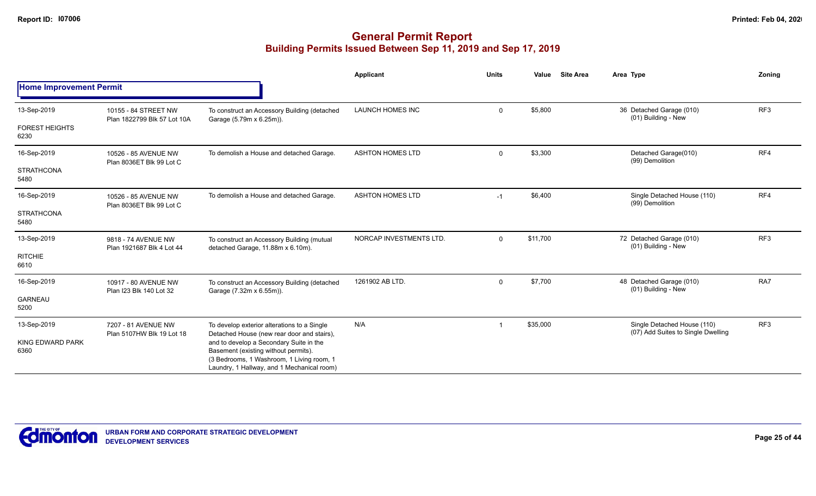|                                 |                                                     |                                                                                                                                                                            | <b>Applicant</b>        | <b>Units</b> | Value    | <b>Site Area</b> | Area Type                                                         | Zoning          |
|---------------------------------|-----------------------------------------------------|----------------------------------------------------------------------------------------------------------------------------------------------------------------------------|-------------------------|--------------|----------|------------------|-------------------------------------------------------------------|-----------------|
| <b>Home Improvement Permit</b>  |                                                     |                                                                                                                                                                            |                         |              |          |                  |                                                                   |                 |
| 13-Sep-2019                     | 10155 - 84 STREET NW<br>Plan 1822799 Blk 57 Lot 10A | To construct an Accessory Building (detached<br>Garage (5.79m x 6.25m)).                                                                                                   | <b>LAUNCH HOMES INC</b> | $\mathbf 0$  | \$5,800  |                  | 36 Detached Garage (010)<br>(01) Building - New                   | RF <sub>3</sub> |
| <b>FOREST HEIGHTS</b><br>6230   |                                                     |                                                                                                                                                                            |                         |              |          |                  |                                                                   |                 |
| 16-Sep-2019                     | 10526 - 85 AVENUE NW<br>Plan 8036ET Blk 99 Lot C    | To demolish a House and detached Garage.                                                                                                                                   | <b>ASHTON HOMES LTD</b> | $\mathbf 0$  | \$3,300  |                  | Detached Garage(010)<br>(99) Demolition                           | RF4             |
| <b>STRATHCONA</b><br>5480       |                                                     |                                                                                                                                                                            |                         |              |          |                  |                                                                   |                 |
| 16-Sep-2019                     | 10526 - 85 AVENUE NW<br>Plan 8036ET Blk 99 Lot C    | To demolish a House and detached Garage.                                                                                                                                   | <b>ASHTON HOMES LTD</b> | $-1$         | \$6,400  |                  | Single Detached House (110)<br>(99) Demolition                    | RF4             |
| <b>STRATHCONA</b><br>5480       |                                                     |                                                                                                                                                                            |                         |              |          |                  |                                                                   |                 |
| 13-Sep-2019                     | 9818 - 74 AVENUE NW<br>Plan 1921687 Blk 4 Lot 44    | To construct an Accessory Building (mutual<br>detached Garage, 11.88m x 6.10m).                                                                                            | NORCAP INVESTMENTS LTD. | $\mathbf 0$  | \$11,700 |                  | 72 Detached Garage (010)<br>(01) Building - New                   | RF3             |
| <b>RITCHIE</b><br>6610          |                                                     |                                                                                                                                                                            |                         |              |          |                  |                                                                   |                 |
| 16-Sep-2019                     | 10917 - 80 AVENUE NW<br>Plan I23 Blk 140 Lot 32     | To construct an Accessory Building (detached<br>Garage (7.32m x 6.55m)).                                                                                                   | 1261902 AB LTD.         | $\mathbf 0$  | \$7,700  |                  | 48 Detached Garage (010)<br>(01) Building - New                   | RA7             |
| <b>GARNEAU</b><br>5200          |                                                     |                                                                                                                                                                            |                         |              |          |                  |                                                                   |                 |
| 13-Sep-2019                     | 7207 - 81 AVENUE NW<br>Plan 5107HW Blk 19 Lot 18    | To develop exterior alterations to a Single<br>Detached House (new rear door and stairs),                                                                                  | N/A                     |              | \$35,000 |                  | Single Detached House (110)<br>(07) Add Suites to Single Dwelling | RF <sub>3</sub> |
| <b>KING EDWARD PARK</b><br>6360 |                                                     | and to develop a Secondary Suite in the<br>Basement (existing without permits).<br>(3 Bedrooms, 1 Washroom, 1 Living room, 1<br>Laundry, 1 Hallway, and 1 Mechanical room) |                         |              |          |                  |                                                                   |                 |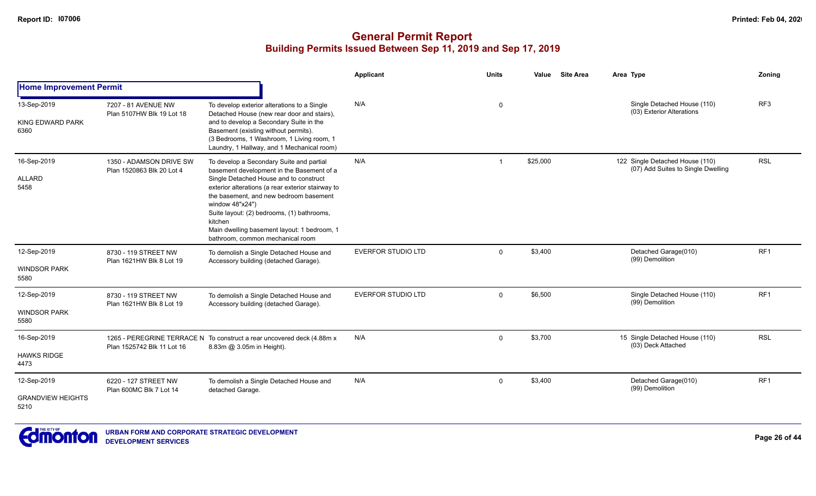|                                                 |                                                      |                                                                                                                                                                                                                                                                                                                                                                                               | <b>Applicant</b>          | <b>Units</b> | Value    | <b>Site Area</b><br>Area Type                                         | Zoning          |
|-------------------------------------------------|------------------------------------------------------|-----------------------------------------------------------------------------------------------------------------------------------------------------------------------------------------------------------------------------------------------------------------------------------------------------------------------------------------------------------------------------------------------|---------------------------|--------------|----------|-----------------------------------------------------------------------|-----------------|
| <b>Home Improvement Permit</b>                  |                                                      |                                                                                                                                                                                                                                                                                                                                                                                               |                           |              |          |                                                                       |                 |
| 13-Sep-2019<br>KING EDWARD PARK<br>6360         | 7207 - 81 AVENUE NW<br>Plan 5107HW Blk 19 Lot 18     | To develop exterior alterations to a Single<br>Detached House (new rear door and stairs),<br>and to develop a Secondary Suite in the<br>Basement (existing without permits).<br>(3 Bedrooms, 1 Washroom, 1 Living room, 1<br>Laundry, 1 Hallway, and 1 Mechanical room)                                                                                                                       | N/A                       | 0            |          | Single Detached House (110)<br>(03) Exterior Alterations              | RF3             |
| 16-Sep-2019<br><b>ALLARD</b><br>5458            | 1350 - ADAMSON DRIVE SW<br>Plan 1520863 Blk 20 Lot 4 | To develop a Secondary Suite and partial<br>basement development in the Basement of a<br>Single Detached House and to construct<br>exterior alterations (a rear exterior stairway to<br>the basement, and new bedroom basement<br>window 48"x24")<br>Suite layout: (2) bedrooms, (1) bathrooms,<br>kitchen<br>Main dwelling basement layout: 1 bedroom, 1<br>bathroom, common mechanical room | N/A                       |              | \$25,000 | 122 Single Detached House (110)<br>(07) Add Suites to Single Dwelling | <b>RSL</b>      |
| 12-Sep-2019<br><b>WINDSOR PARK</b><br>5580      | 8730 - 119 STREET NW<br>Plan 1621HW Blk 8 Lot 19     | To demolish a Single Detached House and<br>Accessory building (detached Garage).                                                                                                                                                                                                                                                                                                              | <b>EVERFOR STUDIO LTD</b> | $\Omega$     | \$3,400  | Detached Garage(010)<br>(99) Demolition                               | RF <sub>1</sub> |
| 12-Sep-2019<br><b>WINDSOR PARK</b><br>5580      | 8730 - 119 STREET NW<br>Plan 1621HW Blk 8 Lot 19     | To demolish a Single Detached House and<br>Accessory building (detached Garage).                                                                                                                                                                                                                                                                                                              | <b>EVERFOR STUDIO LTD</b> | $\Omega$     | \$6,500  | Single Detached House (110)<br>(99) Demolition                        | RF <sub>1</sub> |
| 16-Sep-2019<br><b>HAWKS RIDGE</b><br>4473       | Plan 1525742 Blk 11 Lot 16                           | 1265 - PEREGRINE TERRACE N To construct a rear uncovered deck (4.88m x<br>8.83m @ 3.05m in Height).                                                                                                                                                                                                                                                                                           | N/A                       | $\mathbf 0$  | \$3,700  | 15 Single Detached House (110)<br>(03) Deck Attached                  | <b>RSL</b>      |
| 12-Sep-2019<br><b>GRANDVIEW HEIGHTS</b><br>5210 | 6220 - 127 STREET NW<br>Plan 600MC Blk 7 Lot 14      | To demolish a Single Detached House and<br>detached Garage.                                                                                                                                                                                                                                                                                                                                   | N/A                       | $\mathbf 0$  | \$3,400  | Detached Garage(010)<br>(99) Demolition                               | RF <sub>1</sub> |

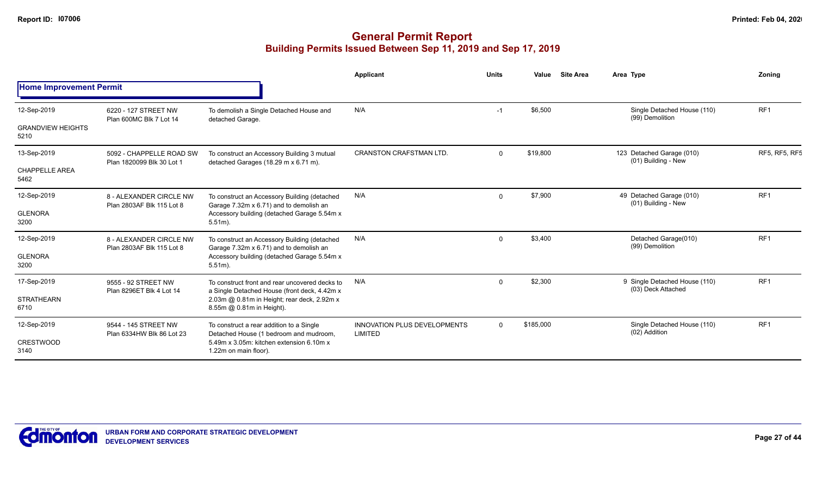|                                                                                                                                                                                                                                                                                                                                                                                                                                                                                                                                                                                                                                                                                                                                                                                                                                                                                                                                                                                                                                                                                                                                                                                                                                                                                                                                                                                                                                                                                                                                                                                                                                                                                    |                                                   |                                                                                    | Applicant                                             | <b>Units</b> | Value     | <b>Site Area</b> | Area Type                                    | Zonina               |
|------------------------------------------------------------------------------------------------------------------------------------------------------------------------------------------------------------------------------------------------------------------------------------------------------------------------------------------------------------------------------------------------------------------------------------------------------------------------------------------------------------------------------------------------------------------------------------------------------------------------------------------------------------------------------------------------------------------------------------------------------------------------------------------------------------------------------------------------------------------------------------------------------------------------------------------------------------------------------------------------------------------------------------------------------------------------------------------------------------------------------------------------------------------------------------------------------------------------------------------------------------------------------------------------------------------------------------------------------------------------------------------------------------------------------------------------------------------------------------------------------------------------------------------------------------------------------------------------------------------------------------------------------------------------------------|---------------------------------------------------|------------------------------------------------------------------------------------|-------------------------------------------------------|--------------|-----------|------------------|----------------------------------------------|----------------------|
| <b>Home Improvement Permit</b><br>RF <sub>1</sub><br>N/A<br>12-Sep-2019<br>\$6,500<br>Single Detached House (110)<br>6220 - 127 STREET NW<br>To demolish a Single Detached House and<br>$-1$<br>(99) Demolition<br>Plan 600MC Blk 7 Lot 14<br>detached Garage.<br><b>GRANDVIEW HEIGHTS</b><br>5210<br><b>CRANSTON CRAFSTMAN LTD.</b><br>\$19,800<br>123 Detached Garage (010)<br>13-Sep-2019<br>5092 - CHAPPELLE ROAD SW<br>$\Omega$<br>To construct an Accessory Building 3 mutual<br>(01) Building - New<br>Plan 1820099 Blk 30 Lot 1<br>detached Garages (18.29 m x 6.71 m).<br><b>CHAPPELLE AREA</b><br>5462<br>RF <sub>1</sub><br>N/A<br>\$7,900<br>49 Detached Garage (010)<br>12-Sep-2019<br>$\Omega$<br>8 - ALEXANDER CIRCLE NW<br>To construct an Accessory Building (detached<br>(01) Building - New<br>Plan 2803AF Blk 115 Lot 8<br>Garage 7.32m x 6.71) and to demolish an<br>Accessory building (detached Garage 5.54m x<br><b>GLENORA</b><br>3200<br>$5.51m$ ).<br>Detached Garage(010)<br>RF <sub>1</sub><br>12-Sep-2019<br>N/A<br>\$3,400<br>8 - ALEXANDER CIRCLE NW<br>To construct an Accessory Building (detached<br>$\Omega$<br>(99) Demolition<br>Garage 7.32m x 6.71) and to demolish an<br>Plan 2803AF Blk 115 Lot 8<br><b>GLENORA</b><br>Accessory building (detached Garage 5.54m x<br>3200<br>$5.51m$ ).<br>\$2,300<br>RF <sub>1</sub><br>17-Sep-2019<br>N/A<br>9 Single Detached House (110)<br>9555 - 92 STREET NW<br>To construct front and rear uncovered decks to<br>$\Omega$<br>(03) Deck Attached<br>Plan 8296ET Blk 4 Lot 14<br>a Single Detached House (front deck, 4.42m x<br><b>STRATHEARN</b><br>2.03m @ 0.81m in Height; rear deck, 2.92m x |                                                   |                                                                                    |                                                       |              |           |                  |                                              |                      |
|                                                                                                                                                                                                                                                                                                                                                                                                                                                                                                                                                                                                                                                                                                                                                                                                                                                                                                                                                                                                                                                                                                                                                                                                                                                                                                                                                                                                                                                                                                                                                                                                                                                                                    |                                                   |                                                                                    |                                                       |              |           |                  |                                              |                      |
|                                                                                                                                                                                                                                                                                                                                                                                                                                                                                                                                                                                                                                                                                                                                                                                                                                                                                                                                                                                                                                                                                                                                                                                                                                                                                                                                                                                                                                                                                                                                                                                                                                                                                    |                                                   |                                                                                    |                                                       |              |           |                  |                                              |                      |
|                                                                                                                                                                                                                                                                                                                                                                                                                                                                                                                                                                                                                                                                                                                                                                                                                                                                                                                                                                                                                                                                                                                                                                                                                                                                                                                                                                                                                                                                                                                                                                                                                                                                                    |                                                   |                                                                                    |                                                       |              |           |                  |                                              | <b>RF5, RF5, RF5</b> |
|                                                                                                                                                                                                                                                                                                                                                                                                                                                                                                                                                                                                                                                                                                                                                                                                                                                                                                                                                                                                                                                                                                                                                                                                                                                                                                                                                                                                                                                                                                                                                                                                                                                                                    |                                                   |                                                                                    |                                                       |              |           |                  |                                              |                      |
|                                                                                                                                                                                                                                                                                                                                                                                                                                                                                                                                                                                                                                                                                                                                                                                                                                                                                                                                                                                                                                                                                                                                                                                                                                                                                                                                                                                                                                                                                                                                                                                                                                                                                    |                                                   |                                                                                    |                                                       |              |           |                  |                                              |                      |
|                                                                                                                                                                                                                                                                                                                                                                                                                                                                                                                                                                                                                                                                                                                                                                                                                                                                                                                                                                                                                                                                                                                                                                                                                                                                                                                                                                                                                                                                                                                                                                                                                                                                                    |                                                   |                                                                                    |                                                       |              |           |                  |                                              |                      |
|                                                                                                                                                                                                                                                                                                                                                                                                                                                                                                                                                                                                                                                                                                                                                                                                                                                                                                                                                                                                                                                                                                                                                                                                                                                                                                                                                                                                                                                                                                                                                                                                                                                                                    |                                                   |                                                                                    |                                                       |              |           |                  |                                              |                      |
|                                                                                                                                                                                                                                                                                                                                                                                                                                                                                                                                                                                                                                                                                                                                                                                                                                                                                                                                                                                                                                                                                                                                                                                                                                                                                                                                                                                                                                                                                                                                                                                                                                                                                    |                                                   |                                                                                    |                                                       |              |           |                  |                                              |                      |
|                                                                                                                                                                                                                                                                                                                                                                                                                                                                                                                                                                                                                                                                                                                                                                                                                                                                                                                                                                                                                                                                                                                                                                                                                                                                                                                                                                                                                                                                                                                                                                                                                                                                                    |                                                   |                                                                                    |                                                       |              |           |                  |                                              |                      |
| 6710                                                                                                                                                                                                                                                                                                                                                                                                                                                                                                                                                                                                                                                                                                                                                                                                                                                                                                                                                                                                                                                                                                                                                                                                                                                                                                                                                                                                                                                                                                                                                                                                                                                                               |                                                   | 8.55m @ 0.81m in Height).                                                          |                                                       |              |           |                  |                                              |                      |
| 12-Sep-2019                                                                                                                                                                                                                                                                                                                                                                                                                                                                                                                                                                                                                                                                                                                                                                                                                                                                                                                                                                                                                                                                                                                                                                                                                                                                                                                                                                                                                                                                                                                                                                                                                                                                        | 9544 - 145 STREET NW<br>Plan 6334HW Blk 86 Lot 23 | To construct a rear addition to a Single<br>Detached House (1 bedroom and mudroom, | <b>INNOVATION PLUS DEVELOPMENTS</b><br><b>LIMITED</b> | $\Omega$     | \$185,000 |                  | Single Detached House (110)<br>(02) Addition | RF <sub>1</sub>      |
| <b>CRESTWOOD</b><br>3140                                                                                                                                                                                                                                                                                                                                                                                                                                                                                                                                                                                                                                                                                                                                                                                                                                                                                                                                                                                                                                                                                                                                                                                                                                                                                                                                                                                                                                                                                                                                                                                                                                                           |                                                   | 5.49m x 3.05m; kitchen extension 6.10m x<br>1.22m on main floor).                  |                                                       |              |           |                  |                                              |                      |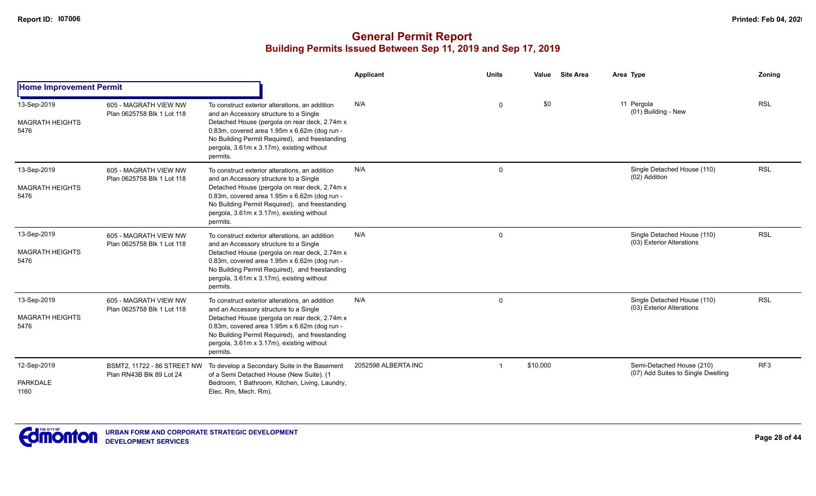|                                               |                                                         |                                                                                                                                                                                                                                                                                                      | Applicant           | <b>Units</b> | Value    | <b>Site Area</b> | Area Type                                                       | <b>Zoning</b>   |
|-----------------------------------------------|---------------------------------------------------------|------------------------------------------------------------------------------------------------------------------------------------------------------------------------------------------------------------------------------------------------------------------------------------------------------|---------------------|--------------|----------|------------------|-----------------------------------------------------------------|-----------------|
| <b>Home Improvement Permit</b>                |                                                         |                                                                                                                                                                                                                                                                                                      |                     |              |          |                  |                                                                 |                 |
| 13-Sep-2019<br><b>MAGRATH HEIGHTS</b><br>5476 | 605 - MAGRATH VIEW NW<br>Plan 0625758 Blk 1 Lot 118     | To construct exterior alterations, an addition<br>and an Accessory structure to a Single<br>Detached House (pergola on rear deck, 2.74m x<br>0.83m, covered area 1.95m x 6.62m (dog run -<br>No Building Permit Required), and freestanding<br>pergola, 3.61m x 3.17m), existing without<br>permits. | N/A                 | 0            | \$0      |                  | 11 Pergola<br>(01) Building - New                               | <b>RSL</b>      |
| 13-Sep-2019<br><b>MAGRATH HEIGHTS</b><br>5476 | 605 - MAGRATH VIEW NW<br>Plan 0625758 Blk 1 Lot 118     | To construct exterior alterations, an addition<br>and an Accessory structure to a Single<br>Detached House (pergola on rear deck, 2.74m x<br>0.83m, covered area 1.95m x 6.62m (dog run -<br>No Building Permit Required), and freestanding<br>pergola, 3.61m x 3.17m), existing without<br>permits. | N/A                 | $\Omega$     |          |                  | Single Detached House (110)<br>(02) Addition                    | <b>RSL</b>      |
| 13-Sep-2019<br><b>MAGRATH HEIGHTS</b><br>5476 | 605 - MAGRATH VIEW NW<br>Plan 0625758 Blk 1 Lot 118     | To construct exterior alterations, an addition<br>and an Accessory structure to a Single<br>Detached House (pergola on rear deck, 2.74m x<br>0.83m, covered area 1.95m x 6.62m (dog run -<br>No Building Permit Required), and freestanding<br>pergola, 3.61m x 3.17m), existing without<br>permits. | N/A                 | $\mathbf 0$  |          |                  | Single Detached House (110)<br>(03) Exterior Alterations        | <b>RSL</b>      |
| 13-Sep-2019<br><b>MAGRATH HEIGHTS</b><br>5476 | 605 - MAGRATH VIEW NW<br>Plan 0625758 Blk 1 Lot 118     | To construct exterior alterations, an addition<br>and an Accessory structure to a Single<br>Detached House (pergola on rear deck, 2.74m x<br>0.83m, covered area 1.95m x 6.62m (dog run -<br>No Building Permit Required), and freestanding<br>pergola, 3.61m x 3.17m), existing without<br>permits. | N/A                 | 0            |          |                  | Single Detached House (110)<br>(03) Exterior Alterations        | <b>RSL</b>      |
| 12-Sep-2019<br><b>PARKDALE</b><br>1160        | BSMT2, 11722 - 86 STREET NW<br>Plan RN43B Blk 89 Lot 24 | To develop a Secondary Suite in the Basement<br>of a Semi Detached House (New Suite). (1<br>Bedroom, 1 Bathroom, Kitchen, Living, Laundry,<br>Elec. Rm, Mech. Rm).                                                                                                                                   | 2052598 ALBERTA INC |              | \$10,000 |                  | Semi-Detached House (210)<br>(07) Add Suites to Single Dwelling | RF <sub>3</sub> |

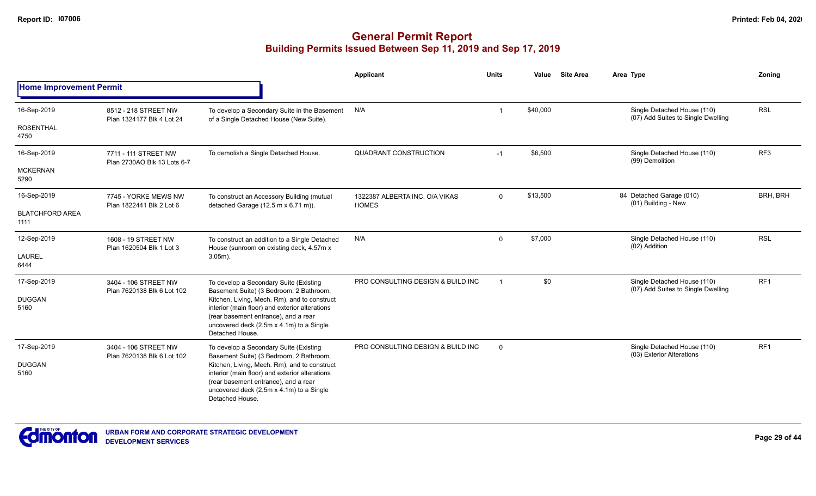|                                |                                                     |                                                                                                                                                                                                       | <b>Applicant</b>                               | <b>Units</b>   | Value    | <b>Site Area</b> | Area Type                                                         | Zoning          |
|--------------------------------|-----------------------------------------------------|-------------------------------------------------------------------------------------------------------------------------------------------------------------------------------------------------------|------------------------------------------------|----------------|----------|------------------|-------------------------------------------------------------------|-----------------|
| <b>Home Improvement Permit</b> |                                                     |                                                                                                                                                                                                       |                                                |                |          |                  |                                                                   |                 |
| 16-Sep-2019                    | 8512 - 218 STREET NW<br>Plan 1324177 Blk 4 Lot 24   | To develop a Secondary Suite in the Basement<br>of a Single Detached House (New Suite).                                                                                                               | N/A                                            | 1              | \$40,000 |                  | Single Detached House (110)<br>(07) Add Suites to Single Dwelling | <b>RSL</b>      |
| <b>ROSENTHAL</b><br>4750       |                                                     |                                                                                                                                                                                                       |                                                |                |          |                  |                                                                   |                 |
| 16-Sep-2019                    | 7711 - 111 STREET NW<br>Plan 2730AO Blk 13 Lots 6-7 | To demolish a Single Detached House.                                                                                                                                                                  | QUADRANT CONSTRUCTION                          | $-1$           | \$6,500  |                  | Single Detached House (110)<br>(99) Demolition                    | RF3             |
| <b>MCKERNAN</b><br>5290        |                                                     |                                                                                                                                                                                                       |                                                |                |          |                  |                                                                   |                 |
| 16-Sep-2019                    | 7745 - YORKE MEWS NW<br>Plan 1822441 Blk 2 Lot 6    | To construct an Accessory Building (mutual<br>detached Garage $(12.5 \text{ m} \times 6.71 \text{ m})$ ).                                                                                             | 1322387 ALBERTA INC. O/A VIKAS<br><b>HOMES</b> | $\mathbf{0}$   | \$13,500 |                  | 84 Detached Garage (010)<br>(01) Building - New                   | BRH, BRH        |
| <b>BLATCHFORD AREA</b><br>1111 |                                                     |                                                                                                                                                                                                       |                                                |                |          |                  |                                                                   |                 |
| 12-Sep-2019                    | 1608 - 19 STREET NW                                 | To construct an addition to a Single Detached<br>House (sunroom on existing deck, 4.57m x                                                                                                             | N/A                                            | $\mathbf{0}$   | \$7,000  |                  | Single Detached House (110)<br>(02) Addition                      | <b>RSL</b>      |
| <b>LAUREL</b><br>6444          | Plan 1620504 Blk 1 Lot 3                            | $3.05m$ ).                                                                                                                                                                                            |                                                |                |          |                  |                                                                   |                 |
| 17-Sep-2019                    | 3404 - 106 STREET NW<br>Plan 7620138 Blk 6 Lot 102  | To develop a Secondary Suite (Existing<br>Basement Suite) (3 Bedroom, 2 Bathroom,                                                                                                                     | PRO CONSULTING DESIGN & BUILD INC              | $\overline{1}$ | \$0      |                  | Single Detached House (110)<br>(07) Add Suites to Single Dwelling | RF <sub>1</sub> |
| <b>DUGGAN</b><br>5160          |                                                     | Kitchen, Living, Mech. Rm), and to construct<br>interior (main floor) and exterior alterations<br>(rear basement entrance), and a rear<br>uncovered deck (2.5m x 4.1m) to a Single<br>Detached House. |                                                |                |          |                  |                                                                   |                 |
| 17-Sep-2019                    | 3404 - 106 STREET NW<br>Plan 7620138 Blk 6 Lot 102  | To develop a Secondary Suite (Existing<br>Basement Suite) (3 Bedroom, 2 Bathroom,                                                                                                                     | PRO CONSULTING DESIGN & BUILD INC              | $\mathbf{0}$   |          |                  | Single Detached House (110)<br>(03) Exterior Alterations          | RF <sub>1</sub> |
| <b>DUGGAN</b><br>5160          |                                                     | Kitchen, Living, Mech. Rm), and to construct<br>interior (main floor) and exterior alterations<br>(rear basement entrance), and a rear<br>uncovered deck (2.5m x 4.1m) to a Single<br>Detached House. |                                                |                |          |                  |                                                                   |                 |

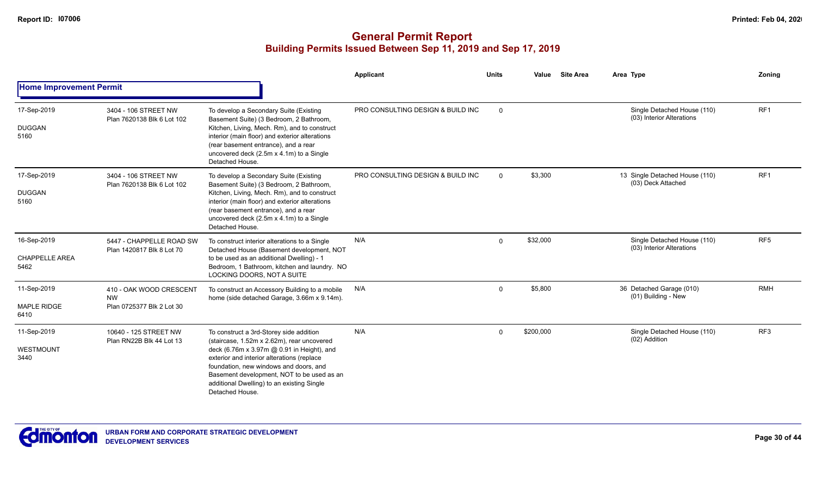|                                              |                                                                   |                                                                                                                                                                                                                                                                                                                                            | <b>Applicant</b>                  | <b>Units</b> | Value     | <b>Site Area</b> | Area Type                                                | Zoning          |
|----------------------------------------------|-------------------------------------------------------------------|--------------------------------------------------------------------------------------------------------------------------------------------------------------------------------------------------------------------------------------------------------------------------------------------------------------------------------------------|-----------------------------------|--------------|-----------|------------------|----------------------------------------------------------|-----------------|
| <b>Home Improvement Permit</b>               |                                                                   |                                                                                                                                                                                                                                                                                                                                            |                                   |              |           |                  |                                                          |                 |
| 17-Sep-2019<br><b>DUGGAN</b><br>5160         | 3404 - 106 STREET NW<br>Plan 7620138 Blk 6 Lot 102                | To develop a Secondary Suite (Existing<br>Basement Suite) (3 Bedroom, 2 Bathroom,<br>Kitchen, Living, Mech. Rm), and to construct<br>interior (main floor) and exterior alterations<br>(rear basement entrance), and a rear<br>uncovered deck (2.5m x 4.1m) to a Single<br>Detached House.                                                 | PRO CONSULTING DESIGN & BUILD INC | $\Omega$     |           |                  | Single Detached House (110)<br>(03) Interior Alterations | RF <sub>1</sub> |
| 17-Sep-2019<br><b>DUGGAN</b><br>5160         | 3404 - 106 STREET NW<br>Plan 7620138 Blk 6 Lot 102                | To develop a Secondary Suite (Existing<br>Basement Suite) (3 Bedroom, 2 Bathroom,<br>Kitchen, Living, Mech. Rm), and to construct<br>interior (main floor) and exterior alterations<br>(rear basement entrance), and a rear<br>uncovered deck (2.5m x 4.1m) to a Single<br>Detached House.                                                 | PRO CONSULTING DESIGN & BUILD INC | $\Omega$     | \$3,300   |                  | 13 Single Detached House (110)<br>(03) Deck Attached     | RF <sub>1</sub> |
| 16-Sep-2019<br><b>CHAPPELLE AREA</b><br>5462 | 5447 - CHAPPELLE ROAD SW<br>Plan 1420817 Blk 8 Lot 70             | To construct interior alterations to a Single<br>Detached House (Basement development, NOT<br>to be used as an additional Dwelling) - 1<br>Bedroom, 1 Bathroom, kitchen and laundry. NO<br>LOCKING DOORS, NOT A SUITE                                                                                                                      | N/A                               | $\Omega$     | \$32,000  |                  | Single Detached House (110)<br>(03) Interior Alterations | RF <sub>5</sub> |
| 11-Sep-2019<br><b>MAPLE RIDGE</b><br>6410    | 410 - OAK WOOD CRESCENT<br><b>NW</b><br>Plan 0725377 Blk 2 Lot 30 | To construct an Accessory Building to a mobile<br>home (side detached Garage, 3.66m x 9.14m).                                                                                                                                                                                                                                              | N/A                               | $\Omega$     | \$5,800   |                  | 36 Detached Garage (010)<br>(01) Building - New          | <b>RMH</b>      |
| 11-Sep-2019<br>WESTMOUNT<br>3440             | 10640 - 125 STREET NW<br>Plan RN22B Blk 44 Lot 13                 | To construct a 3rd-Storey side addition<br>(staircase, 1.52m x 2.62m), rear uncovered<br>deck (6.76m x 3.97m @ 0.91 in Height), and<br>exterior and interior alterations (replace<br>foundation, new windows and doors, and<br>Basement development, NOT to be used as an<br>additional Dwelling) to an existing Single<br>Detached House. | N/A                               | $\Omega$     | \$200,000 |                  | Single Detached House (110)<br>(02) Addition             | RF3             |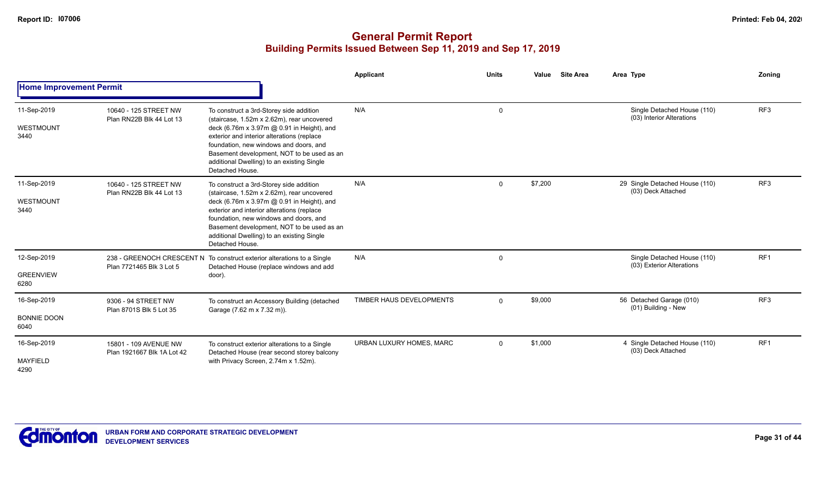|                                           |                                                     |                                                                                                                                                                                                                                                                                                                                            | <b>Applicant</b>         | <b>Units</b> | Value   | <b>Site Area</b> | Area Type                                                | Zonina          |
|-------------------------------------------|-----------------------------------------------------|--------------------------------------------------------------------------------------------------------------------------------------------------------------------------------------------------------------------------------------------------------------------------------------------------------------------------------------------|--------------------------|--------------|---------|------------------|----------------------------------------------------------|-----------------|
| <b>Home Improvement Permit</b>            |                                                     |                                                                                                                                                                                                                                                                                                                                            |                          |              |         |                  |                                                          |                 |
| 11-Sep-2019<br><b>WESTMOUNT</b><br>3440   | 10640 - 125 STREET NW<br>Plan RN22B Blk 44 Lot 13   | To construct a 3rd-Storey side addition<br>(staircase, 1.52m x 2.62m), rear uncovered<br>deck (6.76m x 3.97m @ 0.91 in Height), and<br>exterior and interior alterations (replace<br>foundation, new windows and doors, and<br>Basement development, NOT to be used as an<br>additional Dwelling) to an existing Single<br>Detached House. | N/A                      | $\Omega$     |         |                  | Single Detached House (110)<br>(03) Interior Alterations | RF <sub>3</sub> |
| 11-Sep-2019<br>WESTMOUNT<br>3440          | 10640 - 125 STREET NW<br>Plan RN22B Blk 44 Lot 13   | To construct a 3rd-Storey side addition<br>(staircase, 1.52m x 2.62m), rear uncovered<br>deck (6.76m x 3.97m @ 0.91 in Height), and<br>exterior and interior alterations (replace<br>foundation, new windows and doors, and<br>Basement development, NOT to be used as an<br>additional Dwelling) to an existing Single<br>Detached House. | N/A                      | $\Omega$     | \$7,200 |                  | 29 Single Detached House (110)<br>(03) Deck Attached     | RF <sub>3</sub> |
| 12-Sep-2019<br><b>GREENVIEW</b><br>6280   | Plan 7721465 Blk 3 Lot 5                            | 238 - GREENOCH CRESCENT N To construct exterior alterations to a Single<br>Detached House (replace windows and add<br>door).                                                                                                                                                                                                               | N/A                      | $\mathbf 0$  |         |                  | Single Detached House (110)<br>(03) Exterior Alterations | RF <sub>1</sub> |
| 16-Sep-2019<br><b>BONNIE DOON</b><br>6040 | 9306 - 94 STREET NW<br>Plan 8701S Blk 5 Lot 35      | To construct an Accessory Building (detached<br>Garage (7.62 m x 7.32 m)).                                                                                                                                                                                                                                                                 | TIMBER HAUS DEVELOPMENTS | $\mathbf{0}$ | \$9,000 |                  | 56 Detached Garage (010)<br>(01) Building - New          | RF <sub>3</sub> |
| 16-Sep-2019<br><b>MAYFIELD</b><br>4290    | 15801 - 109 AVENUE NW<br>Plan 1921667 Blk 1A Lot 42 | To construct exterior alterations to a Single<br>Detached House (rear second storey balcony<br>with Privacy Screen, 2.74m x 1.52m).                                                                                                                                                                                                        | URBAN LUXURY HOMES, MARC | $\Omega$     | \$1,000 |                  | 4 Single Detached House (110)<br>(03) Deck Attached      | RF <sub>1</sub> |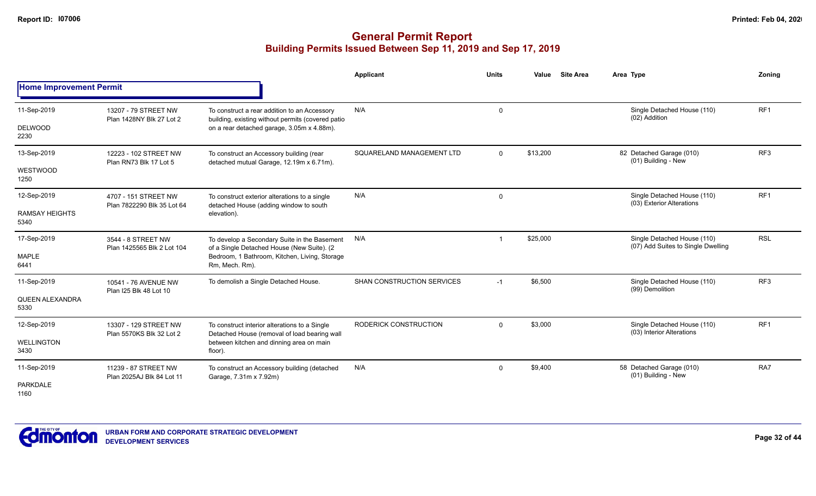|                                              |                                                    |                                                                                                                                                               | Applicant                  | <b>Units</b> | <b>Site Area</b><br>Value | Area Type                                                         | Zonina          |
|----------------------------------------------|----------------------------------------------------|---------------------------------------------------------------------------------------------------------------------------------------------------------------|----------------------------|--------------|---------------------------|-------------------------------------------------------------------|-----------------|
| <b>Home Improvement Permit</b>               |                                                    |                                                                                                                                                               |                            |              |                           |                                                                   |                 |
| 11-Sep-2019<br><b>DELWOOD</b><br>2230        | 13207 - 79 STREET NW<br>Plan 1428NY Blk 27 Lot 2   | To construct a rear addition to an Accessory<br>building, existing without permits (covered patio<br>on a rear detached garage, 3.05m x 4.88m).               | N/A                        | $\mathbf 0$  |                           | Single Detached House (110)<br>(02) Addition                      | RF <sub>1</sub> |
| 13-Sep-2019<br>WESTWOOD<br>1250              | 12223 - 102 STREET NW<br>Plan RN73 Blk 17 Lot 5    | To construct an Accessory building (rear<br>detached mutual Garage, 12.19m x 6.71m).                                                                          | SQUARELAND MANAGEMENT LTD  | $\Omega$     | \$13,200                  | 82 Detached Garage (010)<br>(01) Building - New                   | RF <sub>3</sub> |
| 12-Sep-2019<br><b>RAMSAY HEIGHTS</b><br>5340 | 4707 - 151 STREET NW<br>Plan 7822290 Blk 35 Lot 64 | To construct exterior alterations to a single<br>detached House (adding window to south<br>elevation).                                                        | N/A                        | 0            |                           | Single Detached House (110)<br>(03) Exterior Alterations          | RF <sub>1</sub> |
| 17-Sep-2019<br><b>MAPLE</b><br>6441          | 3544 - 8 STREET NW<br>Plan 1425565 Blk 2 Lot 104   | To develop a Secondary Suite in the Basement<br>of a Single Detached House (New Suite). (2<br>Bedroom, 1 Bathroom, Kitchen, Living, Storage<br>Rm, Mech. Rm). | N/A                        |              | \$25,000                  | Single Detached House (110)<br>(07) Add Suites to Single Dwelling | <b>RSL</b>      |
| 11-Sep-2019<br>QUEEN ALEXANDRA<br>5330       | 10541 - 76 AVENUE NW<br>Plan I25 Blk 48 Lot 10     | To demolish a Single Detached House.                                                                                                                          | SHAN CONSTRUCTION SERVICES | $-1$         | \$6,500                   | Single Detached House (110)<br>(99) Demolition                    | RF <sub>3</sub> |
| 12-Sep-2019<br><b>WELLINGTON</b><br>3430     | 13307 - 129 STREET NW<br>Plan 5570KS Blk 32 Lot 2  | To construct interior alterations to a Single<br>Detached House (removal of load bearing wall<br>between kitchen and dinning area on main<br>floor).          | RODERICK CONSTRUCTION      | $\mathbf 0$  | \$3,000                   | Single Detached House (110)<br>(03) Interior Alterations          | RF <sub>1</sub> |
| 11-Sep-2019<br><b>PARKDALE</b><br>1160       | 11239 - 87 STREET NW<br>Plan 2025AJ Blk 84 Lot 11  | To construct an Accessory building (detached<br>Garage, 7.31m x 7.92m)                                                                                        | N/A                        | 0            | \$9,400                   | 58 Detached Garage (010)<br>(01) Building - New                   | RA7             |

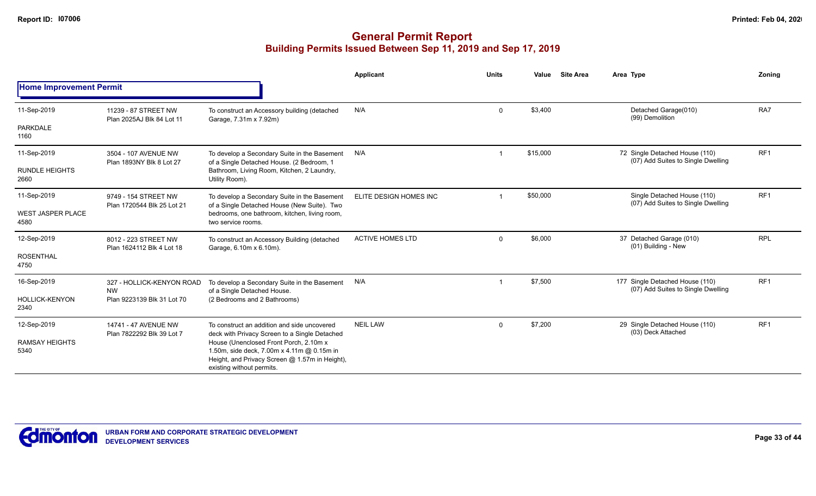|                                  |                                                   |                                                                                                                                                                                                                      | Applicant               | <b>Units</b> | Value    | <b>Site Area</b> | Area Type                                                             | Zoning          |  |  |
|----------------------------------|---------------------------------------------------|----------------------------------------------------------------------------------------------------------------------------------------------------------------------------------------------------------------------|-------------------------|--------------|----------|------------------|-----------------------------------------------------------------------|-----------------|--|--|
| <b>Home Improvement Permit</b>   |                                                   |                                                                                                                                                                                                                      |                         |              |          |                  |                                                                       |                 |  |  |
| 11-Sep-2019                      | 11239 - 87 STREET NW<br>Plan 2025AJ Blk 84 Lot 11 | To construct an Accessory building (detached<br>Garage, 7.31m x 7.92m)                                                                                                                                               | N/A                     | $\mathbf 0$  | \$3,400  |                  | Detached Garage(010)<br>(99) Demolition                               | RA7             |  |  |
| PARKDALE<br>1160                 |                                                   |                                                                                                                                                                                                                      |                         |              |          |                  |                                                                       |                 |  |  |
| 11-Sep-2019                      | 3504 - 107 AVENUE NW<br>Plan 1893NY Blk 8 Lot 27  | To develop a Secondary Suite in the Basement                                                                                                                                                                         | N/A                     |              | \$15,000 |                  | 72 Single Detached House (110)<br>(07) Add Suites to Single Dwelling  | RF <sub>1</sub> |  |  |
| <b>RUNDLE HEIGHTS</b><br>2660    |                                                   | of a Single Detached House. (2 Bedroom, 1<br>Bathroom, Living Room, Kitchen, 2 Laundry,<br>Utility Room).                                                                                                            |                         |              |          |                  |                                                                       |                 |  |  |
| 11-Sep-2019                      | 9749 - 154 STREET NW                              | To develop a Secondary Suite in the Basement                                                                                                                                                                         | ELITE DESIGN HOMES INC  |              | \$50,000 |                  | Single Detached House (110)<br>(07) Add Suites to Single Dwelling     | RF1             |  |  |
| <b>WEST JASPER PLACE</b><br>4580 | Plan 1720544 Blk 25 Lot 21                        | of a Single Detached House (New Suite). Two<br>bedrooms, one bathroom, kitchen, living room,<br>two service rooms.                                                                                                   |                         |              |          |                  |                                                                       |                 |  |  |
| 12-Sep-2019                      | 8012 - 223 STREET NW<br>Plan 1624112 Blk 4 Lot 18 | To construct an Accessory Building (detached                                                                                                                                                                         | <b>ACTIVE HOMES LTD</b> | $\mathbf 0$  | \$6,000  |                  | 37 Detached Garage (010)<br>(01) Building - New                       | <b>RPL</b>      |  |  |
| <b>ROSENTHAL</b><br>4750         |                                                   | Garage, 6.10m x 6.10m).                                                                                                                                                                                              |                         |              |          |                  |                                                                       |                 |  |  |
| 16-Sep-2019                      | 327 - HOLLICK-KENYON ROAD<br><b>NW</b>            | To develop a Secondary Suite in the Basement<br>of a Single Detached House.                                                                                                                                          | N/A                     |              | \$7,500  |                  | 177 Single Detached House (110)<br>(07) Add Suites to Single Dwelling | RF <sub>1</sub> |  |  |
| <b>HOLLICK-KENYON</b><br>2340    | Plan 9223139 Blk 31 Lot 70                        | (2 Bedrooms and 2 Bathrooms)                                                                                                                                                                                         |                         |              |          |                  |                                                                       |                 |  |  |
| 12-Sep-2019                      | 14741 - 47 AVENUE NW<br>Plan 7822292 Blk 39 Lot 7 | To construct an addition and side uncovered                                                                                                                                                                          | <b>NEIL LAW</b>         | $\mathbf 0$  | \$7,200  |                  | 29 Single Detached House (110)<br>(03) Deck Attached                  | RF1             |  |  |
| <b>RAMSAY HEIGHTS</b><br>5340    |                                                   | deck with Privacy Screen to a Single Detached<br>House (Unenclosed Front Porch, 2.10m x<br>1.50m, side deck, 7.00m x 4.11m @ 0.15m in<br>Height, and Privacy Screen @ 1.57m in Height),<br>existing without permits. |                         |              |          |                  |                                                                       |                 |  |  |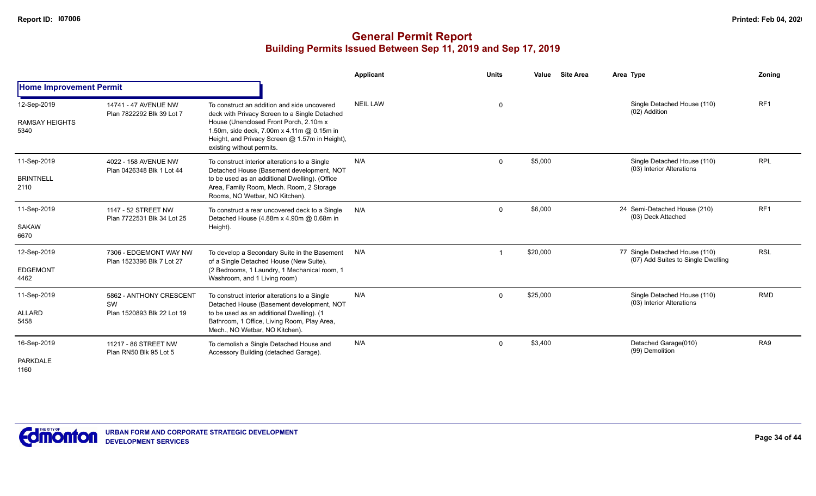|                                              |                                                             |                                                                                                                                                                                                                                                                     | <b>Applicant</b> | <b>Units</b> | Value    | <b>Site Area</b> | Area Type     |                                                                      | Zoning          |
|----------------------------------------------|-------------------------------------------------------------|---------------------------------------------------------------------------------------------------------------------------------------------------------------------------------------------------------------------------------------------------------------------|------------------|--------------|----------|------------------|---------------|----------------------------------------------------------------------|-----------------|
| <b>Home Improvement Permit</b>               |                                                             |                                                                                                                                                                                                                                                                     |                  |              |          |                  |               |                                                                      |                 |
| 12-Sep-2019<br><b>RAMSAY HEIGHTS</b><br>5340 | 14741 - 47 AVENUE NW<br>Plan 7822292 Blk 39 Lot 7           | To construct an addition and side uncovered<br>deck with Privacy Screen to a Single Detached<br>House (Unenclosed Front Porch, 2.10m x<br>1.50m, side deck, 7.00m x 4.11m @ 0.15m in<br>Height, and Privacy Screen @ 1.57m in Height),<br>existing without permits. | <b>NEIL LAW</b>  | 0            |          |                  | (02) Addition | Single Detached House (110)                                          | RF <sub>1</sub> |
| 11-Sep-2019<br><b>BRINTNELL</b><br>2110      | 4022 - 158 AVENUE NW<br>Plan 0426348 Blk 1 Lot 44           | To construct interior alterations to a Single<br>Detached House (Basement development, NOT<br>to be used as an additional Dwelling). (Office<br>Area, Family Room, Mech. Room, 2 Storage<br>Rooms, NO Wetbar, NO Kitchen).                                          | N/A              | $\mathbf 0$  | \$5,000  |                  |               | Single Detached House (110)<br>(03) Interior Alterations             | <b>RPL</b>      |
| 11-Sep-2019<br><b>SAKAW</b><br>6670          | 1147 - 52 STREET NW<br>Plan 7722531 Blk 34 Lot 25           | To construct a rear uncovered deck to a Single<br>Detached House (4.88m x 4.90m @ 0.68m in<br>Height).                                                                                                                                                              | N/A              | $\Omega$     | \$6,000  |                  |               | 24 Semi-Detached House (210)<br>(03) Deck Attached                   | RF1             |
| 12-Sep-2019<br><b>EDGEMONT</b><br>4462       | 7306 - EDGEMONT WAY NW<br>Plan 1523396 Blk 7 Lot 27         | To develop a Secondary Suite in the Basement<br>of a Single Detached House (New Suite).<br>(2 Bedrooms, 1 Laundry, 1 Mechanical room, 1<br>Washroom, and 1 Living room)                                                                                             | N/A              |              | \$20,000 |                  |               | 77 Single Detached House (110)<br>(07) Add Suites to Single Dwelling | <b>RSL</b>      |
| 11-Sep-2019<br>ALLARD<br>5458                | 5862 - ANTHONY CRESCENT<br>SW<br>Plan 1520893 Blk 22 Lot 19 | To construct interior alterations to a Single<br>Detached House (Basement development, NOT<br>to be used as an additional Dwelling). (1<br>Bathroom, 1 Office, Living Room, Play Area,<br>Mech., NO Wetbar, NO Kitchen).                                            | N/A              | $\Omega$     | \$25,000 |                  |               | Single Detached House (110)<br>(03) Interior Alterations             | <b>RMD</b>      |
| 16-Sep-2019<br><b>PARKDALE</b><br>1160       | 11217 - 86 STREET NW<br>Plan RN50 Blk 95 Lot 5              | To demolish a Single Detached House and<br>Accessory Building (detached Garage).                                                                                                                                                                                    | N/A              | $\Omega$     | \$3,400  |                  |               | Detached Garage(010)<br>(99) Demolition                              | RA <sub>9</sub> |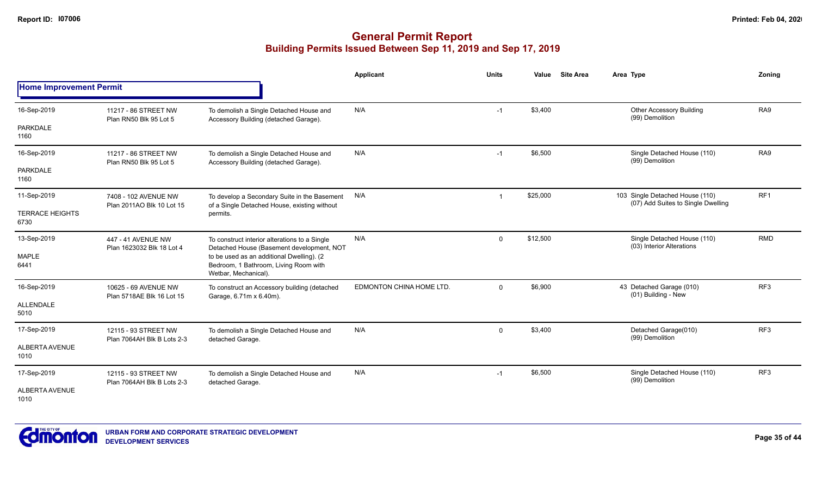|                                |                                                    |                                                                                                            | Applicant                | <b>Units</b> | Value    | <b>Site Area</b> | Area Type                                                             | Zoning          |
|--------------------------------|----------------------------------------------------|------------------------------------------------------------------------------------------------------------|--------------------------|--------------|----------|------------------|-----------------------------------------------------------------------|-----------------|
| <b>Home Improvement Permit</b> |                                                    |                                                                                                            |                          |              |          |                  |                                                                       |                 |
| 16-Sep-2019                    | 11217 - 86 STREET NW<br>Plan RN50 Blk 95 Lot 5     | To demolish a Single Detached House and<br>Accessory Building (detached Garage).                           | N/A                      | $-1$         | \$3,400  |                  | <b>Other Accessory Building</b><br>(99) Demolition                    | RA <sub>9</sub> |
| <b>PARKDALE</b><br>1160        |                                                    |                                                                                                            |                          |              |          |                  |                                                                       |                 |
| 16-Sep-2019                    | 11217 - 86 STREET NW<br>Plan RN50 Blk 95 Lot 5     | To demolish a Single Detached House and<br>Accessory Building (detached Garage).                           | N/A                      | $-1$         | \$6,500  |                  | Single Detached House (110)<br>(99) Demolition                        | RA <sub>9</sub> |
| <b>PARKDALE</b><br>1160        |                                                    |                                                                                                            |                          |              |          |                  |                                                                       |                 |
| 11-Sep-2019                    | 7408 - 102 AVENUE NW<br>Plan 2011AO Blk 10 Lot 15  | To develop a Secondary Suite in the Basement<br>of a Single Detached House, existing without               | N/A                      | -1           | \$25,000 |                  | 103 Single Detached House (110)<br>(07) Add Suites to Single Dwelling | RF <sub>1</sub> |
| <b>TERRACE HEIGHTS</b><br>6730 |                                                    | permits.                                                                                                   |                          |              |          |                  |                                                                       |                 |
| 13-Sep-2019                    | 447 - 41 AVENUE NW<br>Plan 1623032 Blk 18 Lot 4    | To construct interior alterations to a Single<br>Detached House (Basement development, NOT                 | N/A                      | $\Omega$     | \$12,500 |                  | Single Detached House (110)<br>(03) Interior Alterations              | <b>RMD</b>      |
| MAPLE<br>6441                  |                                                    | to be used as an additional Dwelling). (2<br>Bedroom, 1 Bathroom, Living Room with<br>Wetbar, Mechanical). |                          |              |          |                  |                                                                       |                 |
| 16-Sep-2019                    | 10625 - 69 AVENUE NW<br>Plan 5718AE Blk 16 Lot 15  | To construct an Accessory building (detached<br>Garage, 6.71m x 6.40m).                                    | EDMONTON CHINA HOME LTD. | $\mathbf 0$  | \$6,900  |                  | 43 Detached Garage (010)<br>(01) Building - New                       | RF3             |
| ALLENDALE<br>5010              |                                                    |                                                                                                            |                          |              |          |                  |                                                                       |                 |
| 17-Sep-2019                    | 12115 - 93 STREET NW<br>Plan 7064AH Blk B Lots 2-3 | To demolish a Single Detached House and<br>detached Garage.                                                | N/A                      | $\mathbf 0$  | \$3,400  |                  | Detached Garage(010)<br>(99) Demolition                               | RF <sub>3</sub> |
| <b>ALBERTA AVENUE</b><br>1010  |                                                    |                                                                                                            |                          |              |          |                  |                                                                       |                 |
| 17-Sep-2019                    | 12115 - 93 STREET NW<br>Plan 7064AH Blk B Lots 2-3 | To demolish a Single Detached House and<br>detached Garage.                                                | N/A                      | $-1$         | \$6,500  |                  | Single Detached House (110)<br>(99) Demolition                        | RF <sub>3</sub> |
| ALBERTA AVENUE<br>1010         |                                                    |                                                                                                            |                          |              |          |                  |                                                                       |                 |

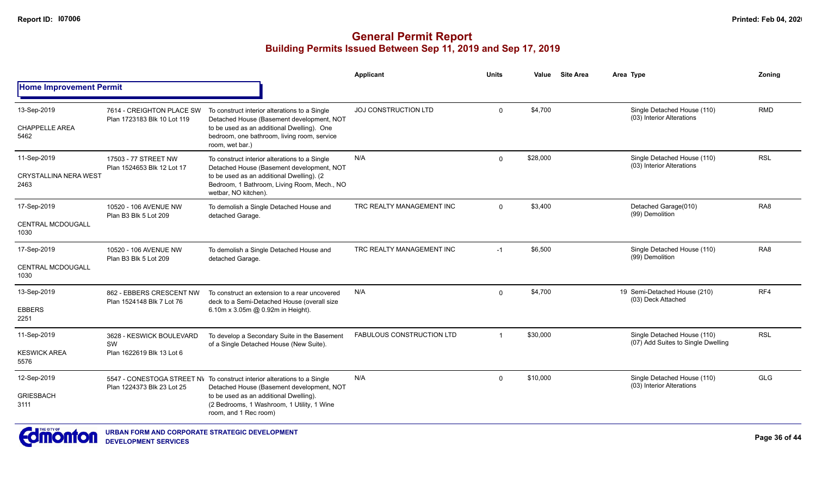|                                                     |                                                             |                                                                                                                                                                                                                                        | Applicant                        | <b>Units</b>   | Value    | <b>Site Area</b> | Area Type                                                         | Zonina          |
|-----------------------------------------------------|-------------------------------------------------------------|----------------------------------------------------------------------------------------------------------------------------------------------------------------------------------------------------------------------------------------|----------------------------------|----------------|----------|------------------|-------------------------------------------------------------------|-----------------|
| <b>Home Improvement Permit</b>                      |                                                             |                                                                                                                                                                                                                                        |                                  |                |          |                  |                                                                   |                 |
| 13-Sep-2019<br><b>CHAPPELLE AREA</b><br>5462        | 7614 - CREIGHTON PLACE SW<br>Plan 1723183 Blk 10 Lot 119    | To construct interior alterations to a Single<br>Detached House (Basement development, NOT<br>to be used as an additional Dwelling). One<br>bedroom, one bathroom, living room, service<br>room, wet bar.)                             | <b>JOJ CONSTRUCTION LTD</b>      | $\mathbf 0$    | \$4,700  |                  | Single Detached House (110)<br>(03) Interior Alterations          | <b>RMD</b>      |
| 11-Sep-2019<br><b>CRYSTALLINA NERA WEST</b><br>2463 | 17503 - 77 STREET NW<br>Plan 1524653 Blk 12 Lot 17          | To construct interior alterations to a Single<br>Detached House (Basement development, NOT<br>to be used as an additional Dwelling). (2<br>Bedroom, 1 Bathroom, Living Room, Mech., NO<br>wetbar, NO kitchen).                         | N/A                              | $\mathbf 0$    | \$28,000 |                  | Single Detached House (110)<br>(03) Interior Alterations          | <b>RSL</b>      |
| 17-Sep-2019<br><b>CENTRAL MCDOUGALL</b><br>1030     | 10520 - 106 AVENUE NW<br>Plan B3 Blk 5 Lot 209              | To demolish a Single Detached House and<br>detached Garage.                                                                                                                                                                            | TRC REALTY MANAGEMENT INC        | $\Omega$       | \$3,400  |                  | Detached Garage(010)<br>(99) Demolition                           | RA <sub>8</sub> |
| 17-Sep-2019<br><b>CENTRAL MCDOUGALL</b><br>1030     | 10520 - 106 AVENUE NW<br>Plan B3 Blk 5 Lot 209              | To demolish a Single Detached House and<br>detached Garage.                                                                                                                                                                            | TRC REALTY MANAGEMENT INC        | $-1$           | \$6,500  |                  | Single Detached House (110)<br>(99) Demolition                    | RA <sub>8</sub> |
| 13-Sep-2019<br><b>EBBERS</b><br>2251                | 862 - EBBERS CRESCENT NW<br>Plan 1524148 Blk 7 Lot 76       | To construct an extension to a rear uncovered<br>deck to a Semi-Detached House (overall size<br>6.10m x 3.05m @ 0.92m in Height).                                                                                                      | N/A                              | $\mathbf 0$    | \$4,700  |                  | 19 Semi-Detached House (210)<br>(03) Deck Attached                | RF4             |
| 11-Sep-2019<br><b>KESWICK AREA</b><br>5576          | 3628 - KESWICK BOULEVARD<br>SW<br>Plan 1622619 Blk 13 Lot 6 | To develop a Secondary Suite in the Basement<br>of a Single Detached House (New Suite).                                                                                                                                                | <b>FABULOUS CONSTRUCTION LTD</b> | $\overline{1}$ | \$30,000 |                  | Single Detached House (110)<br>(07) Add Suites to Single Dwelling | <b>RSL</b>      |
| 12-Sep-2019<br><b>GRIESBACH</b><br>3111             | Plan 1224373 Blk 23 Lot 25                                  | 5547 - CONESTOGA STREET NV To construct interior alterations to a Single<br>Detached House (Basement development, NOT<br>to be used as an additional Dwelling).<br>(2 Bedrooms, 1 Washroom, 1 Utility, 1 Wine<br>room, and 1 Rec room) | N/A                              | $\Omega$       | \$10,000 |                  | Single Detached House (110)<br>(03) Interior Alterations          | <b>GLG</b>      |

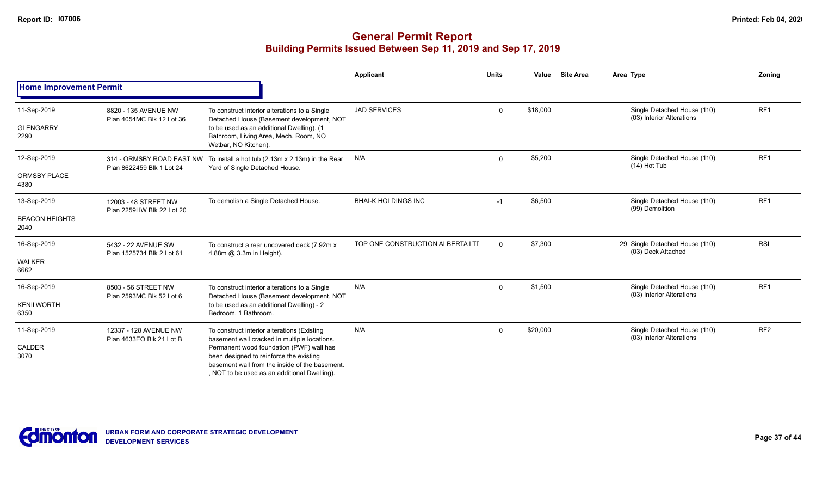|                                              |                                                        |                                                                                                                                                                                                                                                                                      | Applicant                        | <b>Units</b> | Value    | <b>Site Area</b> | Area Type                                                | Zonina          |
|----------------------------------------------|--------------------------------------------------------|--------------------------------------------------------------------------------------------------------------------------------------------------------------------------------------------------------------------------------------------------------------------------------------|----------------------------------|--------------|----------|------------------|----------------------------------------------------------|-----------------|
| <b>Home Improvement Permit</b>               |                                                        |                                                                                                                                                                                                                                                                                      |                                  |              |          |                  |                                                          |                 |
| 11-Sep-2019<br><b>GLENGARRY</b><br>2290      | 8820 - 135 AVENUE NW<br>Plan 4054MC Blk 12 Lot 36      | To construct interior alterations to a Single<br>Detached House (Basement development, NOT<br>to be used as an additional Dwelling). (1<br>Bathroom, Living Area, Mech. Room, NO<br>Wetbar, NO Kitchen).                                                                             | <b>JAD SERVICES</b>              | $\mathbf 0$  | \$18,000 |                  | Single Detached House (110)<br>(03) Interior Alterations | RF <sub>1</sub> |
| 12-Sep-2019<br>ORMSBY PLACE<br>4380          | 314 - ORMSBY ROAD EAST NW<br>Plan 8622459 Blk 1 Lot 24 | To install a hot tub (2.13m x 2.13m) in the Rear<br>Yard of Single Detached House.                                                                                                                                                                                                   | N/A                              | $\mathbf 0$  | \$5,200  |                  | Single Detached House (110)<br>$(14)$ Hot Tub            | RF <sub>1</sub> |
| 13-Sep-2019<br><b>BEACON HEIGHTS</b><br>2040 | 12003 - 48 STREET NW<br>Plan 2259HW Blk 22 Lot 20      | To demolish a Single Detached House.                                                                                                                                                                                                                                                 | <b>BHAI-K HOLDINGS INC</b>       | $-1$         | \$6,500  |                  | Single Detached House (110)<br>(99) Demolition           | RF <sub>1</sub> |
| 16-Sep-2019<br><b>WALKER</b><br>6662         | 5432 - 22 AVENUE SW<br>Plan 1525734 Blk 2 Lot 61       | To construct a rear uncovered deck (7.92m x)<br>4.88m @ 3.3m in Height).                                                                                                                                                                                                             | TOP ONE CONSTRUCTION ALBERTA LTI | $\Omega$     | \$7,300  |                  | 29 Single Detached House (110)<br>(03) Deck Attached     | <b>RSL</b>      |
| 16-Sep-2019<br><b>KENILWORTH</b><br>6350     | 8503 - 56 STREET NW<br>Plan 2593MC Blk 52 Lot 6        | To construct interior alterations to a Single<br>Detached House (Basement development, NOT<br>to be used as an additional Dwelling) - 2<br>Bedroom, 1 Bathroom.                                                                                                                      | N/A                              | $\mathbf 0$  | \$1,500  |                  | Single Detached House (110)<br>(03) Interior Alterations | RF1             |
| 11-Sep-2019<br>CALDER<br>3070                | 12337 - 128 AVENUE NW<br>Plan 4633EO Blk 21 Lot B      | To construct interior alterations (Existing<br>basement wall cracked in multiple locations.<br>Permanent wood foundation (PWF) wall has<br>been designed to reinforce the existing<br>basement wall from the inside of the basement.<br>, NOT to be used as an additional Dwelling). | N/A                              | $\mathbf 0$  | \$20,000 |                  | Single Detached House (110)<br>(03) Interior Alterations | RF <sub>2</sub> |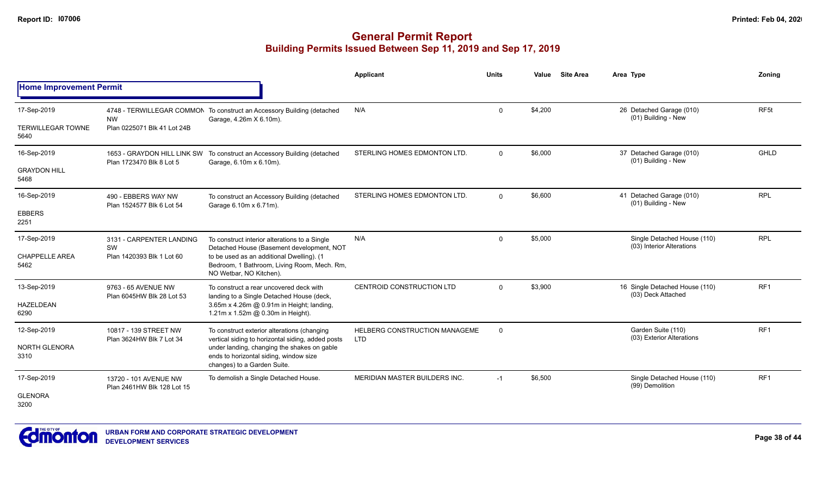|                                  |                                                             |                                                                                                                      | <b>Applicant</b>                            | <b>Units</b> | Value   | <b>Site Area</b> | Area Type                                                | Zoning           |
|----------------------------------|-------------------------------------------------------------|----------------------------------------------------------------------------------------------------------------------|---------------------------------------------|--------------|---------|------------------|----------------------------------------------------------|------------------|
| <b>Home Improvement Permit</b>   |                                                             |                                                                                                                      |                                             |              |         |                  |                                                          |                  |
| 17-Sep-2019                      | <b>NW</b>                                                   | 4748 - TERWILLEGAR COMMON To construct an Accessory Building (detached<br>Garage, 4.26m X 6.10m).                    | N/A                                         | $\mathbf 0$  | \$4,200 |                  | 26 Detached Garage (010)<br>(01) Building - New          | RF <sub>5t</sub> |
| <b>TERWILLEGAR TOWNE</b><br>5640 | Plan 0225071 Blk 41 Lot 24B                                 |                                                                                                                      |                                             |              |         |                  |                                                          |                  |
| 16-Sep-2019                      | 1653 - GRAYDON HILL LINK SW<br>Plan 1723470 Blk 8 Lot 5     | To construct an Accessory Building (detached<br>Garage, 6.10m x 6.10m).                                              | STERLING HOMES EDMONTON LTD.                | $\Omega$     | \$6,000 |                  | 37 Detached Garage (010)<br>(01) Building - New          | <b>GHLD</b>      |
| <b>GRAYDON HILL</b><br>5468      |                                                             |                                                                                                                      |                                             |              |         |                  |                                                          |                  |
| 16-Sep-2019                      | 490 - EBBERS WAY NW<br>Plan 1524577 Blk 6 Lot 54            | To construct an Accessory Building (detached<br>Garage 6.10m x 6.71m).                                               | STERLING HOMES EDMONTON LTD.                | $\Omega$     | \$6,600 |                  | 41 Detached Garage (010)<br>(01) Building - New          | <b>RPL</b>       |
| <b>EBBERS</b><br>2251            |                                                             |                                                                                                                      |                                             |              |         |                  |                                                          |                  |
| 17-Sep-2019                      | 3131 - CARPENTER LANDING<br>SW<br>Plan 1420393 Blk 1 Lot 60 | To construct interior alterations to a Single<br>Detached House (Basement development, NOT                           | N/A                                         | $\Omega$     | \$5,000 |                  | Single Detached House (110)<br>(03) Interior Alterations | <b>RPL</b>       |
| <b>CHAPPELLE AREA</b><br>5462    |                                                             | to be used as an additional Dwelling). (1<br>Bedroom, 1 Bathroom, Living Room, Mech. Rm,<br>NO Wetbar, NO Kitchen).  |                                             |              |         |                  |                                                          |                  |
| 13-Sep-2019                      | 9763 - 65 AVENUE NW<br>Plan 6045HW Blk 28 Lot 53            | To construct a rear uncovered deck with<br>landing to a Single Detached House (deck,                                 | CENTROID CONSTRUCTION LTD                   | $\Omega$     | \$3,900 |                  | 16 Single Detached House (110)<br>(03) Deck Attached     | RF <sub>1</sub>  |
| <b>HAZELDEAN</b><br>6290         |                                                             | 3.65m x 4.26m @ 0.91m in Height; landing,<br>1.21m x 1.52m @ 0.30m in Height).                                       |                                             |              |         |                  |                                                          |                  |
| 12-Sep-2019                      | 10817 - 139 STREET NW<br>Plan 3624HW Blk 7 Lot 34           | To construct exterior alterations (changing<br>vertical siding to horizontal siding, added posts                     | HELBERG CONSTRUCTION MANAGEME<br><b>LTD</b> | $\mathbf 0$  |         |                  | Garden Suite (110)<br>(03) Exterior Alterations          | RF1              |
| NORTH GLENORA<br>3310            |                                                             | under landing, changing the shakes on gable<br>ends to horizontal siding, window size<br>changes) to a Garden Suite. |                                             |              |         |                  |                                                          |                  |
| 17-Sep-2019                      | 13720 - 101 AVENUE NW<br>Plan 2461HW Blk 128 Lot 15         | To demolish a Single Detached House.                                                                                 | <b>MERIDIAN MASTER BUILDERS INC.</b>        | $-1$         | \$6,500 |                  | Single Detached House (110)<br>(99) Demolition           | RF <sub>1</sub>  |
| <b>GLENORA</b><br>3200           |                                                             |                                                                                                                      |                                             |              |         |                  |                                                          |                  |

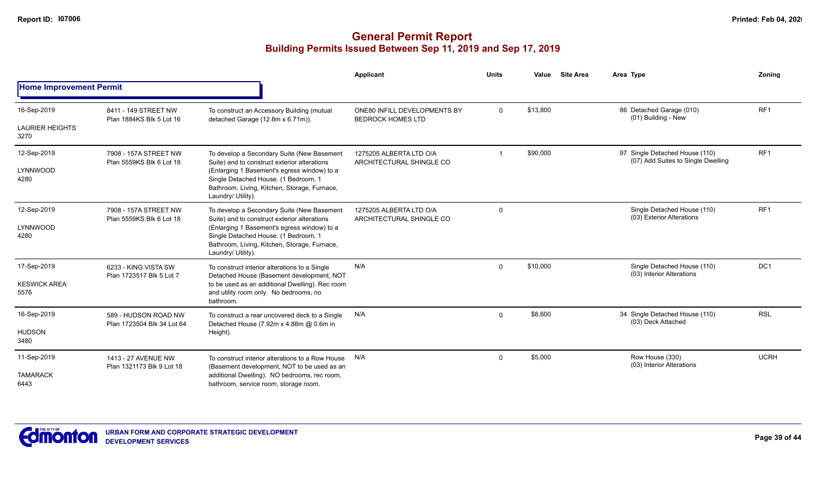|                                               |                                                    |                                                                                                                                                                                                                                                         | <b>Applicant</b>                                         | <b>Units</b> | Value    | <b>Site Area</b> | Area Type                                                            | <b>Zoning</b>   |
|-----------------------------------------------|----------------------------------------------------|---------------------------------------------------------------------------------------------------------------------------------------------------------------------------------------------------------------------------------------------------------|----------------------------------------------------------|--------------|----------|------------------|----------------------------------------------------------------------|-----------------|
| <b>Home Improvement Permit</b>                |                                                    |                                                                                                                                                                                                                                                         |                                                          |              |          |                  |                                                                      |                 |
| 16-Sep-2019<br><b>LAURIER HEIGHTS</b><br>3270 | 8411 - 149 STREET NW<br>Plan 1884KS Blk 5 Lot 16   | To construct an Accessory Building (mutual<br>detached Garage (12.8m x 6.71m)).                                                                                                                                                                         | ONE80 INFILL DEVELOPMENTS BY<br><b>BEDROCK HOMES LTD</b> | $\mathbf 0$  | \$13,800 |                  | 86 Detached Garage (010)<br>(01) Building - New                      | RF <sub>1</sub> |
| 12-Sep-2019<br>LYNNWOOD<br>4280               | 7908 - 157A STREET NW<br>Plan 5559KS Blk 6 Lot 18  | To develop a Secondary Suite (New Basement<br>Suite) and to construct exterior alterations<br>(Enlarging 1 Basement's egress window) to a<br>Single Detached House. (1 Bedroom, 1<br>Bathroom, Living, Kitchen, Storage, Furnace,<br>Laundry/ Utility). | 1275205 ALBERTA LTD O/A<br>ARCHITECTURAL SHINGLE CO      |              | \$90,000 |                  | 97 Single Detached House (110)<br>(07) Add Suites to Single Dwelling | RF <sub>1</sub> |
| 12-Sep-2019<br>LYNNWOOD<br>4280               | 7908 - 157A STREET NW<br>Plan 5559KS Blk 6 Lot 18  | To develop a Secondary Suite (New Basement<br>Suite) and to construct exterior alterations<br>(Enlarging 1 Basement's egress window) to a<br>Single Detached House. (1 Bedroom, 1<br>Bathroom, Living, Kitchen, Storage, Furnace,<br>Laundry/ Utility). | 1275205 ALBERTA LTD O/A<br>ARCHITECTURAL SHINGLE CO      | $\mathbf 0$  |          |                  | Single Detached House (110)<br>(03) Exterior Alterations             | RF <sub>1</sub> |
| 17-Sep-2019<br><b>KESWICK AREA</b><br>5576    | 6233 - KING VISTA SW<br>Plan 1723517 Blk 5 Lot 7   | To construct interior alterations to a Single<br>Detached House (Basement development, NOT<br>to be used as an additional Dwelling). Rec room<br>and utility room only. No bedrooms, no<br>bathroom.                                                    | N/A                                                      | $\Omega$     | \$10,000 |                  | Single Detached House (110)<br>(03) Interior Alterations             | DC <sub>1</sub> |
| 16-Sep-2019<br><b>HUDSON</b><br>3480          | 589 - HUDSON ROAD NW<br>Plan 1723504 Blk 34 Lot 64 | To construct a rear uncovered deck to a Single<br>Detached House (7.92m x 4.88m @ 0.6m in<br>Height).                                                                                                                                                   | N/A                                                      | $\Omega$     | \$8,600  |                  | 34 Single Detached House (110)<br>(03) Deck Attached                 | <b>RSL</b>      |
| 11-Sep-2019<br><b>TAMARACK</b><br>6443        | 1413 - 27 AVENUE NW<br>Plan 1321173 Blk 9 Lot 18   | To construct interior alterations to a Row House<br>(Basement development, NOT to be used as an<br>additional Dwelling). NO bedrooms, rec room,<br>bathroom, service room, storage room.                                                                | N/A                                                      | $\Omega$     | \$5,000  |                  | Row House (330)<br>(03) Interior Alterations                         | <b>UCRH</b>     |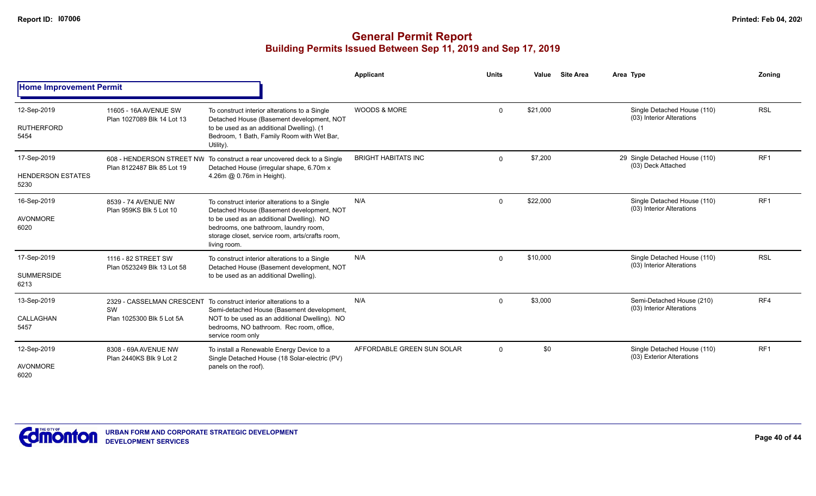|                                                 |                                                     |                                                                                                                                                                                                                                                     | Applicant                  | <b>Units</b> | Value    | <b>Site Area</b> | Area Type                                                | Zoning          |
|-------------------------------------------------|-----------------------------------------------------|-----------------------------------------------------------------------------------------------------------------------------------------------------------------------------------------------------------------------------------------------------|----------------------------|--------------|----------|------------------|----------------------------------------------------------|-----------------|
| <b>Home Improvement Permit</b>                  |                                                     |                                                                                                                                                                                                                                                     |                            |              |          |                  |                                                          |                 |
| 12-Sep-2019<br><b>RUTHERFORD</b><br>5454        | 11605 - 16A AVENUE SW<br>Plan 1027089 Blk 14 Lot 13 | To construct interior alterations to a Single<br>Detached House (Basement development, NOT<br>to be used as an additional Dwelling). (1<br>Bedroom, 1 Bath, Family Room with Wet Bar,<br>Utility).                                                  | <b>WOODS &amp; MORE</b>    | $\Omega$     | \$21,000 |                  | Single Detached House (110)<br>(03) Interior Alterations | <b>RSL</b>      |
| 17-Sep-2019<br><b>HENDERSON ESTATES</b><br>5230 | Plan 8122487 Blk 85 Lot 19                          | 608 - HENDERSON STREET NW To construct a rear uncovered deck to a Single<br>Detached House (irregular shape, 6.70m x<br>4.26m @ 0.76m in Height).                                                                                                   | <b>BRIGHT HABITATS INC</b> | $\Omega$     | \$7,200  |                  | 29 Single Detached House (110)<br>(03) Deck Attached     | RF1             |
| 16-Sep-2019<br><b>AVONMORE</b><br>6020          | 8539 - 74 AVENUE NW<br>Plan 959KS Blk 5 Lot 10      | To construct interior alterations to a Single<br>Detached House (Basement development, NOT<br>to be used as an additional Dwelling). NO<br>bedrooms, one bathroom, laundry room,<br>storage closet, service room, arts/crafts room,<br>living room. | N/A                        | $\Omega$     | \$22,000 |                  | Single Detached House (110)<br>(03) Interior Alterations | RF <sub>1</sub> |
| 17-Sep-2019<br><b>SUMMERSIDE</b><br>6213        | 1116 - 82 STREET SW<br>Plan 0523249 Blk 13 Lot 58   | To construct interior alterations to a Single<br>Detached House (Basement development, NOT<br>to be used as an additional Dwelling).                                                                                                                | N/A                        | $\Omega$     | \$10,000 |                  | Single Detached House (110)<br>(03) Interior Alterations | <b>RSL</b>      |
| 13-Sep-2019<br>CALLAGHAN<br>5457                | SW<br>Plan 1025300 Blk 5 Lot 5A                     | 2329 - CASSELMAN CRESCENT To construct interior alterations to a<br>Semi-detached House (Basement development,<br>NOT to be used as an additional Dwelling). NO<br>bedrooms, NO bathroom. Rec room, office,<br>service room only                    | N/A                        | $\Omega$     | \$3,000  |                  | Semi-Detached House (210)<br>(03) Interior Alterations   | RF4             |
| 12-Sep-2019<br>AVONMORE<br>6020                 | 8308 - 69A AVENUE NW<br>Plan 2440KS Blk 9 Lot 2     | To install a Renewable Energy Device to a<br>Single Detached House (18 Solar-electric (PV)<br>panels on the roof).                                                                                                                                  | AFFORDABLE GREEN SUN SOLAR | $\Omega$     | \$0      |                  | Single Detached House (110)<br>(03) Exterior Alterations | RF <sub>1</sub> |

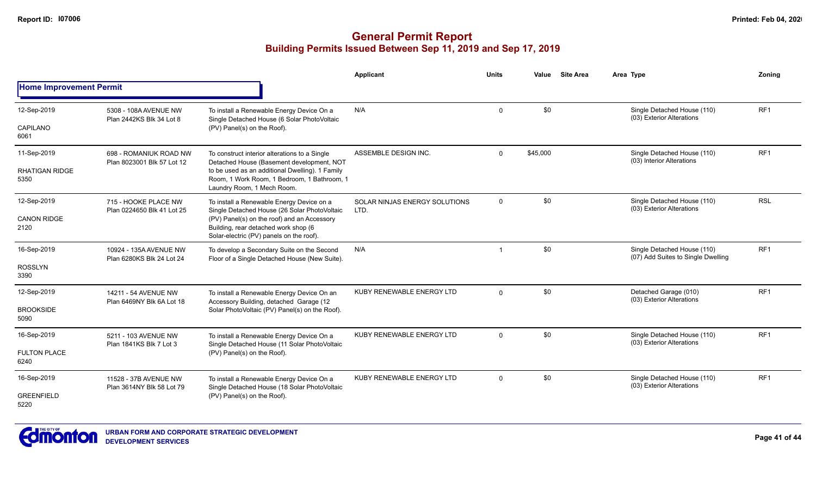|                                |                                                      |                                                                                                                                 | <b>Applicant</b>                      | <b>Units</b> | Value    | <b>Site Area</b> | Area Type                                                         | Zoning          |
|--------------------------------|------------------------------------------------------|---------------------------------------------------------------------------------------------------------------------------------|---------------------------------------|--------------|----------|------------------|-------------------------------------------------------------------|-----------------|
| <b>Home Improvement Permit</b> |                                                      |                                                                                                                                 |                                       |              |          |                  |                                                                   |                 |
| 12-Sep-2019                    | 5308 - 108A AVENUE NW<br>Plan 2442KS Blk 34 Lot 8    | To install a Renewable Energy Device On a<br>Single Detached House (6 Solar PhotoVoltaic                                        | N/A                                   | $\mathbf 0$  | \$0      |                  | Single Detached House (110)<br>(03) Exterior Alterations          | RF <sub>1</sub> |
| CAPILANO<br>6061               |                                                      | (PV) Panel(s) on the Roof).                                                                                                     |                                       |              |          |                  |                                                                   |                 |
| 11-Sep-2019                    | 698 - ROMANIUK ROAD NW<br>Plan 8023001 Blk 57 Lot 12 | To construct interior alterations to a Single<br>Detached House (Basement development, NOT                                      | ASSEMBLE DESIGN INC.                  | $\mathbf{0}$ | \$45,000 |                  | Single Detached House (110)<br>(03) Interior Alterations          | RF1             |
| <b>RHATIGAN RIDGE</b><br>5350  |                                                      | to be used as an additional Dwelling). 1 Family<br>Room, 1 Work Room, 1 Bedroom, 1 Bathroom, 1<br>Laundry Room, 1 Mech Room.    |                                       |              |          |                  |                                                                   |                 |
| 12-Sep-2019                    | 715 - HOOKE PLACE NW<br>Plan 0224650 Blk 41 Lot 25   | To install a Renewable Energy Device on a<br>Single Detached House (26 Solar PhotoVoltaic                                       | SOLAR NINJAS ENERGY SOLUTIONS<br>LTD. | $\mathbf 0$  | \$0      |                  | Single Detached House (110)<br>(03) Exterior Alterations          | <b>RSL</b>      |
| <b>CANON RIDGE</b><br>2120     |                                                      | (PV) Panel(s) on the roof) and an Accessory<br>Building, rear detached work shop (6<br>Solar-electric (PV) panels on the roof). |                                       |              |          |                  |                                                                   |                 |
| 16-Sep-2019                    | 10924 - 135A AVENUE NW<br>Plan 6280KS Blk 24 Lot 24  | To develop a Secondary Suite on the Second<br>Floor of a Single Detached House (New Suite).                                     | N/A                                   |              | \$0      |                  | Single Detached House (110)<br>(07) Add Suites to Single Dwelling | RF <sub>1</sub> |
| <b>ROSSLYN</b><br>3390         |                                                      |                                                                                                                                 |                                       |              |          |                  |                                                                   |                 |
| 12-Sep-2019                    | 14211 - 54 AVENUE NW<br>Plan 6469NY Blk 6A Lot 18    | To install a Renewable Energy Device On an<br>Accessory Building, detached Garage (12                                           | KUBY RENEWABLE ENERGY LTD             | $\Omega$     | \$0      |                  | Detached Garage (010)<br>(03) Exterior Alterations                | RF <sub>1</sub> |
| <b>BROOKSIDE</b><br>5090       |                                                      | Solar PhotoVoltaic (PV) Panel(s) on the Roof).                                                                                  |                                       |              |          |                  |                                                                   |                 |
| 16-Sep-2019                    | 5211 - 103 AVENUE NW<br>Plan 1841KS Blk 7 Lot 3      | To install a Renewable Energy Device On a<br>Single Detached House (11 Solar PhotoVoltaic                                       | KUBY RENEWABLE ENERGY LTD             | $\Omega$     | \$0      |                  | Single Detached House (110)<br>(03) Exterior Alterations          | RF <sub>1</sub> |
| <b>FULTON PLACE</b><br>6240    |                                                      | (PV) Panel(s) on the Roof).                                                                                                     |                                       |              |          |                  |                                                                   |                 |
| 16-Sep-2019                    | 11528 - 37B AVENUE NW<br>Plan 3614NY Blk 58 Lot 79   | To install a Renewable Energy Device On a<br>Single Detached House (18 Solar PhotoVoltaic                                       | KUBY RENEWABLE ENERGY LTD             | $\mathbf{0}$ | \$0      |                  | Single Detached House (110)<br>(03) Exterior Alterations          | RF <sub>1</sub> |
| <b>GREENFIELD</b><br>5220      |                                                      | (PV) Panel(s) on the Roof).                                                                                                     |                                       |              |          |                  |                                                                   |                 |

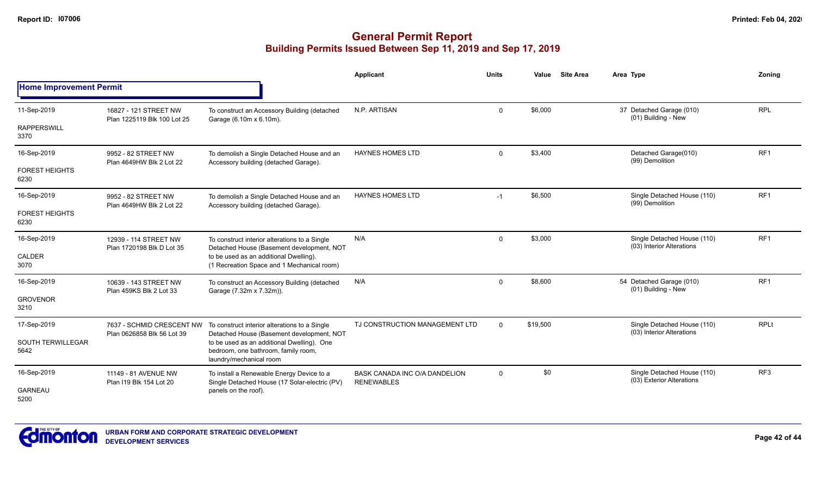|                                  |                                                         |                                                                                                              | <b>Applicant</b>                                          | <b>Units</b> | <b>Site Area</b><br>Value | Area Type                                                | Zoning          |
|----------------------------------|---------------------------------------------------------|--------------------------------------------------------------------------------------------------------------|-----------------------------------------------------------|--------------|---------------------------|----------------------------------------------------------|-----------------|
| <b>Home Improvement Permit</b>   |                                                         |                                                                                                              |                                                           |              |                           |                                                          |                 |
| 11-Sep-2019                      | 16827 - 121 STREET NW<br>Plan 1225119 Blk 100 Lot 25    | To construct an Accessory Building (detached<br>Garage (6.10m x 6.10m).                                      | N.P. ARTISAN                                              | $\mathbf 0$  | \$6,000                   | 37 Detached Garage (010)<br>(01) Building - New          | <b>RPL</b>      |
| <b>RAPPERSWILL</b><br>3370       |                                                         |                                                                                                              |                                                           |              |                           |                                                          |                 |
| 16-Sep-2019                      | 9952 - 82 STREET NW<br>Plan 4649HW Blk 2 Lot 22         | To demolish a Single Detached House and an<br>Accessory building (detached Garage).                          | <b>HAYNES HOMES LTD</b>                                   | $\mathbf 0$  | \$3,400                   | Detached Garage(010)<br>(99) Demolition                  | RF <sub>1</sub> |
| <b>FOREST HEIGHTS</b><br>6230    |                                                         |                                                                                                              |                                                           |              |                           |                                                          |                 |
| 16-Sep-2019                      | 9952 - 82 STREET NW<br>Plan 4649HW Blk 2 Lot 22         | To demolish a Single Detached House and an<br>Accessory building (detached Garage).                          | <b>HAYNES HOMES LTD</b>                                   | $-1$         | \$6,500                   | Single Detached House (110)<br>(99) Demolition           | RF <sub>1</sub> |
| <b>FOREST HEIGHTS</b><br>6230    |                                                         |                                                                                                              |                                                           |              |                           |                                                          |                 |
| 16-Sep-2019                      | 12939 - 114 STREET NW<br>Plan 1720198 Blk D Lot 35      | To construct interior alterations to a Single<br>Detached House (Basement development, NOT                   | N/A                                                       | $\mathbf 0$  | \$3,000                   | Single Detached House (110)<br>(03) Interior Alterations | RF <sub>1</sub> |
| CALDER<br>3070                   |                                                         | to be used as an additional Dwelling).<br>(1 Recreation Space and 1 Mechanical room)                         |                                                           |              |                           |                                                          |                 |
| 16-Sep-2019                      | 10639 - 143 STREET NW<br>Plan 459KS Blk 2 Lot 33        | To construct an Accessory Building (detached<br>Garage (7.32m x 7.32m)).                                     | N/A                                                       | $\mathbf 0$  | \$8,600                   | 54 Detached Garage (010)<br>(01) Building - New          | RF <sub>1</sub> |
| <b>GROVENOR</b><br>3210          |                                                         |                                                                                                              |                                                           |              |                           |                                                          |                 |
| 17-Sep-2019                      | 7637 - SCHMID CRESCENT NW<br>Plan 0626858 Blk 56 Lot 39 | To construct interior alterations to a Single<br>Detached House (Basement development, NOT                   | TJ CONSTRUCTION MANAGEMENT LTD                            | $\Omega$     | \$19,500                  | Single Detached House (110)<br>(03) Interior Alterations | <b>RPLt</b>     |
| <b>SOUTH TERWILLEGAR</b><br>5642 |                                                         | to be used as an additional Dwelling). One<br>bedroom, one bathroom, family room,<br>laundry/mechanical room |                                                           |              |                           |                                                          |                 |
| 16-Sep-2019                      | 11149 - 81 AVENUE NW<br>Plan I19 Blk 154 Lot 20         | To install a Renewable Energy Device to a<br>Single Detached House (17 Solar-electric (PV)                   | <b>BASK CANADA INC O/A DANDELION</b><br><b>RENEWABLES</b> | $\mathbf 0$  | \$0                       | Single Detached House (110)<br>(03) Exterior Alterations | RF <sub>3</sub> |
| <b>GARNEAU</b><br>5200           |                                                         | panels on the roof).                                                                                         |                                                           |              |                           |                                                          |                 |

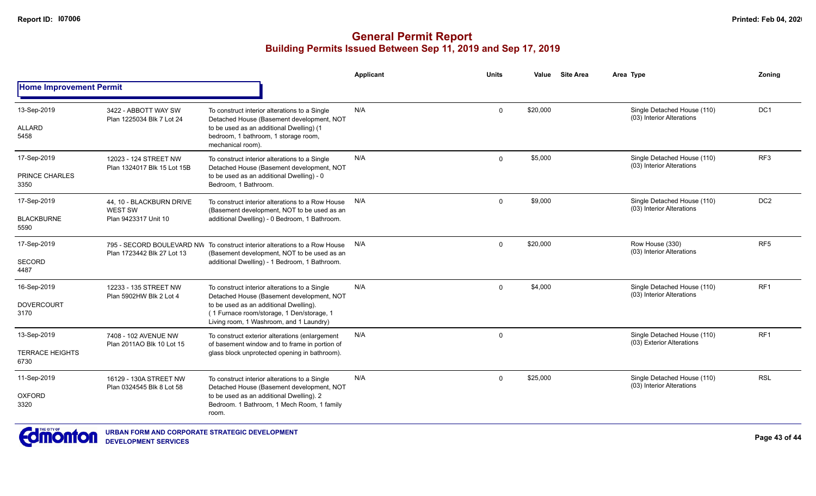|                                               |                                                                    |                                                                                                                                                                                                                              | <b>Applicant</b> | <b>Units</b> | Value    | <b>Site Area</b> | Area Type                                                | Zoning          |
|-----------------------------------------------|--------------------------------------------------------------------|------------------------------------------------------------------------------------------------------------------------------------------------------------------------------------------------------------------------------|------------------|--------------|----------|------------------|----------------------------------------------------------|-----------------|
| <b>Home Improvement Permit</b>                |                                                                    |                                                                                                                                                                                                                              |                  |              |          |                  |                                                          |                 |
| 13-Sep-2019<br><b>ALLARD</b><br>5458          | 3422 - ABBOTT WAY SW<br>Plan 1225034 Blk 7 Lot 24                  | To construct interior alterations to a Single<br>Detached House (Basement development, NOT<br>to be used as an additional Dwelling) (1<br>bedroom, 1 bathroom, 1 storage room,<br>mechanical room).                          | N/A              | $\mathbf 0$  | \$20,000 |                  | Single Detached House (110)<br>(03) Interior Alterations | DC <sub>1</sub> |
| 17-Sep-2019<br>PRINCE CHARLES<br>3350         | 12023 - 124 STREET NW<br>Plan 1324017 Blk 15 Lot 15B               | To construct interior alterations to a Single<br>Detached House (Basement development, NOT<br>to be used as an additional Dwelling) - 0<br>Bedroom. 1 Bathroom.                                                              | N/A              | $\Omega$     | \$5,000  |                  | Single Detached House (110)<br>(03) Interior Alterations | RF <sub>3</sub> |
| 17-Sep-2019<br><b>BLACKBURNE</b><br>5590      | 44, 10 - BLACKBURN DRIVE<br><b>WEST SW</b><br>Plan 9423317 Unit 10 | To construct interior alterations to a Row House<br>(Basement development, NOT to be used as an<br>additional Dwelling) - 0 Bedroom, 1 Bathroom.                                                                             | N/A              | $\Omega$     | \$9,000  |                  | Single Detached House (110)<br>(03) Interior Alterations | DC <sub>2</sub> |
| 17-Sep-2019<br><b>SECORD</b><br>4487          | Plan 1723442 Blk 27 Lot 13                                         | 795 - SECORD BOULEVARD NW To construct interior alterations to a Row House<br>(Basement development, NOT to be used as an<br>additional Dwelling) - 1 Bedroom, 1 Bathroom.                                                   | N/A              | $\Omega$     | \$20,000 |                  | Row House (330)<br>(03) Interior Alterations             | RF <sub>5</sub> |
| 16-Sep-2019<br><b>DOVERCOURT</b><br>3170      | 12233 - 135 STREET NW<br>Plan 5902HW Blk 2 Lot 4                   | To construct interior alterations to a Single<br>Detached House (Basement development, NOT<br>to be used as an additional Dwelling).<br>(1 Furnace room/storage, 1 Den/storage, 1<br>Living room, 1 Washroom, and 1 Laundry) | N/A              | $\Omega$     | \$4,000  |                  | Single Detached House (110)<br>(03) Interior Alterations | RF <sub>1</sub> |
| 13-Sep-2019<br><b>TERRACE HEIGHTS</b><br>6730 | 7408 - 102 AVENUE NW<br>Plan 2011AO Blk 10 Lot 15                  | To construct exterior alterations (enlargement<br>of basement window and to frame in portion of<br>glass block unprotected opening in bathroom).                                                                             | N/A              | $\mathbf 0$  |          |                  | Single Detached House (110)<br>(03) Exterior Alterations | RF <sub>1</sub> |
| 11-Sep-2019<br><b>OXFORD</b><br>3320          | 16129 - 130A STREET NW<br>Plan 0324545 Blk 8 Lot 58                | To construct interior alterations to a Single<br>Detached House (Basement development, NOT<br>to be used as an additional Dwelling). 2<br>Bedroom. 1 Bathroom, 1 Mech Room, 1 family<br>room.                                | N/A              | $\Omega$     | \$25,000 |                  | Single Detached House (110)<br>(03) Interior Alterations | <b>RSL</b>      |